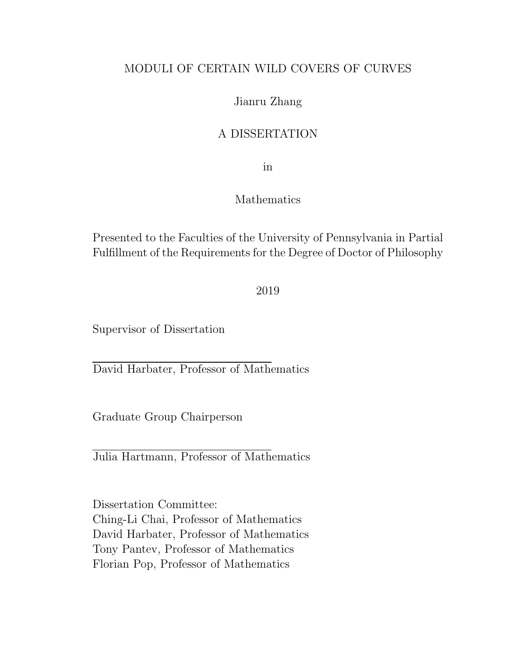#### MODULI OF CERTAIN WILD COVERS OF CURVES

#### Jianru Zhang

#### A DISSERTATION

in

#### Mathematics

Presented to the Faculties of the University of Pennsylvania in Partial Fulfillment of the Requirements for the Degree of Doctor of Philosophy

2019

Supervisor of Dissertation

David Harbater, Professor of Mathematics

Graduate Group Chairperson

Julia Hartmann, Professor of Mathematics

Dissertation Committee: Ching-Li Chai, Professor of Mathematics David Harbater, Professor of Mathematics Tony Pantev, Professor of Mathematics Florian Pop, Professor of Mathematics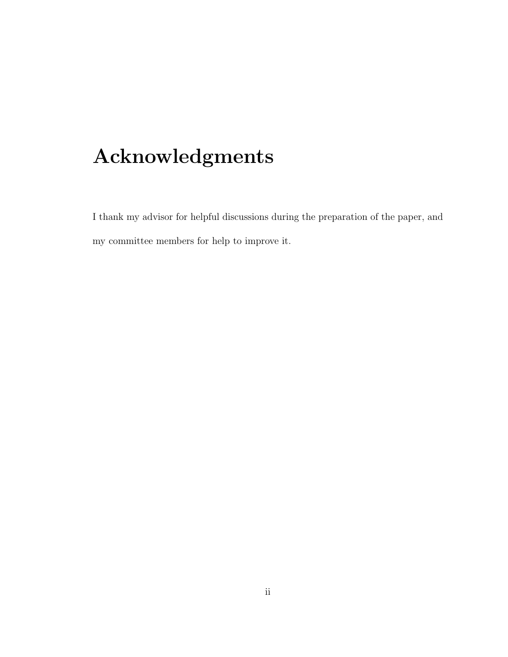# Acknowledgments

I thank my advisor for helpful discussions during the preparation of the paper, and my committee members for help to improve it.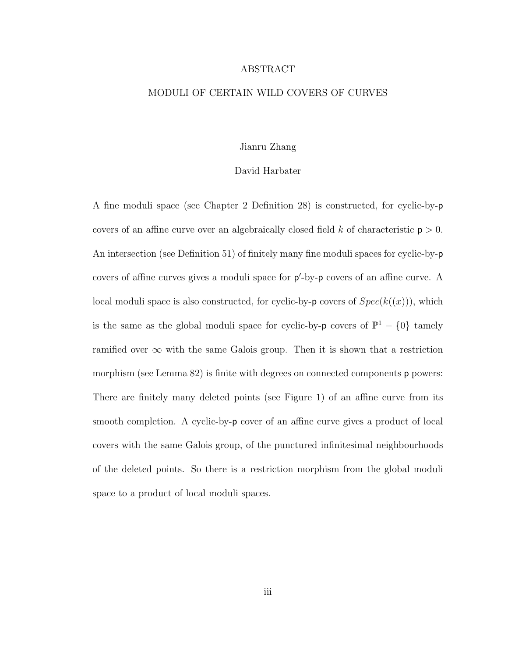#### ABSTRACT

#### MODULI OF CERTAIN WILD COVERS OF CURVES

#### Jianru Zhang

#### David Harbater

A fine moduli space (see Chapter 2 Definition 28) is constructed, for cyclic-by-p covers of an affine curve over an algebraically closed field k of characteristic  $p > 0$ . An intersection (see Definition 51) of finitely many fine moduli spaces for cyclic-by-p covers of affine curves gives a moduli space for  $p'$ -by-p covers of an affine curve. A local moduli space is also constructed, for cyclic-by- $\mathbf{p}$  covers of  $Spec(k((x)))$ , which is the same as the global moduli space for cyclic-by-p covers of  $\mathbb{P}^1 - \{0\}$  tamely ramified over  $\infty$  with the same Galois group. Then it is shown that a restriction morphism (see Lemma 82) is finite with degrees on connected components **p** powers: There are finitely many deleted points (see Figure 1) of an affine curve from its smooth completion. A cyclic-by-p cover of an affine curve gives a product of local covers with the same Galois group, of the punctured infinitesimal neighbourhoods of the deleted points. So there is a restriction morphism from the global moduli space to a product of local moduli spaces.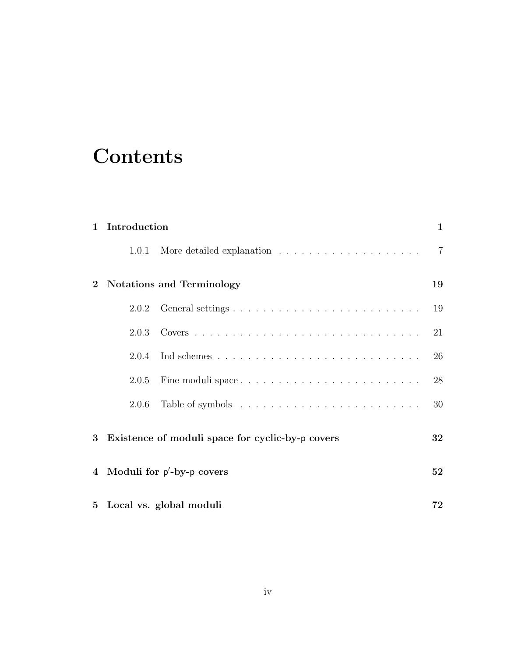## **Contents**

| $\mathbf{1}$ | Introduction                                     |  | $\mathbf{1}$   |
|--------------|--------------------------------------------------|--|----------------|
|              | 1.0.1                                            |  | $\overline{7}$ |
| $\mathbf{2}$ | <b>Notations and Terminology</b>                 |  | 19             |
|              | 2.0.2                                            |  | 19             |
|              | 2.0.3                                            |  | 21             |
|              | 2.0.4                                            |  | 26             |
|              | 2.0.5                                            |  | 28             |
|              | 2.0.6                                            |  | 30             |
| 3            | Existence of moduli space for cyclic-by-p covers |  | 32             |
| 4            | Moduli for $p'$ -by-p covers                     |  | 52             |
|              | 5 Local vs. global moduli                        |  | 72             |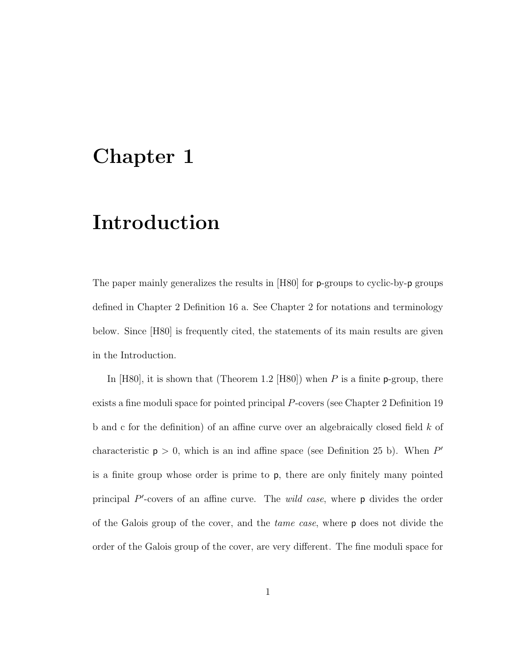## Chapter 1

## Introduction

The paper mainly generalizes the results in [H80] for **p**-groups to cyclic-by-**p** groups defined in Chapter 2 Definition 16 a. See Chapter 2 for notations and terminology below. Since [H80] is frequently cited, the statements of its main results are given in the Introduction.

In [H80], it is shown that (Theorem 1.2 [H80]) when P is a finite p-group, there exists a fine moduli space for pointed principal P-covers (see Chapter 2 Definition 19 b and c for the definition) of an affine curve over an algebraically closed field k of characteristic  $p > 0$ , which is an ind affine space (see Definition 25 b). When P' is a finite group whose order is prime to p, there are only finitely many pointed principal  $P'$ -covers of an affine curve. The *wild case*, where  $p$  divides the order of the Galois group of the cover, and the tame case, where p does not divide the order of the Galois group of the cover, are very different. The fine moduli space for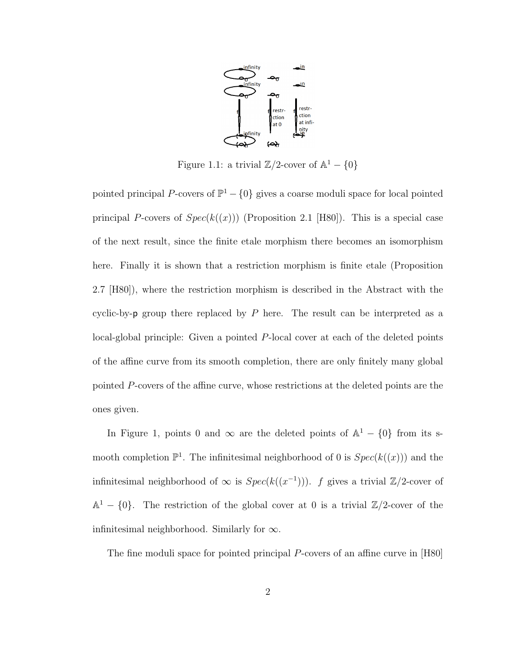

Figure 1.1: a trivial  $\mathbb{Z}/2$ -cover of  $\mathbb{A}^1 - \{0\}$ 

pointed principal P-covers of  $\mathbb{P}^1 - \{0\}$  gives a coarse moduli space for local pointed principal P-covers of  $Spec(k((x)))$  (Proposition 2.1 [H80]). This is a special case of the next result, since the finite etale morphism there becomes an isomorphism here. Finally it is shown that a restriction morphism is finite etale (Proposition 2.7 [H80]), where the restriction morphism is described in the Abstract with the cyclic-by- $p$  group there replaced by  $P$  here. The result can be interpreted as a local-global principle: Given a pointed P-local cover at each of the deleted points of the affine curve from its smooth completion, there are only finitely many global pointed P-covers of the affine curve, whose restrictions at the deleted points are the ones given.

In Figure 1, points 0 and  $\infty$  are the deleted points of  $\mathbb{A}^1 - \{0\}$  from its smooth completion  $\mathbb{P}^1$ . The infinitesimal neighborhood of 0 is  $Spec(k((x)))$  and the infinitesimal neighborhood of  $\infty$  is  $Spec(k((x^{-1})))$ . f gives a trivial  $\mathbb{Z}/2$ -cover of  $\mathbb{A}^1 - \{0\}$ . The restriction of the global cover at 0 is a trivial  $\mathbb{Z}/2$ -cover of the infinitesimal neighborhood. Similarly for  $\infty$ .

The fine moduli space for pointed principal P-covers of an affine curve in [H80]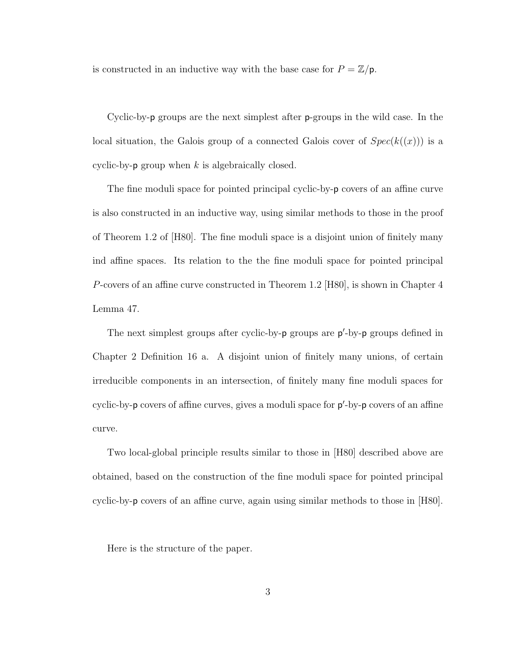is constructed in an inductive way with the base case for  $P = \mathbb{Z}/p$ .

Cyclic-by-p groups are the next simplest after p-groups in the wild case. In the local situation, the Galois group of a connected Galois cover of  $Spec(k((x)))$  is a cyclic-by- $p$  group when k is algebraically closed.

The fine moduli space for pointed principal cyclic-by-p covers of an affine curve is also constructed in an inductive way, using similar methods to those in the proof of Theorem 1.2 of [H80]. The fine moduli space is a disjoint union of finitely many ind affine spaces. Its relation to the the fine moduli space for pointed principal P-covers of an affine curve constructed in Theorem 1.2 [H80], is shown in Chapter 4 Lemma 47.

The next simplest groups after cyclic-by-p groups are  $p'$ -by-p groups defined in Chapter 2 Definition 16 a. A disjoint union of finitely many unions, of certain irreducible components in an intersection, of finitely many fine moduli spaces for cyclic-by-p covers of affine curves, gives a moduli space for  $p'$ -by-p covers of an affine curve.

Two local-global principle results similar to those in [H80] described above are obtained, based on the construction of the fine moduli space for pointed principal cyclic-by-p covers of an affine curve, again using similar methods to those in [H80].

Here is the structure of the paper.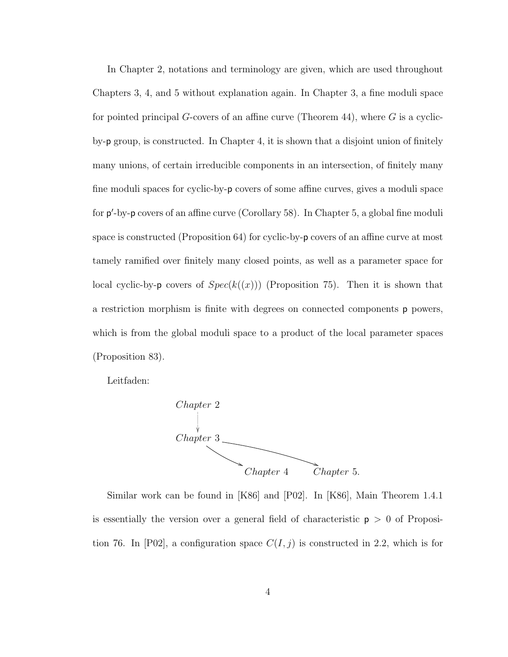In Chapter 2, notations and terminology are given, which are used throughout Chapters 3, 4, and 5 without explanation again. In Chapter 3, a fine moduli space for pointed principal G-covers of an affine curve (Theorem 44), where  $G$  is a cyclicby-p group, is constructed. In Chapter 4, it is shown that a disjoint union of finitely many unions, of certain irreducible components in an intersection, of finitely many fine moduli spaces for cyclic-by-p covers of some affine curves, gives a moduli space for p'-by-p covers of an affine curve (Corollary 58). In Chapter 5, a global fine moduli space is constructed (Proposition 64) for cyclic-by-p covers of an affine curve at most tamely ramified over finitely many closed points, as well as a parameter space for local cyclic-by-**p** covers of  $Spec(k((x)))$  (Proposition 75). Then it is shown that a restriction morphism is finite with degrees on connected components p powers, which is from the global moduli space to a product of the local parameter spaces (Proposition 83).

Leitfaden:



Similar work can be found in [K86] and [P02]. In [K86], Main Theorem 1.4.1 is essentially the version over a general field of characteristic  $p > 0$  of Proposition 76. In [P02], a configuration space  $C(I, j)$  is constructed in 2.2, which is for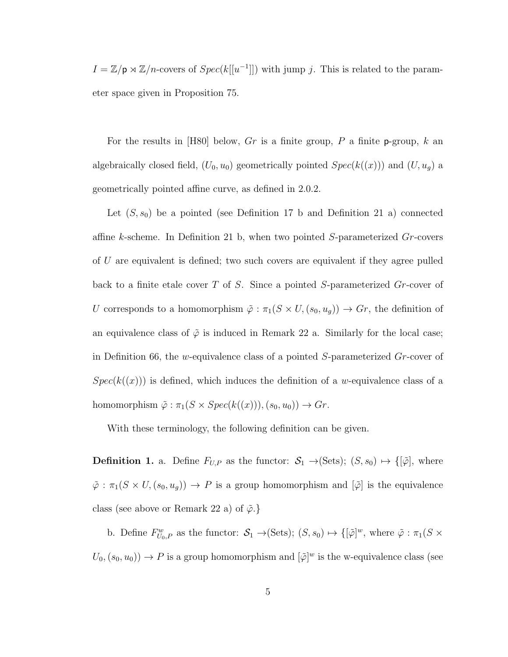$I = \mathbb{Z}/p \rtimes \mathbb{Z}/n$ -covers of  $Spec(k[[u^{-1}]])$  with jump j. This is related to the parameter space given in Proposition 75.

For the results in [H80] below, Gr is a finite group, P a finite p-group, k an algebraically closed field,  $(U_0, u_0)$  geometrically pointed  $Spec(k((x)))$  and  $(U, u_g)$  a geometrically pointed affine curve, as defined in 2.0.2.

Let  $(S, s_0)$  be a pointed (see Definition 17 b and Definition 21 a) connected affine  $k$ -scheme. In Definition 21 b, when two pointed  $S$ -parameterized  $Gr$ -covers of U are equivalent is defined; two such covers are equivalent if they agree pulled back to a finite etale cover  $T$  of  $S$ . Since a pointed S-parameterized  $Gr$ -cover of U corresponds to a homomorphism  $\tilde{\varphi} : \pi_1(S \times U, (s_0, u_g)) \to Gr$ , the definition of an equivalence class of  $\tilde{\varphi}$  is induced in Remark 22 a. Similarly for the local case; in Definition 66, the w-equivalence class of a pointed  $S$ -parameterized  $Gr$ -cover of  $Spec(k((x)))$  is defined, which induces the definition of a w-equivalence class of a homomorphism  $\tilde{\varphi} : \pi_1(S \times Spec(k((x))), (s_0, u_0)) \rightarrow Gr.$ 

With these terminology, the following definition can be given.

**Definition 1.** a. Define  $F_{U,P}$  as the functor:  $S_1 \rightarrow (Sets)$ ;  $(S, s_0) \rightarrow \{[\tilde{\varphi}],$  where  $\tilde{\varphi}$  :  $\pi_1(S \times U, (s_0, u_g)) \to P$  is a group homomorphism and  $[\tilde{\varphi}]$  is the equivalence class (see above or Remark 22 a) of  $\tilde{\varphi}$ .}

b. Define  $F_{U_0,P}^w$  as the functor:  $S_1 \to (\text{Sets})$ ;  $(S, s_0) \mapsto \{[\tilde{\varphi}]^w$ , where  $\tilde{\varphi} : \pi_1(S \times$  $U_0, (s_0, u_0) \to P$  is a group homomorphism and  $[\tilde{\varphi}]^w$  is the w-equivalence class (see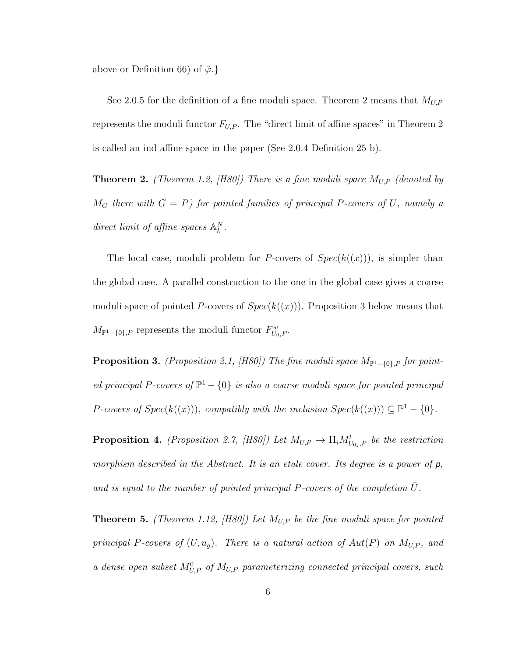above or Definition 66) of  $\tilde{\varphi}$ .

See 2.0.5 for the definition of a fine moduli space. Theorem 2 means that  $M_{U,P}$ represents the moduli functor  $F_{U,P}$ . The "direct limit of affine spaces" in Theorem 2 is called an ind affine space in the paper (See 2.0.4 Definition 25 b).

**Theorem 2.** (Theorem 1.2, [H80]) There is a fine moduli space  $M_{U,P}$  (denoted by  $M_G$  there with  $G = P$ ) for pointed families of principal P-covers of U, namely a direct limit of affine spaces  $\mathbb{A}_k^N$ .

The local case, moduli problem for P-covers of  $Spec(k(x)))$ , is simpler than the global case. A parallel construction to the one in the global case gives a coarse moduli space of pointed P-covers of  $Spec(k(x))$ . Proposition 3 below means that  $M_{\mathbb{P}^1-\{0\},P}$  represents the moduli functor  $F^w_{U_0,P}$ .

**Proposition 3.** (Proposition 2.1, [H80]) The fine moduli space  $M_{\mathbb{P}^1-\{0\},P}$  for pointed principal P-covers of  $\mathbb{P}^1 - \{0\}$  is also a coarse moduli space for pointed principal P-covers of  $Spec(k((x)))$ , compatibly with the inclusion  $Spec(k((x))) \subseteq \mathbb{P}^1 - \{0\}.$ 

**Proposition 4.** (Proposition 2.7, [H80]) Let  $M_{U,P} \to \Pi_i M_{U_{0_i},P}^l$  be the restriction morphism described in the Abstract. It is an etale cover. Its degree is a power of  $p$ , and is equal to the number of pointed principal  $P$ -covers of the completion  $U$ .

**Theorem 5.** (Theorem 1.12, [H80]) Let  $M_{U,P}$  be the fine moduli space for pointed principal P-covers of  $(U, u_g)$ . There is a natural action of  $Aut(P)$  on  $M_{U,P}$ , and a dense open subset  $M_{U,P}^0$  of  $M_{U,P}$  parameterizing connected principal covers, such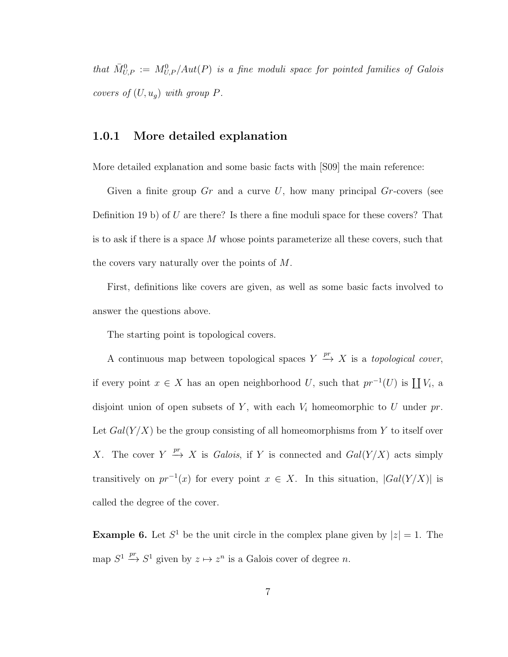that  $\bar{M}_{U,P}^0 := M_{U,P}^0/Aut(P)$  is a fine moduli space for pointed families of Galois covers of  $(U, u_g)$  with group  $P$ .

#### 1.0.1 More detailed explanation

More detailed explanation and some basic facts with [S09] the main reference:

Given a finite group  $Gr$  and a curve U, how many principal  $Gr$ -covers (see Definition 19 b) of U are there? Is there a fine moduli space for these covers? That is to ask if there is a space M whose points parameterize all these covers, such that the covers vary naturally over the points of M.

First, definitions like covers are given, as well as some basic facts involved to answer the questions above.

The starting point is topological covers.

A continuous map between topological spaces  $Y \stackrel{pr}{\rightarrow} X$  is a *topological cover*, if every point  $x \in X$  has an open neighborhood U, such that  $pr^{-1}(U)$  is  $\coprod V_i$ , a disjoint union of open subsets of  $Y$ , with each  $V_i$  homeomorphic to  $U$  under  $pr$ . Let  $Gal(Y/X)$  be the group consisting of all homeomorphisms from Y to itself over X. The cover  $Y \stackrel{pr}{\to} X$  is *Galois*, if Y is connected and  $Gal(Y/X)$  acts simply transitively on  $pr^{-1}(x)$  for every point  $x \in X$ . In this situation,  $|Gal(Y/X)|$  is called the degree of the cover.

**Example 6.** Let  $S^1$  be the unit circle in the complex plane given by  $|z|=1$ . The map  $S^1 \xrightarrow{pr} S^1$  given by  $z \mapsto z^n$  is a Galois cover of degree n.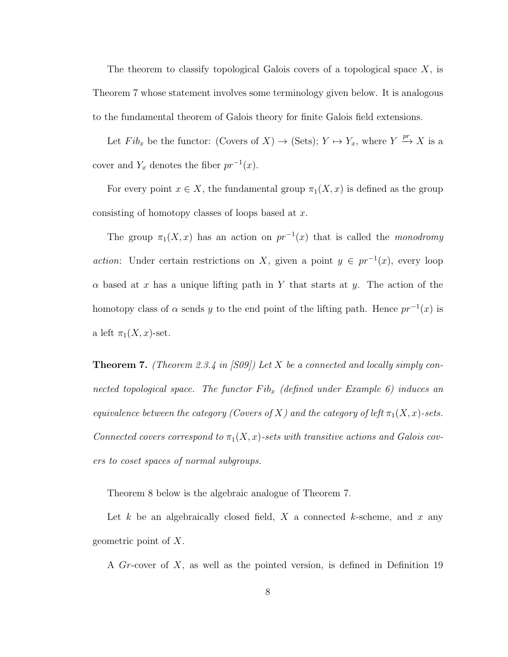The theorem to classify topological Galois covers of a topological space  $X$ , is Theorem 7 whose statement involves some terminology given below. It is analogous to the fundamental theorem of Galois theory for finite Galois field extensions.

Let  $Fib_x$  be the functor: (Covers of  $X) \to (\text{Sets})$ ;  $Y \mapsto Y_x$ , where  $Y \xrightarrow{pr} X$  is a cover and  $Y_x$  denotes the fiber  $pr^{-1}(x)$ .

For every point  $x \in X$ , the fundamental group  $\pi_1(X, x)$  is defined as the group consisting of homotopy classes of loops based at x.

The group  $\pi_1(X, x)$  has an action on  $pr^{-1}(x)$  that is called the monodromy action: Under certain restrictions on X, given a point  $y \in pr^{-1}(x)$ , every loop  $\alpha$  based at x has a unique lifting path in Y that starts at y. The action of the homotopy class of  $\alpha$  sends y to the end point of the lifting path. Hence  $pr^{-1}(x)$  is a left  $\pi_1(X, x)$ -set.

**Theorem 7.** (Theorem 2.3.4 in [S09]) Let  $X$  be a connected and locally simply connected topological space. The functor  $Fib_x$  (defined under Example 6) induces an equivalence between the category (Covers of X) and the category of left  $\pi_1(X, x)$ -sets. Connected covers correspond to  $\pi_1(X, x)$ -sets with transitive actions and Galois covers to coset spaces of normal subgroups.

Theorem 8 below is the algebraic analogue of Theorem 7.

Let k be an algebraically closed field, X a connected k-scheme, and x any geometric point of X.

A Gr-cover of X, as well as the pointed version, is defined in Definition 19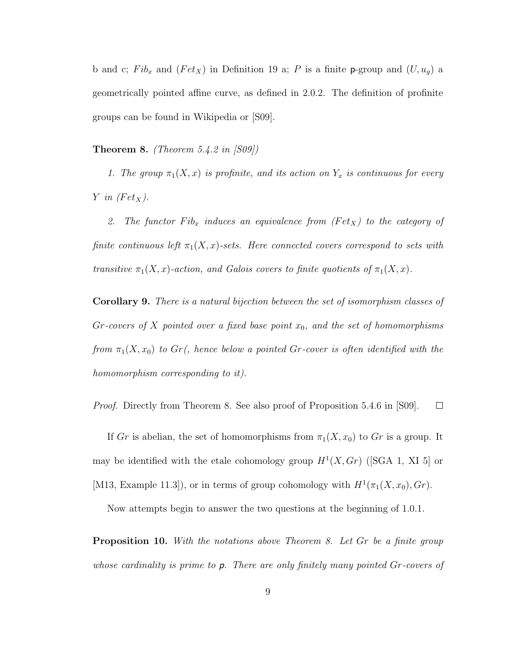b and c;  $Fib_x$  and  $(Fet_x)$  in Definition 19 a; P is a finite p-group and  $(U, u_g)$  a geometrically pointed affine curve, as defined in 2.0.2. The definition of profinite groups can be found in Wikipedia or [S09].

**Theorem 8.** *(Theorem 5.4.2 in [S09])* 

1. The group  $\pi_1(X, x)$  is profinite, and its action on  $Y_x$  is continuous for every Y in  $(Fet_X)$ .

2. The functor  $Fib_x$  induces an equivalence from  $(Fet_x)$  to the category of finite continuous left  $\pi_1(X, x)$ -sets. Here connected covers correspond to sets with transitive  $\pi_1(X, x)$ -action, and Galois covers to finite quotients of  $\pi_1(X, x)$ .

Corollary 9. There is a natural bijection between the set of isomorphism classes of Gr-covers of X pointed over a fixed base point  $x_0$ , and the set of homomorphisms from  $\pi_1(X, x_0)$  to  $Gr$ , hence below a pointed Gr-cover is often identified with the homomorphism corresponding to it).

Proof. Directly from Theorem 8. See also proof of Proposition 5.4.6 in [S09].  $\Box$ 

If Gr is abelian, the set of homomorphisms from  $\pi_1(X, x_0)$  to Gr is a group. It may be identified with the etale cohomology group  $H^1(X, Gr)$  (SGA 1, XI 5) or [M13, Example 11.3]), or in terms of group cohomology with  $H^1(\pi_1(X, x_0), Gr)$ .

Now attempts begin to answer the two questions at the beginning of 1.0.1.

**Proposition 10.** With the notations above Theorem 8. Let Gr be a finite group whose cardinality is prime to  $p$ . There are only finitely many pointed  $Gr$ -covers of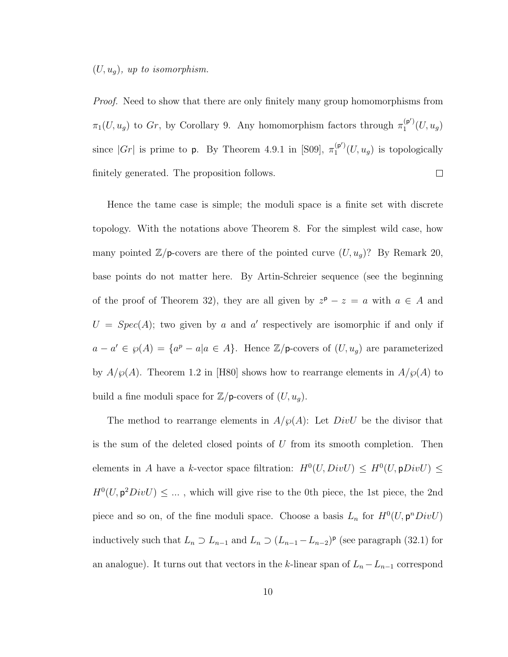#### $(U, u_g)$ , up to isomorphism.

*Proof.* Need to show that there are only finitely many group homomorphisms from  $\pi_1(U, u_g)$  to Gr, by Corollary 9. Any homomorphism factors through  $\pi_1^{(p')}$  $1^{(\mathsf{p}\,)}(U,u_g)$ since  $|Gr|$  is prime to p. By Theorem 4.9.1 in [S09],  $\pi_1^{(p')}$  $_1^{\left(\mathbf{p}\right)}\left(U,u_g\right)$  is topologically finitely generated. The proposition follows.  $\Box$ 

Hence the tame case is simple; the moduli space is a finite set with discrete topology. With the notations above Theorem 8. For the simplest wild case, how many pointed  $\mathbb{Z}/p$ -covers are there of the pointed curve  $(U, u_g)$ ? By Remark 20, base points do not matter here. By Artin-Schreier sequence (see the beginning of the proof of Theorem 32), they are all given by  $z^p - z = a$  with  $a \in A$  and  $U = Spec(A)$ ; two given by a and a' respectively are isomorphic if and only if  $a - a' \in \wp(A) = \{a^p - a | a \in A\}.$  Hence  $\mathbb{Z}/p$ -covers of  $(U, u_g)$  are parameterized by  $A/\wp(A)$ . Theorem 1.2 in [H80] shows how to rearrange elements in  $A/\wp(A)$  to build a fine moduli space for  $\mathbb{Z}/p$ -covers of  $(U, u_g)$ .

The method to rearrange elements in  $A/\wp(A)$ : Let  $DivU$  be the divisor that is the sum of the deleted closed points of  $U$  from its smooth completion. Then elements in A have a k-vector space filtration:  $H^0(U, DivU) \leq H^0(U, \mathsf{p}DivU) \leq$  $H^0(U, \mathbf{p}^2 DivU) \leq \ldots$ , which will give rise to the 0th piece, the 1st piece, the 2nd piece and so on, of the fine moduli space. Choose a basis  $L_n$  for  $H^0(U, \mathsf{p}^nDiv U)$ inductively such that  $L_n \supset L_{n-1}$  and  $L_n \supset (L_{n-1} - L_{n-2})^p$  (see paragraph (32.1) for an analogue). It turns out that vectors in the k-linear span of  $L_n - L_{n-1}$  correspond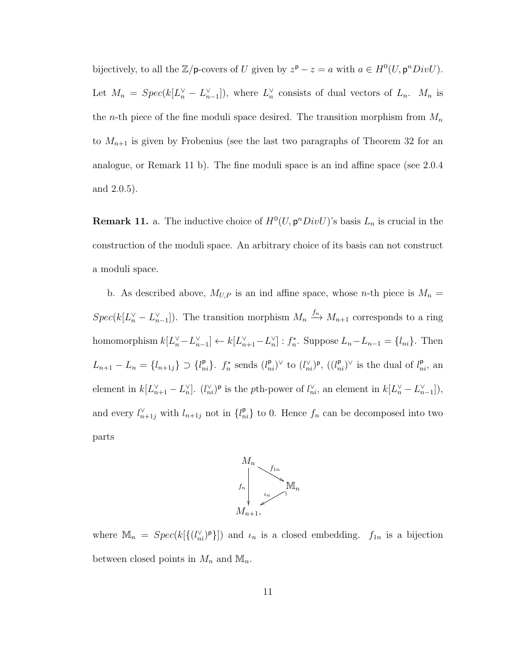bijectively, to all the  $\mathbb{Z}/p$ -covers of U given by  $z^p - z = a$  with  $a \in H^0(U, p^n DivU)$ . Let  $M_n = Spec(k[L_n^{\vee} - L_{n-1}^{\vee}])$ , where  $L_n^{\vee}$  consists of dual vectors of  $L_n$ .  $M_n$  is the *n*-th piece of the fine moduli space desired. The transition morphism from  $M_n$ to  $M_{n+1}$  is given by Frobenius (see the last two paragraphs of Theorem 32 for an analogue, or Remark 11 b). The fine moduli space is an ind affine space (see 2.0.4 and 2.0.5).

**Remark 11.** a. The inductive choice of  $H^0(U, \mathsf{p}^n DivU)$ 's basis  $L_n$  is crucial in the construction of the moduli space. An arbitrary choice of its basis can not construct a moduli space.

b. As described above,  $M_{U,P}$  is an ind affine space, whose n-th piece is  $M_n =$  $Spec(k[L_n^{\vee} - L_{n-1}^{\vee}])$ . The transition morphism  $M_n \xrightarrow{f_n} M_{n+1}$  corresponds to a ring homomorphism  $k[L_n^{\vee} - L_{n-1}^{\vee}] \leftarrow k[L_{n+1}^{\vee} - L_n^{\vee}] : f_n^*$ . Suppose  $L_n - L_{n-1} = \{l_{ni}\}\$ . Then  $L_{n+1} - L_n = \{l_{n+1j}\} \supset \{l_{ni}^{\mathsf{p}}\}\$ .  $f_n^*$  sends  $(l_{ni}^{\mathsf{p}})^\vee$  to  $(l_{ni}^\vee)^\mathsf{p}$ ,  $((l_{ni}^{\mathsf{p}})^\vee$  is the dual of  $l_{ni}^{\mathsf{p}}$ , an element in  $k[L_{n+1}^{\vee} - L_n^{\vee}]$ .  $(l_{ni}^{\vee})^{\mathsf{p}}$  is the pth-power of  $l_{ni}^{\vee}$ , an element in  $k[L_{n}^{\vee} - L_{n-1}^{\vee}]$ ), and every  $l_{n+1j}^{\vee}$  with  $l_{n+1j}$  not in  $\{l_{ni}^{\mathsf{p}}\}$  to 0. Hence  $f_n$  can be decomposed into two parts



where  $\mathbb{M}_n = Spec(k[\{(l_{ni}^{\vee})^p\}])$  and  $\iota_n$  is a closed embedding.  $f_{1n}$  is a bijection between closed points in  $M_n$  and  $\mathbb{M}_n$ .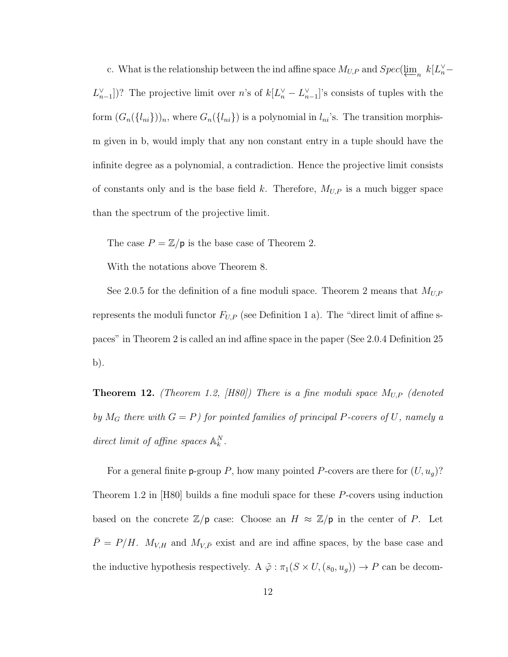c. What is the relationship between the ind affine space  $M_{U,P}$  and  $Spec(\underbrace{\lim}_{n} k[L_{n}^{\vee}] L_{n-1}^{\vee}$ ])? The projective limit over n's of  $k[L_{n}^{\vee} - L_{n-1}^{\vee}]$ 's consists of tuples with the form  $(G_n({l_{ni}}))_n$ , where  $G_n({l_{ni}})$  is a polynomial in  $l_{ni}$ 's. The transition morphism given in b, would imply that any non constant entry in a tuple should have the infinite degree as a polynomial, a contradiction. Hence the projective limit consists of constants only and is the base field k. Therefore,  $M_{U,P}$  is a much bigger space than the spectrum of the projective limit.

The case  $P = \mathbb{Z}/p$  is the base case of Theorem 2.

With the notations above Theorem 8.

See 2.0.5 for the definition of a fine moduli space. Theorem 2 means that  $M_{U,P}$ represents the moduli functor  $F_{U,P}$  (see Definition 1 a). The "direct limit of affine spaces" in Theorem 2 is called an ind affine space in the paper (See 2.0.4 Definition 25 b).

**Theorem 12.** (Theorem 1.2, [H80]) There is a fine moduli space  $M_{U,P}$  (denoted by  $M_G$  there with  $G = P$ ) for pointed families of principal P-covers of U, namely a direct limit of affine spaces  $\mathbb{A}_k^N$ .

For a general finite **p**-group P, how many pointed P-covers are there for  $(U, u_g)$ ? Theorem 1.2 in [H80] builds a fine moduli space for these P-covers using induction based on the concrete  $\mathbb{Z}/p$  case: Choose an  $H \approx \mathbb{Z}/p$  in the center of P. Let  $\bar{P} = P/H$ .  $M_{V,H}$  and  $M_{V,\bar{P}}$  exist and are ind affine spaces, by the base case and the inductive hypothesis respectively. A  $\tilde{\varphi}$  :  $\pi_1(S \times U, (s_0, u_g)) \to P$  can be decom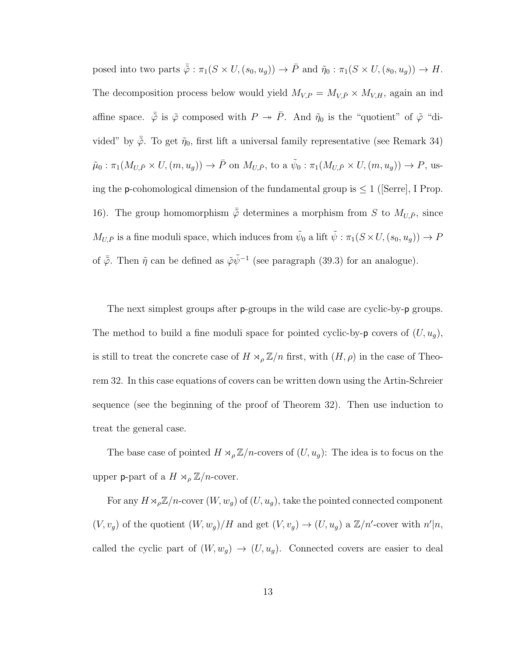posed into two parts  $\tilde{\varphi} : \pi_1(S \times U, (s_0, u_g)) \to \overline{P}$  and  $\tilde{\eta}_0 : \pi_1(S \times U, (s_0, u_g)) \to H$ . The decomposition process below would yield  $M_{V,P} = M_{V,\bar{P}} \times M_{V,H}$ , again an ind affine space.  $\bar{\tilde{\varphi}}$  is  $\tilde{\varphi}$  composed with  $P \twoheadrightarrow \bar{P}$ . And  $\tilde{\eta}_0$  is the "quotient" of  $\tilde{\varphi}$  "divided" by  $\bar{\tilde{\varphi}}$ . To get  $\tilde{\eta}_0$ , first lift a universal family representative (see Remark 34)  $\tilde{\mu}_0: \pi_1(M_{U,\bar{P}} \times U, (m, u_g)) \to \bar{P}$  on  $M_{U,\bar{P}}$ , to a  $\tilde{\psi}_0: \pi_1(M_{U,\bar{P}} \times U, (m, u_g)) \to P$ , using the **p**-cohomological dimension of the fundamental group is  $\leq 1$  ([Serre], I Prop. 16). The group homomorphism  $\bar{\tilde{\varphi}}$  determines a morphism from S to  $M_{U,\bar{P}}$ , since  $M_{U,\bar{P}}$  is a fine moduli space, which induces from  $\tilde{\psi}_0$  a lift  $\tilde{\psi}$  :  $\pi_1(S \times U, (s_0, u_g)) \to P$ of  $\bar{\tilde{\varphi}}$ . Then  $\tilde{\eta}$  can be defined as  $\tilde{\varphi}\tilde{\psi}^{-1}$  (see paragraph (39.3) for an analogue).

The next simplest groups after p-groups in the wild case are cyclic-by-p groups. The method to build a fine moduli space for pointed cyclic-by- $\mathsf{p}$  covers of  $(U, u_g)$ , is still to treat the concrete case of  $H \rtimes_{\rho} \mathbb{Z}/n$  first, with  $(H, \rho)$  in the case of Theorem 32. In this case equations of covers can be written down using the Artin-Schreier sequence (see the beginning of the proof of Theorem 32). Then use induction to treat the general case.

The base case of pointed  $H \rtimes_{\rho} \mathbb{Z}/n$ -covers of  $(U, u_g)$ : The idea is to focus on the upper **p**-part of a  $H \rtimes_{\rho} \mathbb{Z}/n$ -cover.

For any  $H \rtimes_{\rho} \mathbb{Z}/n$ -cover  $(W, w_g)$  of  $(U, u_g)$ , take the pointed connected component  $(V, v_g)$  of the quotient  $(W, w_g)/H$  and get  $(V, v_g) \to (U, u_g)$  a  $\mathbb{Z}/n'$ -cover with  $n'|n$ , called the cyclic part of  $(W, w_g) \rightarrow (U, u_g)$ . Connected covers are easier to deal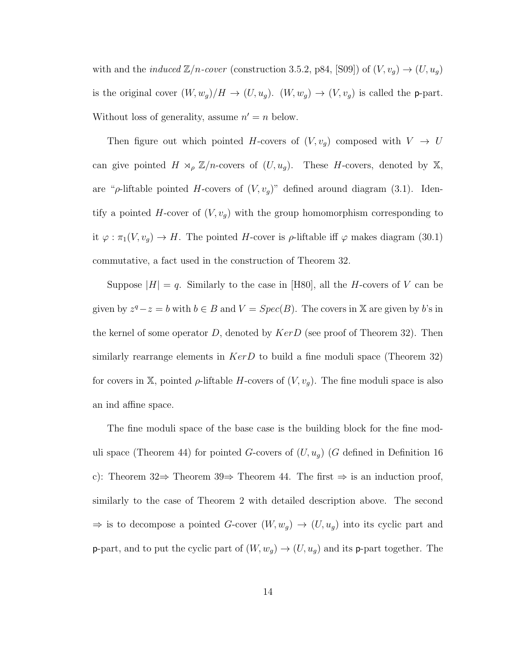with and the *induced*  $\mathbb{Z}/n$ -cover (construction 3.5.2, p84, [S09]) of  $(V, v_g) \rightarrow (U, u_g)$ is the original cover  $(W, w_g)/H \to (U, u_g)$ .  $(W, w_g) \to (V, v_g)$  is called the p-part. Without loss of generality, assume  $n' = n$  below.

Then figure out which pointed H-covers of  $(V, v_g)$  composed with  $V \rightarrow U$ can give pointed  $H \rtimes_{\rho} \mathbb{Z}/n$ -covers of  $(U, u_g)$ . These H-covers, denoted by X, are " $\rho$ -liftable pointed H-covers of  $(V, v_g)$ " defined around diagram (3.1). Identify a pointed  $H$ -cover of  $(V, v_g)$  with the group homomorphism corresponding to it  $\varphi : \pi_1(V, v_g) \to H$ . The pointed H-cover is  $\rho$ -liftable iff  $\varphi$  makes diagram (30.1) commutative, a fact used in the construction of Theorem 32.

Suppose  $|H| = q$ . Similarly to the case in [H80], all the H-covers of V can be given by  $z^q - z = b$  with  $b \in B$  and  $V = Spec(B)$ . The covers in X are given by b's in the kernel of some operator D, denoted by  $KerD$  (see proof of Theorem 32). Then similarly rearrange elements in  $KerD$  to build a fine moduli space (Theorem 32) for covers in X, pointed  $\rho$ -liftable H-covers of  $(V, v_g)$ . The fine moduli space is also an ind affine space.

The fine moduli space of the base case is the building block for the fine moduli space (Theorem 44) for pointed G-covers of  $(U, u_g)$  (G defined in Definition 16 c): Theorem 32⇒ Theorem 39⇒ Theorem 44. The first  $\Rightarrow$  is an induction proof, similarly to the case of Theorem 2 with detailed description above. The second  $\Rightarrow$  is to decompose a pointed G-cover  $(W, w_g) \rightarrow (U, u_g)$  into its cyclic part and **p**-part, and to put the cyclic part of  $(W, w_g) \rightarrow (U, u_g)$  and its **p**-part together. The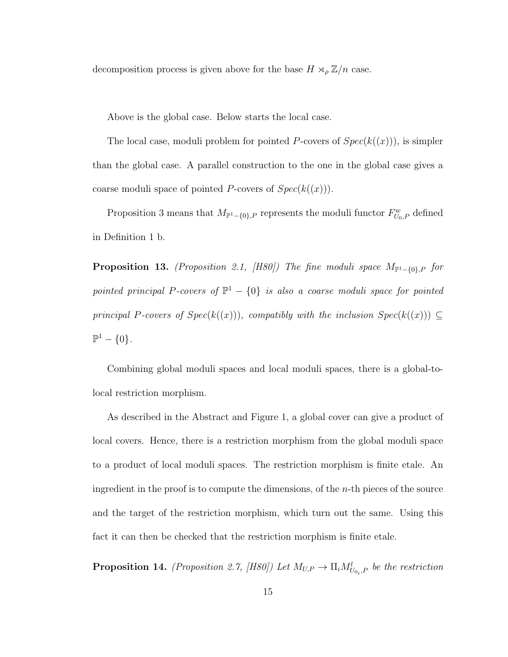decomposition process is given above for the base  $H \rtimes_{\rho} \mathbb{Z}/n$  case.

Above is the global case. Below starts the local case.

The local case, moduli problem for pointed P-covers of  $Spec(k((x)))$ , is simpler than the global case. A parallel construction to the one in the global case gives a coarse moduli space of pointed P-covers of  $Spec(k((x)))$ .

Proposition 3 means that  $M_{\mathbb{P}^1 - \{0\},P}$  represents the moduli functor  $F_{U_0,P}^w$  defined in Definition 1 b.

**Proposition 13.** (Proposition 2.1, [H80]) The fine moduli space  $M_{\mathbb{P}^1-\{0\},P}$  for pointed principal P-covers of  $\mathbb{P}^1 - \{0\}$  is also a coarse moduli space for pointed principal P-covers of  $Spec(k((x)))$ , compatibly with the inclusion  $Spec(k((x))) \subseteq$  $\mathbb{P}^1 - \{0\}.$ 

Combining global moduli spaces and local moduli spaces, there is a global-tolocal restriction morphism.

As described in the Abstract and Figure 1, a global cover can give a product of local covers. Hence, there is a restriction morphism from the global moduli space to a product of local moduli spaces. The restriction morphism is finite etale. An ingredient in the proof is to compute the dimensions, of the  $n$ -th pieces of the source and the target of the restriction morphism, which turn out the same. Using this fact it can then be checked that the restriction morphism is finite etale.

**Proposition 14.** (Proposition 2.7, [H80]) Let  $M_{U,P} \to \prod_i M_{U_{0_i},P}^l$  be the restriction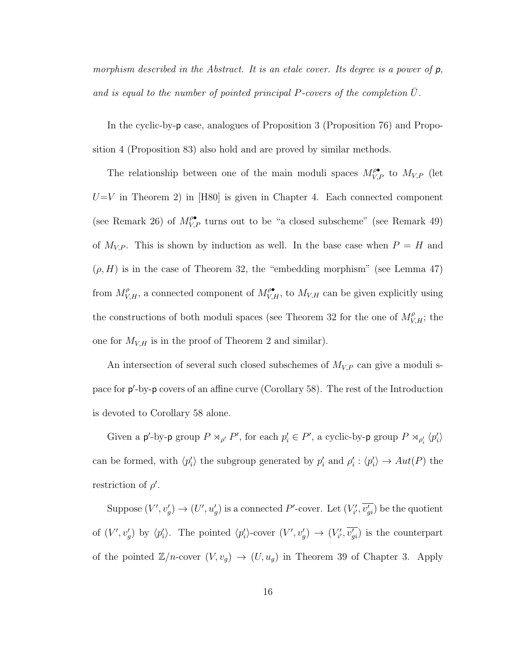morphism described in the Abstract. It is an etale cover. Its degree is a power of  $p$ , and is equal to the number of pointed principal P-covers of the completion  $\overline{U}$ .

In the cyclic-by-p case, analogues of Proposition 3 (Proposition 76) and Proposition 4 (Proposition 83) also hold and are proved by similar methods.

The relationship between one of the main moduli spaces  $M_{V,P}^{\rho\bullet}$  to  $M_{V,P}$  (let  $U=V$  in Theorem 2) in [H80] is given in Chapter 4. Each connected component (see Remark 26) of  $M_{V,P}^{\rho\bullet}$  turns out to be "a closed subscheme" (see Remark 49) of  $M_{V,P}$ . This is shown by induction as well. In the base case when  $P = H$  and  $(\rho, H)$  is in the case of Theorem 32, the "embedding morphism" (see Lemma 47) from  $M_{V,H}^{\rho}$ , a connected component of  $M_{V,H}^{\rho\bullet}$ , to  $M_{V,H}$  can be given explicitly using the constructions of both moduli spaces (see Theorem 32 for the one of  $M_{V,H}^{\rho}$ ; the one for  $M_{V,H}$  is in the proof of Theorem 2 and similar).

An intersection of several such closed subschemes of  $M_{V,P}$  can give a moduli space for  $p'$ -by-p covers of an affine curve (Corollary 58). The rest of the Introduction is devoted to Corollary 58 alone.

Given a p'-by-p group  $P \rtimes_{\rho'} P'$ , for each  $p'_i \in P'$ , a cyclic-by-p group  $P \rtimes_{\rho'_i} \langle p'_i \rangle$ can be formed, with  $\langle p_i' \rangle$  the subgroup generated by  $p_i'$  and  $\rho_i' : \langle p_i' \rangle \to Aut(P)$  the restriction of  $\rho'$ .

Suppose  $(V', v'_g) \to (U', u'_g)$  is a connected P'-cover. Let  $(V'_{i'}, \overline{v'_{gi}})$  be the quotient of  $(V', v'_g)$  by  $\langle p'_i \rangle$ . The pointed  $\langle p'_i \rangle$ -cover  $(V', v'_g) \to (V'_i, \overline{v'_{gi}})$  is the counterpart of the pointed  $\mathbb{Z}/n$ -cover  $(V, v_g) \to (U, u_g)$  in Theorem 39 of Chapter 3. Apply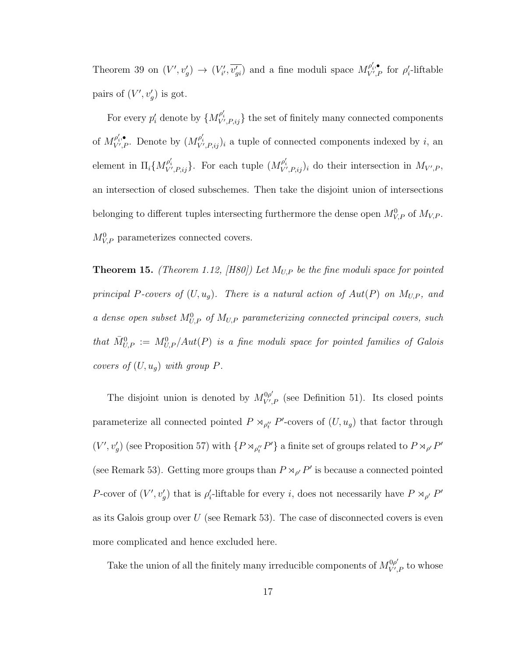Theorem 39 on  $(V', v'_g) \to (V'_{i'}, \overline{v'_{gi}})$  and a fine moduli space  $M_{V',i}^{\rho'_i,\bullet}$  $\overline{V'_{i}P}$  for  $\rho'_{i}$ -liftable pairs of  $(V', v'_g)$  is got.

For every  $p'_i$  denote by  $\{M_{V',P,ij}^{\rho'_i}\}$  the set of finitely many connected components of  $M_{V^{\prime},P}^{\rho_{i}^{\prime},\bullet}$  $\mathcal{P}'_{V',P}$ . Denote by  $(M_{V',P,ij}^{\rho'_i})_i$  a tuple of connected components indexed by i, an element in  $\Pi_i \{ M_{V',P,ij}^{\rho'_i} \}$ . For each tuple  $(M_{V',P,ij}^{\rho'_i})_i$  do their intersection in  $M_{V',P}$ , an intersection of closed subschemes. Then take the disjoint union of intersections belonging to different tuples intersecting furthermore the dense open  $M_{V,P}^0$  of  $M_{V,P}$ .  $M_{V,P}^0$  parameterizes connected covers.

**Theorem 15.** (Theorem 1.12, [H80]) Let  $M_{U,P}$  be the fine moduli space for pointed principal P-covers of  $(U, u_g)$ . There is a natural action of  $Aut(P)$  on  $M_{U,P}$ , and a dense open subset  $M_{U,P}^0$  of  $M_{U,P}$  parameterizing connected principal covers, such that  $\bar{M}_{U,P}^0 := M_{U,P}^0/Aut(P)$  is a fine moduli space for pointed families of Galois covers of  $(U, u_g)$  with group P.

The disjoint union is denoted by  $M_{V'}^{\rho\rho'}$  $V'_{V,P}$  (see Definition 51). Its closed points parameterize all connected pointed  $P \rtimes_{\rho''_t} P'$ -covers of  $(U, u_g)$  that factor through  $(V', v'_g)$  (see Proposition 57) with  $\{P \rtimes_{\rho''_t} P'\}$  a finite set of groups related to  $P \rtimes_{\rho'} P'$ (see Remark 53). Getting more groups than  $P \rtimes_{\rho'} P'$  is because a connected pointed P-cover of  $(V', v'_g)$  that is  $\rho'_i$ -liftable for every *i*, does not necessarily have  $P \rtimes_{\rho'} P'$ as its Galois group over  $U$  (see Remark 53). The case of disconnected covers is even more complicated and hence excluded here.

Take the union of all the finitely many irreducible components of  $M_{V'}^{\rho\rho'}$  $V'_{V',P}$  to whose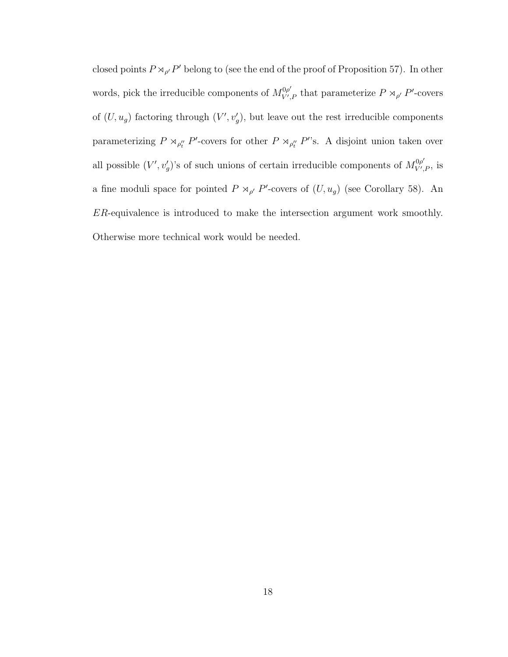closed points  $P \rtimes_{\rho'} P'$  belong to (see the end of the proof of Proposition 57). In other words, pick the irreducible components of  $M_{V'}^{\rho\rho'}$  $V'_{V',P}$  that parameterize  $P \rtimes_{\rho'} P'$ -covers of  $(U, u_g)$  factoring through  $(V', v'_g)$ , but leave out the rest irreducible components parameterizing  $P \rtimes_{\rho''_t} P'$ -covers for other  $P \rtimes_{\rho''_t} P''$ s. A disjoint union taken over all possible  $(V', v'_g)$ 's of such unions of certain irreducible components of  $M_{V',}^{0\rho'}$  $V'_{V',P}$ , is a fine moduli space for pointed  $P \rtimes_{\rho'} P'$ -covers of  $(U, u_g)$  (see Corollary 58). An ER-equivalence is introduced to make the intersection argument work smoothly. Otherwise more technical work would be needed.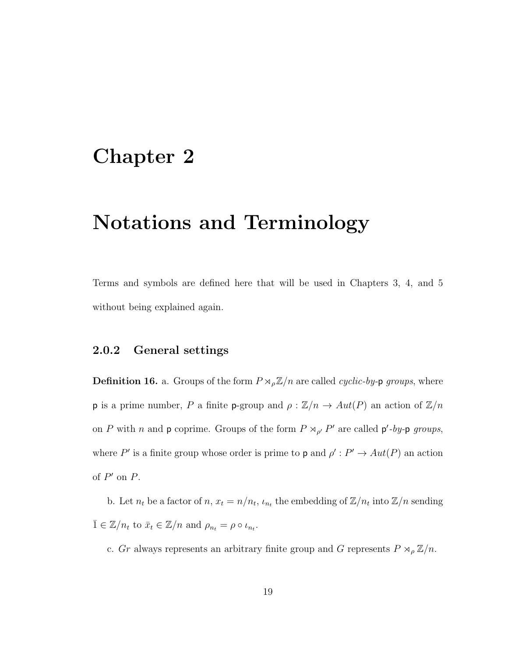### Chapter 2

## Notations and Terminology

Terms and symbols are defined here that will be used in Chapters 3, 4, and 5 without being explained again.

#### 2.0.2 General settings

**Definition 16.** a. Groups of the form  $P \rtimes_{\rho} \mathbb{Z}/n$  are called *cyclic-by-***p** groups, where **p** is a prime number, P a finite **p**-group and  $\rho : \mathbb{Z}/n \to Aut(P)$  an action of  $\mathbb{Z}/n$ on P with n and p coprime. Groups of the form  $P \rtimes_{\rho'} P'$  are called  $p'$ -by-p groups, where P' is a finite group whose order is prime to **p** and  $\rho' : P' \to Aut(P)$  an action of  $P'$  on  $P$ .

b. Let  $n_t$  be a factor of  $n, x_t = n/n_t$ ,  $\iota_{n_t}$  the embedding of  $\mathbb{Z}/n_t$  into  $\mathbb{Z}/n$  sending  $\overline{1} \in \mathbb{Z}/n_t$  to  $\overline{x}_t \in \mathbb{Z}/n$  and  $\rho_{n_t} = \rho \circ \iota_{n_t}$ .

c. Gr always represents an arbitrary finite group and G represents  $P\rtimes_{\rho}\mathbb{Z}/n.$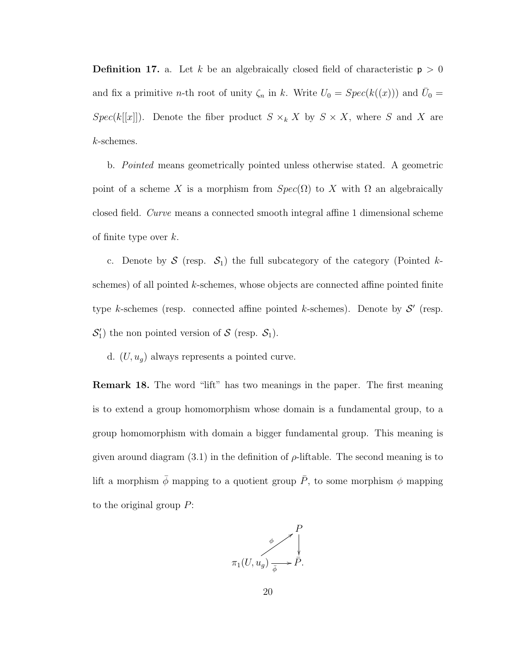**Definition 17.** a. Let k be an algebraically closed field of characteristic  $p > 0$ and fix a primitive *n*-th root of unity  $\zeta_n$  in k. Write  $U_0 = Spec(k((x)))$  and  $\overline{U}_0 =$  $Spec(k[[x]])$ . Denote the fiber product  $S \times_k X$  by  $S \times X$ , where S and X are k-schemes.

b. Pointed means geometrically pointed unless otherwise stated. A geometric point of a scheme X is a morphism from  $Spec(\Omega)$  to X with  $\Omega$  an algebraically closed field. Curve means a connected smooth integral affine 1 dimensional scheme of finite type over  $k$ .

c. Denote by  $S$  (resp.  $S_1$ ) the full subcategory of the category (Pointed kschemes) of all pointed k-schemes, whose objects are connected affine pointed finite type k-schemes (resp. connected affine pointed k-schemes). Denote by  $S'$  (resp.  $S'_1$ ) the non pointed version of S (resp.  $S_1$ ).

d.  $(U, u_g)$  always represents a pointed curve.

Remark 18. The word "lift" has two meanings in the paper. The first meaning is to extend a group homomorphism whose domain is a fundamental group, to a group homomorphism with domain a bigger fundamental group. This meaning is given around diagram (3.1) in the definition of  $\rho$ -liftable. The second meaning is to lift a morphism  $\bar{\phi}$  mapping to a quotient group  $\bar{P}$ , to some morphism  $\phi$  mapping to the original group  $P$ :

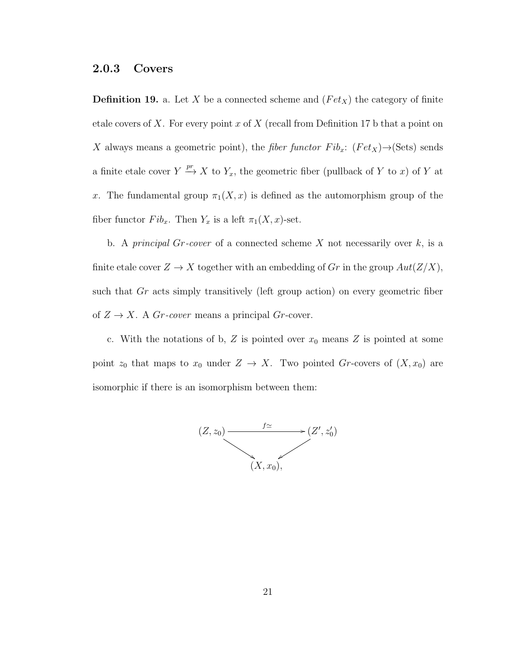#### 2.0.3 Covers

**Definition 19.** a. Let X be a connected scheme and  $(Fet_X)$  the category of finite etale covers of X. For every point x of X (recall from Definition 17 b that a point on X always means a geometric point), the *fiber functor*  $Fib_x$ :  $(Fet_X) \rightarrow (Sets)$  sends a finite etale cover  $Y \stackrel{pr}{\longrightarrow} X$  to  $Y_x$ , the geometric fiber (pullback of Y to x) of Y at x. The fundamental group  $\pi_1(X, x)$  is defined as the automorphism group of the fiber functor  $Fib_x$ . Then  $Y_x$  is a left  $\pi_1(X, x)$ -set.

b. A *principal Gr-cover* of a connected scheme X not necessarily over  $k$ , is a finite etale cover  $Z \to X$  together with an embedding of Gr in the group  $Aut(Z/X)$ , such that Gr acts simply transitively (left group action) on every geometric fiber of  $Z \to X$ . A Gr-cover means a principal Gr-cover.

c. With the notations of b,  $Z$  is pointed over  $x_0$  means  $Z$  is pointed at some point  $z_0$  that maps to  $x_0$  under  $Z \to X$ . Two pointed Gr-covers of  $(X, x_0)$  are isomorphic if there is an isomorphism between them:

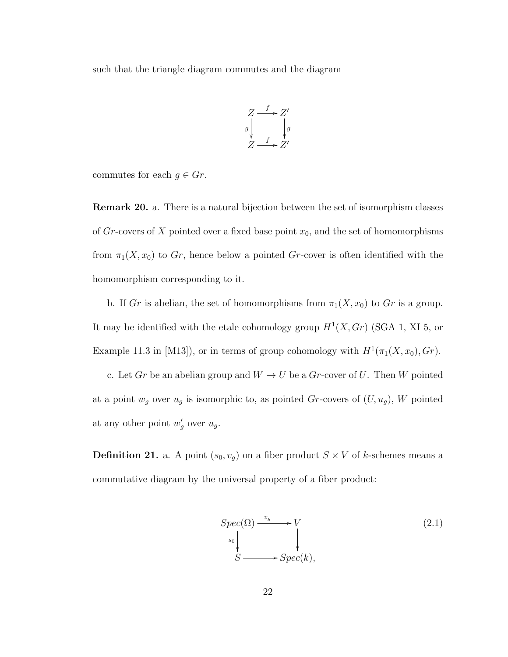such that the triangle diagram commutes and the diagram



commutes for each  $g \in Gr$ .

Remark 20. a. There is a natural bijection between the set of isomorphism classes of  $Gr$ -covers of X pointed over a fixed base point  $x_0$ , and the set of homomorphisms from  $\pi_1(X, x_0)$  to  $Gr$ , hence below a pointed Gr-cover is often identified with the homomorphism corresponding to it.

b. If Gr is abelian, the set of homomorphisms from  $\pi_1(X, x_0)$  to Gr is a group. It may be identified with the etale cohomology group  $H^1(X, Gr)$  (SGA 1, XI 5, or Example 11.3 in [M13]), or in terms of group cohomology with  $H^1(\pi_1(X, x_0), Gr)$ .

c. Let  $Gr$  be an abelian group and  $W \to U$  be a  $Gr$ -cover of U. Then W pointed at a point  $w_g$  over  $u_g$  is isomorphic to, as pointed Gr-covers of  $(U, u_g)$ , W pointed at any other point  $w'_g$  over  $u_g$ .

**Definition 21.** a. A point  $(s_0, v_g)$  on a fiber product  $S \times V$  of k-schemes means a commutative diagram by the universal property of a fiber product:

$$
Spec(\Omega) \xrightarrow{v_g} V
$$
  
\n
$$
s_0 \downarrow \qquad \qquad (2.1)
$$
  
\n
$$
S \longrightarrow Spec(k),
$$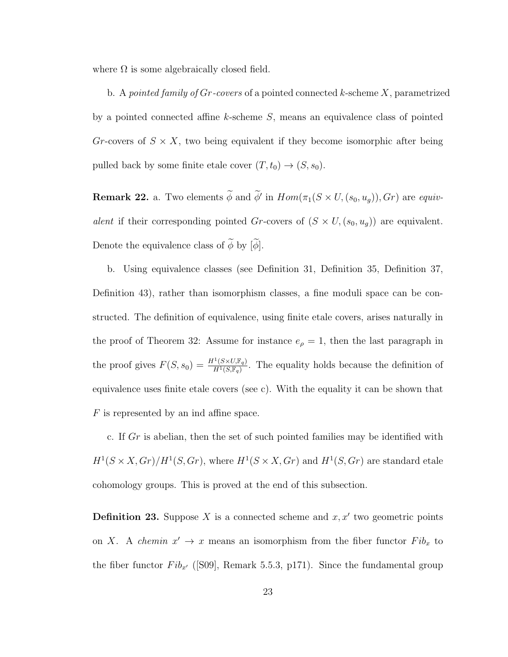where  $\Omega$  is some algebraically closed field.

b. A pointed family of Gr-covers of a pointed connected k-scheme X, parametrized by a pointed connected affine k-scheme S, means an equivalence class of pointed Gr-covers of  $S \times X$ , two being equivalent if they become isomorphic after being pulled back by some finite etale cover  $(T, t_0) \rightarrow (S, s_0)$ .

**Remark 22.** a. Two elements  $\phi$  and  $\phi'$  in  $Hom(\pi_1(S \times U, (s_0, u_g)), Gr)$  are equivalent if their corresponding pointed Gr-covers of  $(S \times U, (s_0, u_g))$  are equivalent. Denote the equivalence class of  $\widetilde{\phi}$  by  $[\widetilde{\phi}].$ 

b. Using equivalence classes (see Definition 31, Definition 35, Definition 37, Definition 43), rather than isomorphism classes, a fine moduli space can be constructed. The definition of equivalence, using finite etale covers, arises naturally in the proof of Theorem 32: Assume for instance  $e_{\rho} = 1$ , then the last paragraph in the proof gives  $F(S, s_0) = \frac{H^1(S \times U; \mathbb{F}_q)}{H^1(S \times \mathbb{F}_q)}$  $\frac{\Gamma(S \times U, \mathbb{F}_q)}{H^1(S, \mathbb{F}_q)}$ . The equality holds because the definition of equivalence uses finite etale covers (see c). With the equality it can be shown that F is represented by an ind affine space.

c. If Gr is abelian, then the set of such pointed families may be identified with  $H^1(S \times X, Gr)/H^1(S, Gr)$ , where  $H^1(S \times X, Gr)$  and  $H^1(S, Gr)$  are standard etale cohomology groups. This is proved at the end of this subsection.

**Definition 23.** Suppose X is a connected scheme and  $x, x'$  two geometric points on X. A *chemin*  $x' \to x$  means an isomorphism from the fiber functor  $Fib_x$  to the fiber functor  $Fib_{x'}$  ([S09], Remark 5.5.3, p171). Since the fundamental group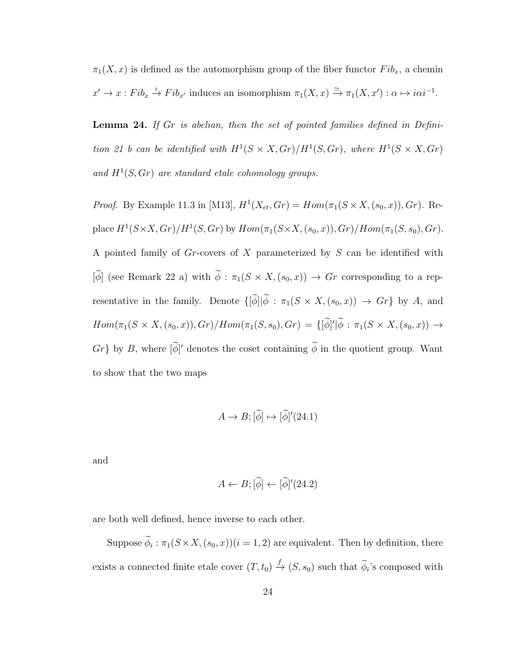$\pi_1(X, x)$  is defined as the automorphism group of the fiber functor  $Fib_x$ , a chemin  $x' \to x : Fib_x \xrightarrow{i} Fib_{x'}$  induces an isomorphism  $\pi_1(X, x) \xrightarrow{\simeq} \pi_1(X, x') : \alpha \mapsto i\alpha i^{-1}$ .

Lemma 24. If Gr is abelian, then the set of pointed families defined in Definition 21 b can be identified with  $H^1(S \times X, Gr)/H^1(S, Gr)$ , where  $H^1(S \times X, Gr)$ and  $H^1(S, Gr)$  are standard etale cohomology groups.

*Proof.* By Example 11.3 in [M13],  $H^1(X_{et}, Gr) = Hom(\pi_1(S \times X, (s_0, x)), Gr)$ . Replace  $H^1(S \times X, Gr)/H^1(S, Gr)$  by  $Hom(\pi_1(S \times X, (s_0, x)), Gr)/Hom(\pi_1(S, s_0), Gr)$ . A pointed family of Gr-covers of X parameterized by S can be identified with  $[\widetilde{\phi}]$  (see Remark 22 a) with  $\widetilde{\phi}$  :  $\pi_1(S \times X,(s_0,x)) \to Gr$  corresponding to a representative in the family. Denote  $\{[\widetilde{\phi}]]\widetilde{\phi} : \pi_1(S \times X, (s_0, x)) \to Gr\}$  by A, and  $Hom(\pi_1(S \times X, (s_0, x)), Gr)/Hom(\pi_1(S, s_0), Gr) = \{[\tilde{\phi}]' | \tilde{\phi} : \pi_1(S \times X, (s_0, x)) \rightarrow$  $Gr$ } by B, where  $[\phi]'$  denotes the coset containing  $\phi$  in the quotient group. Want to show that the two maps

$$
A \to B; [\tilde{\phi}] \mapsto [\tilde{\phi}]'(24.1)
$$

and

$$
A \leftarrow B; [\widetilde{\phi}] \leftarrow [\widetilde{\phi}]'(24.2)
$$

are both well defined, hence inverse to each other.

Suppose  $\phi_i : \pi_1(S \times X, (s_0, x))(i = 1, 2)$  are equivalent. Then by definition, there exists a connected finite etale cover  $(T, t_0) \stackrel{f}{\to} (S, s_0)$  such that  $\widetilde{\phi}_i$ 's composed with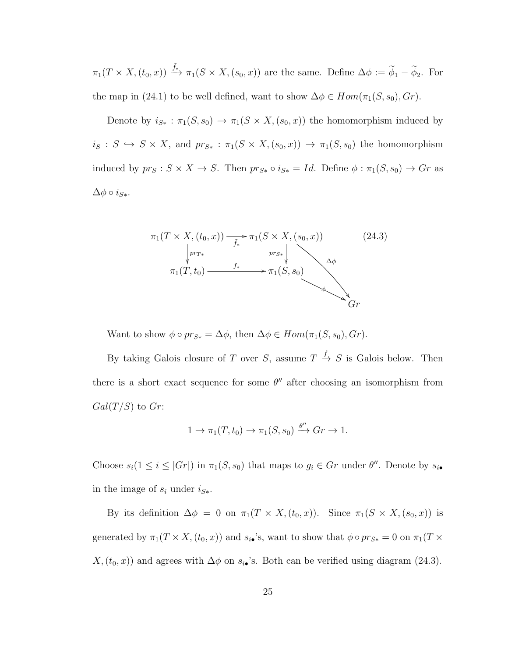$\pi_1(T \times X, (t_0, x)) \stackrel{\tilde{f}_*}{\longrightarrow} \pi_1(S \times X, (s_0, x))$  are the same. Define  $\Delta \phi := \widetilde{\phi}_1 - \widetilde{\phi}_2$ . For the map in (24.1) to be well defined, want to show  $\Delta \phi \in Hom(\pi_1(S, s_0), Gr)$ .

Denote by  $i_{S*} : \pi_1(S, s_0) \to \pi_1(S \times X, (s_0, x))$  the homomorphism induced by  $i_S : S \hookrightarrow S \times X$ , and  $pr_{S*} : \pi_1(S \times X, (s_0, x)) \to \pi_1(S, s_0)$  the homomorphism induced by  $pr_S : S \times X \to S$ . Then  $pr_{S*} \circ i_{S*} = Id$ . Define  $\phi : \pi_1(S, s_0) \to Gr$  as  $\Delta \phi \circ i_{S*}.$ 

$$
\pi_1(T \times X, (t_0, x)) \xrightarrow[\tilde{f}_*]{\pi_1(S \times X, (s_0, x))} \qquad (24.3)
$$
\n
$$
\downarrow^{pr_{T*}} \qquad \qquad pr_{S*} \downarrow \qquad \qquad \Delta \phi
$$
\n
$$
\pi_1(T, t_0) \xrightarrow{f_*} \pi_1(S, s_0)
$$
\n
$$
\qquad \qquad \phi
$$
\n
$$
Gr
$$

Want to show  $\phi \circ pr_{S*} = \Delta \phi$ , then  $\Delta \phi \in Hom(\pi_1(S, s_0), Gr)$ .

By taking Galois closure of T over S, assume  $T \stackrel{f}{\rightarrow} S$  is Galois below. Then there is a short exact sequence for some  $\theta''$  after choosing an isomorphism from  $Gal(T/S)$  to  $Gr$ :

$$
1 \to \pi_1(T, t_0) \to \pi_1(S, s_0) \xrightarrow{\theta''} Gr \to 1.
$$

Choose  $s_i(1 \leq i \leq |Gr|)$  in  $\pi_1(S, s_0)$  that maps to  $g_i \in Gr$  under  $\theta''$ . Denote by  $s_{i\bullet}$ in the image of  $s_i$  under  $i_{S*}$ .

By its definition  $\Delta \phi = 0$  on  $\pi_1(T \times X, (t_0, x))$ . Since  $\pi_1(S \times X, (s_0, x))$  is generated by  $\pi_1(T \times X, (t_0, x))$  and  $s_{i\bullet}$ 's, want to show that  $\phi \circ pr_{S*} = 0$  on  $\pi_1(T \times$  $X,(t_0, x))$  and agrees with  $\Delta \phi$  on  $s_{i\bullet}$ 's. Both can be verified using diagram (24.3).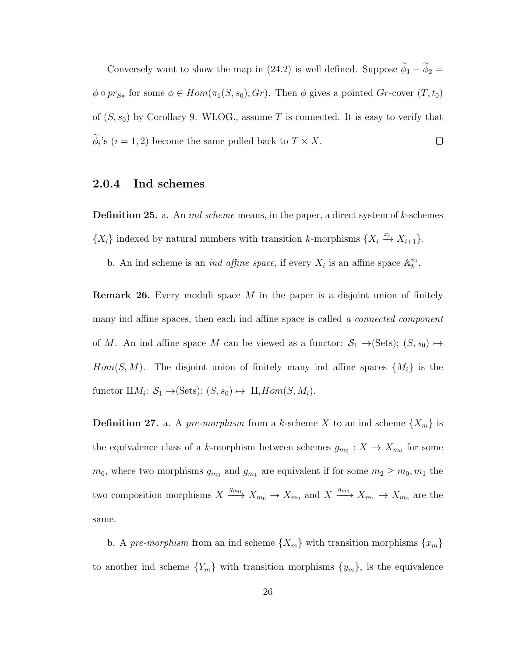Conversely want to show the map in (24.2) is well defined. Suppose  $\widetilde{\phi}_1 - \widetilde{\phi}_2 =$  $\phi \circ pr_{S*}$  for some  $\phi \in Hom(\pi_1(S, s_0), Gr)$ . Then  $\phi$  gives a pointed  $Gr\text{-cover } (T, t_0)$ of  $(S, s_0)$  by Corollary 9. WLOG., assume T is connected. It is easy to verify that  $\Box$  $\phi_i$ 's  $(i = 1, 2)$  become the same pulled back to  $T \times X$ .

#### 2.0.4 Ind schemes

**Definition 25.** a. An *ind scheme* means, in the paper, a direct system of  $k$ -schemes  ${X_i}$  indexed by natural numbers with transition k-morphisms  ${X_i \xrightarrow{x_i} X_{i+1}}$ .

b. An ind scheme is an *ind affine space*, if every  $X_i$  is an affine space  $\mathbb{A}_k^{n_i}$ .

**Remark 26.** Every moduli space M in the paper is a disjoint union of finitely many ind affine spaces, then each ind affine space is called a *connected component* of M. An ind affine space M can be viewed as a functor:  $S_1 \rightarrow (Sets)$ ;  $(S, s_0) \mapsto$  $Hom(S, M)$ . The disjoint union of finitely many ind affine spaces  $\{M_i\}$  is the functor  $\amalg M_i$ :  $S_1 \rightarrow (\text{Sets})$ ;  $(S, s_0) \mapsto \amalg_i Hom(S, M_i)$ .

**Definition 27.** a. A pre-morphism from a k-scheme X to an ind scheme  $\{X_m\}$  is the equivalence class of a k-morphism between schemes  $g_{m_0}: X \to X_{m_0}$  for some  $m_0$ , where two morphisms  $g_{m_0}$  and  $g_{m_1}$  are equivalent if for some  $m_2 \ge m_0, m_1$  the two composition morphisms  $X \xrightarrow{g_{m_0}} X_{m_0} \to X_{m_2}$  and  $X \xrightarrow{g_{m_1}} X_{m_1} \to X_{m_2}$  are the same.

b. A pre-morphism from an ind scheme  $\{X_m\}$  with transition morphisms  $\{x_m\}$ to another ind scheme  ${Y_m}$  with transition morphisms  ${y_m}$ , is the equivalence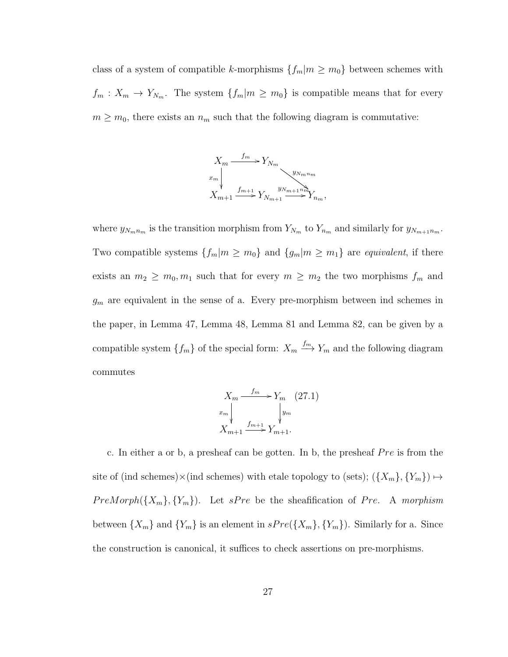class of a system of compatible k-morphisms  ${f_m|m \ge m_0}$  between schemes with  $f_m: X_m \to Y_{N_m}$ . The system  $\{f_m|m \geq m_0\}$  is compatible means that for every  $m \geq m_0$ , there exists an  $n_m$  such that the following diagram is commutative:



where  $y_{N_m n_m}$  is the transition morphism from  $Y_{N_m}$  to  $Y_{n_m}$  and similarly for  $y_{N_{m+1} n_m}$ . Two compatible systems  $\{f_m|m \ge m_0\}$  and  $\{g_m|m \ge m_1\}$  are *equivalent*, if there exists an  $m_2 \geq m_0, m_1$  such that for every  $m \geq m_2$  the two morphisms  $f_m$  and  $g_m$  are equivalent in the sense of a. Every pre-morphism between ind schemes in the paper, in Lemma 47, Lemma 48, Lemma 81 and Lemma 82, can be given by a compatible system  $\{f_m\}$  of the special form:  $X_m \xrightarrow{f_m} Y_m$  and the following diagram commutes

$$
X_m \xrightarrow{f_m} Y_m \quad (27.1)
$$
  
\n
$$
x_m \downarrow \qquad \qquad y_m
$$
  
\n
$$
X_{m+1} \xrightarrow{f_{m+1}} Y_{m+1}.
$$

c. In either a or b, a presheaf can be gotten. In b, the presheaf  $Pre$  is from the site of (ind schemes)×(ind schemes) with etale topology to (sets);  $({X_m}, {Y_m}) \mapsto$  $PreMorph(\lbrace X_m \rbrace, \lbrace Y_m \rbrace)$ . Let  $sPre$  be the sheafification of Pre. A morphism between  $\{X_m\}$  and  $\{Y_m\}$  is an element in  $sPre(\{X_m\}, \{Y_m\})$ . Similarly for a. Since the construction is canonical, it suffices to check assertions on pre-morphisms.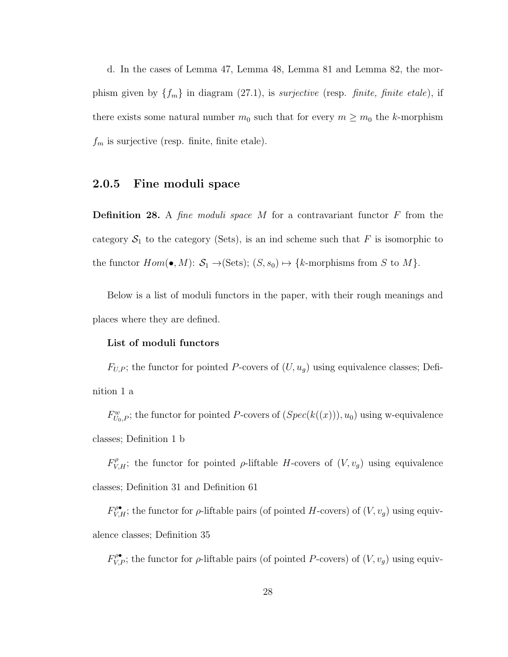d. In the cases of Lemma 47, Lemma 48, Lemma 81 and Lemma 82, the morphism given by  $\{f_m\}$  in diagram (27.1), is *surjective* (resp. *finite, finite etale*), if there exists some natural number  $m_0$  such that for every  $m \geq m_0$  the k-morphism  $f_m$  is surjective (resp. finite, finite etale).

#### 2.0.5 Fine moduli space

**Definition 28.** A fine moduli space M for a contravariant functor  $F$  from the category  $S_1$  to the category (Sets), is an ind scheme such that F is isomorphic to the functor  $Hom(\bullet, M)$ :  $S_1 \rightarrow (Sets)$ ;  $(S, s_0) \mapsto \{k$ -morphisms from S to M $\}$ .

Below is a list of moduli functors in the paper, with their rough meanings and places where they are defined.

#### List of moduli functors

 $F_{U,P}$ ; the functor for pointed P-covers of  $(U, u_g)$  using equivalence classes; Definition 1 a

 $F_{U_0,P}^w$ ; the functor for pointed P-covers of  $(Spec(k((x))), u_0)$  using w-equivalence classes; Definition 1 b

 $F_{V,H}^{\rho}$ ; the functor for pointed  $\rho$ -liftable H-covers of  $(V, v_g)$  using equivalence classes; Definition 31 and Definition 61

 $F_{V,H}^{\rho\bullet}$ ; the functor for  $\rho$ -liftable pairs (of pointed H-covers) of  $(V, v_g)$  using equivalence classes; Definition 35

 $F_{V,P}^{\rho\bullet}$ ; the functor for  $\rho$ -liftable pairs (of pointed P-covers) of  $(V, v_g)$  using equiv-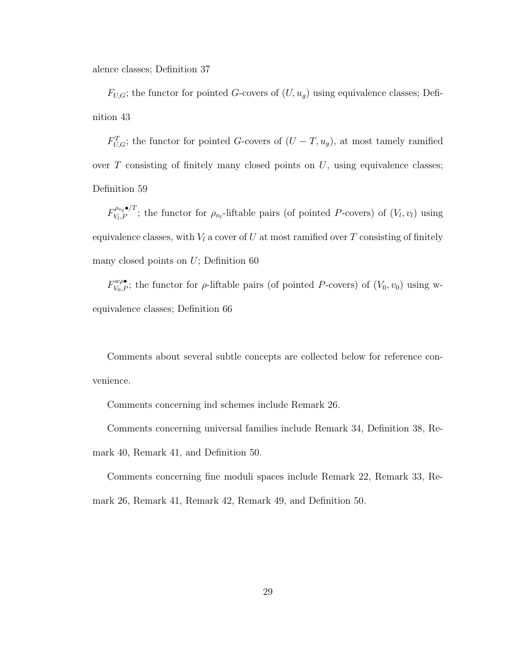alence classes; Definition 37

 $F_{U,G}$ ; the functor for pointed G-covers of  $(U, u_g)$  using equivalence classes; Definition 43

 $F_{U,G}^T$ ; the functor for pointed G-covers of  $(U-T, u_g)$ , at most tamely ramified over  $T$  consisting of finitely many closed points on  $U$ , using equivalence classes; Definition 59

 $F_{V_L P}^{\rho_{n_l} \bullet /T}$  $V_{V_l,P}^{p_{n_l}\bullet/1}$ ; the functor for  $\rho_{n_l}$ -liftable pairs (of pointed P-covers) of  $(V_l,v_l)$  using equivalence classes, with  $V_l$  a cover of U at most ramified over T consisting of finitely many closed points on  $U$ ; Definition 60

 $F_{V_0,P}^{w\rho\bullet}$ ; the functor for  $\rho$ -liftable pairs (of pointed P-covers) of  $(V_0,v_0)$  using wequivalence classes; Definition 66

Comments about several subtle concepts are collected below for reference convenience.

Comments concerning ind schemes include Remark 26.

Comments concerning universal families include Remark 34, Definition 38, Remark 40, Remark 41, and Definition 50.

Comments concerning fine moduli spaces include Remark 22, Remark 33, Remark 26, Remark 41, Remark 42, Remark 49, and Definition 50.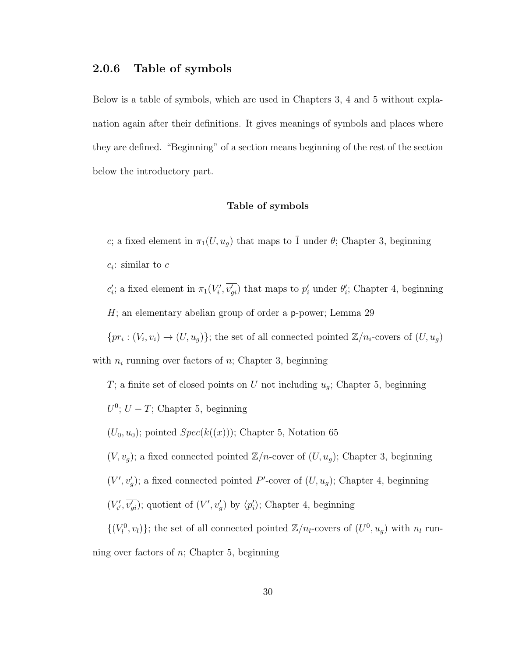#### 2.0.6 Table of symbols

Below is a table of symbols, which are used in Chapters 3, 4 and 5 without explanation again after their definitions. It gives meanings of symbols and places where they are defined. "Beginning" of a section means beginning of the rest of the section below the introductory part.

#### Table of symbols

c; a fixed element in  $\pi_1(U, u_g)$  that maps to  $\overline{1}$  under  $\theta$ ; Chapter 3, beginning  $c_i$ : similar to  $c$ 

 $c_i$ ; a fixed element in  $\pi_1(V_i', \overline{v_{gi}})$  that maps to  $p_i'$  under  $\theta_i'$ ; Chapter 4, beginning  $H$ ; an elementary abelian group of order a **p**-power; Lemma 29

 ${pr_i : (V_i, v_i) \to (U, u_g)}$ ; the set of all connected pointed  $\mathbb{Z}/n_i$ -covers of  $(U, u_g)$ 

with  $n_i$  running over factors of n; Chapter 3, beginning

 $T;$  a finite set of closed points on  $U$  not including  $u_g;$  Chapter 5, beginning  $U^0$ ;  $U - T$ ; Chapter 5, beginning  $(U_0, u_0)$ ; pointed  $Spec(k((x)))$ ; Chapter 5, Notation 65  $(V, v_g)$ ; a fixed connected pointed  $\mathbb{Z}/n$ -cover of  $(U, u_g)$ ; Chapter 3, beginning  $(V', v'_g)$ ; a fixed connected pointed P'-cover of  $(U, u_g)$ ; Chapter 4, beginning  $(V'_{i'}, \overline{v'_{gi}})$ ; quotient of  $(V', v'_{g})$  by  $\langle p'_{i} \rangle$ ; Chapter 4, beginning  $\{(V_l^0, v_l)\};$  the set of all connected pointed  $\mathbb{Z}/n_l$ -covers of  $(U^0, u_g)$  with  $n_l$  run-

ning over factors of  $n$ ; Chapter 5, beginning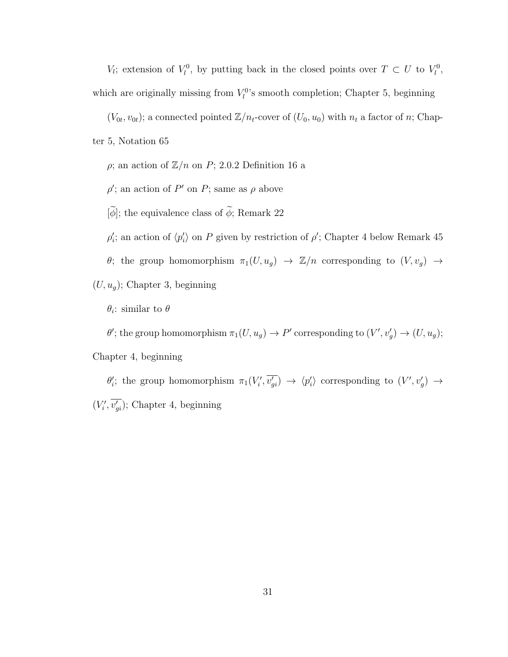V<sub>i</sub>; extension of  $V_l^0$ , by putting back in the closed points over  $T \subset U$  to  $V_l^0$ , which are originally missing from  $V_l^0$ 's smooth completion; Chapter 5, beginning

 $(V_{0t}, v_{0t})$ ; a connected pointed  $\mathbb{Z}/n_t$ -cover of  $(U_0, u_0)$  with  $n_t$  a factor of n; Chapter 5, Notation 65

 $\rho;$ an action of  $\mathbb{Z}/n$  on  $P;$  2.0.2 Definition 16 a

 $\rho'$ ; an action of P' on P; same as  $\rho$  above

 $[\widetilde{\phi}];$  the equivalence class of  $\widetilde{\phi};$  Remark 22

 $\rho_i'$ ; an action of  $\langle p_i' \rangle$  on P given by restriction of  $\rho'$ ; Chapter 4 below Remark 45

θ; the group homomorphism  $\pi_1(U, u_g) \to \mathbb{Z}/n$  corresponding to  $(V, v_g) \to$ 

 $(U, u_g)$ ; Chapter 3, beginning

 $\theta_i$ : similar to  $\theta$ 

 $\theta'$ ; the group homomorphism  $\pi_1(U, u_g) \to P'$  corresponding to  $(V', v'_g) \to (U, u_g)$ ;

Chapter 4, beginning

 $\theta'_i$ ; the group homomorphism  $\pi_1(V'_i, \overline{v'_{gi}}) \to \langle p'_i \rangle$  corresponding to  $(V', v'_g) \to$  $(V_i', \overline{v_{gi}})$ ; Chapter 4, beginning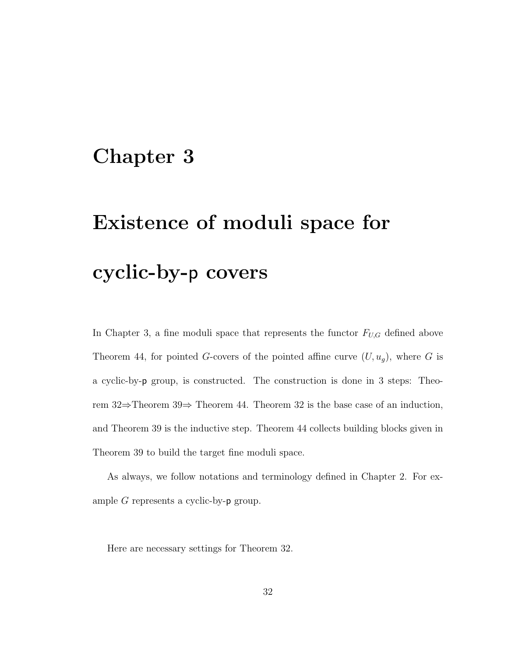## Chapter 3

# Existence of moduli space for cyclic-by-p covers

In Chapter 3, a fine moduli space that represents the functor  $F_{U,G}$  defined above Theorem 44, for pointed G-covers of the pointed affine curve  $(U, u_g)$ , where G is a cyclic-by-p group, is constructed. The construction is done in 3 steps: Theorem 32⇒Theorem 39⇒ Theorem 44. Theorem 32 is the base case of an induction, and Theorem 39 is the inductive step. Theorem 44 collects building blocks given in Theorem 39 to build the target fine moduli space.

As always, we follow notations and terminology defined in Chapter 2. For example  $G$  represents a cyclic-by- $p$  group.

Here are necessary settings for Theorem 32.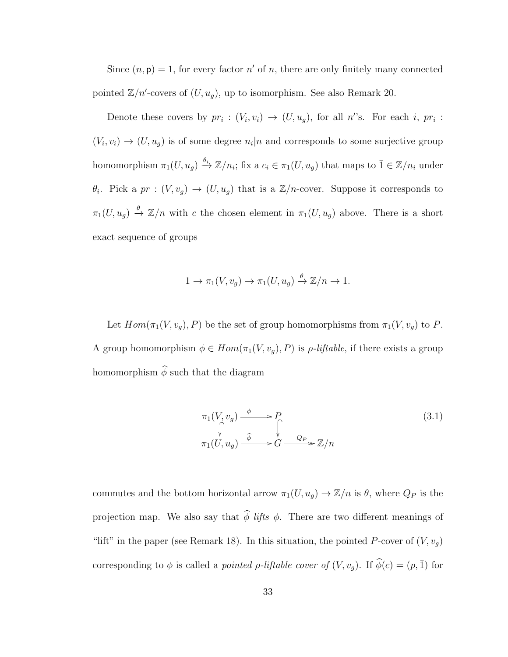Since  $(n, p) = 1$ , for every factor n' of n, there are only finitely many connected pointed  $\mathbb{Z}/n'$ -covers of  $(U, u_g)$ , up to isomorphism. See also Remark 20.

Denote these covers by  $pr_i: (V_i, v_i) \to (U, u_g)$ , for all n's. For each i,  $pr_i$ :  $(V_i, v_i) \rightarrow (U, u_g)$  is of some degree  $n_i | n$  and corresponds to some surjective group homomorphism  $\pi_1(U, u_g) \stackrel{\theta_i}{\to} \mathbb{Z}/n_i$ ; fix a  $c_i \in \pi_1(U, u_g)$  that maps to  $\overline{1} \in \mathbb{Z}/n_i$  under  $\theta_i$ . Pick a  $pr : (V, v_g) \to (U, u_g)$  that is a  $\mathbb{Z}/n$ -cover. Suppose it corresponds to  $\pi_1(U, u_g) \stackrel{\theta}{\to} \mathbb{Z}/n$  with c the chosen element in  $\pi_1(U, u_g)$  above. There is a short exact sequence of groups

$$
1 \to \pi_1(V, v_g) \to \pi_1(U, u_g) \xrightarrow{\theta} \mathbb{Z}/n \to 1.
$$

Let  $Hom(\pi_1(V, v_g), P)$  be the set of group homomorphisms from  $\pi_1(V, v_g)$  to P. A group homomorphism  $\phi \in Hom(\pi_1(V, v_g), P)$  is  $\rho$ -liftable, if there exists a group homomorphism  $\widehat{\phi}$  such that the diagram

$$
\pi_1(V, v_g) \xrightarrow{\phi} P
$$
\n
$$
\uparrow \qquad \qquad \downarrow
$$
\n
$$
\pi_1(U, u_g) \xrightarrow{\hat{\phi}} G \xrightarrow{Q_P} \mathbb{Z}/n
$$
\n(3.1)

commutes and the bottom horizontal arrow  $\pi_1(U, u_g) \to \mathbb{Z}/n$  is  $\theta$ , where  $Q_P$  is the projection map. We also say that  $\hat{\phi}$  lifts  $\phi$ . There are two different meanings of "lift" in the paper (see Remark 18). In this situation, the pointed P-cover of  $(V, v_g)$ corresponding to  $\phi$  is called a *pointed*  $\rho$ *-liftable cover of*  $(V, v_g)$ . If  $\widehat{\phi}(c) = (p, \overline{1})$  for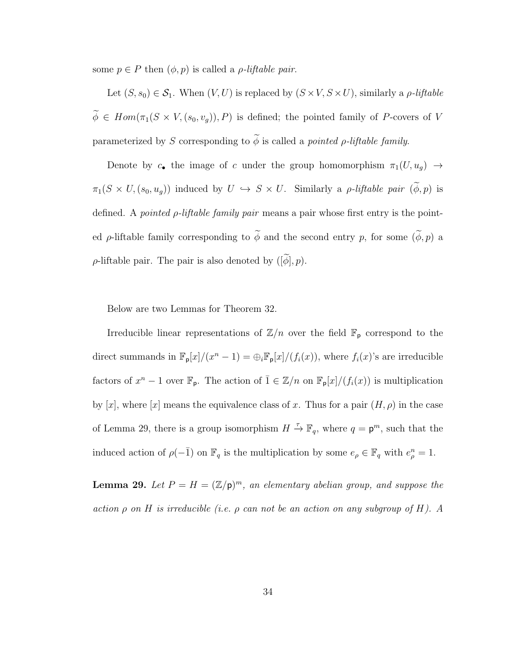some  $p \in P$  then  $(\phi, p)$  is called a *ρ*-liftable pair.

Let  $(S, s_0) \in \mathcal{S}_1$ . When  $(V, U)$  is replaced by  $(S \times V, S \times U)$ , similarly a *ρ-liftable*  $\widetilde{\phi} \in Hom(\pi_1(S \times V, (s_0, v_g)), P)$  is defined; the pointed family of P-covers of V parameterized by S corresponding to  $\widetilde{\phi}$  is called a *pointed*  $\rho$ *-liftable family.* 

Denote by  $c_{\bullet}$  the image of c under the group homomorphism  $\pi_1(U, u_g) \rightarrow$  $\pi_1(S \times U, (s_0, u_g))$  induced by  $U \hookrightarrow S \times U$ . Similarly a *ρ-liftable pair*  $(\widetilde{\phi}, p)$  is defined. A *pointed*  $\rho$ *-liftable family pair* means a pair whose first entry is the pointed  $\rho$ -liftable family corresponding to  $\widetilde{\phi}$  and the second entry p, for some  $(\widetilde{\phi}, p)$  a  $\rho$ -liftable pair. The pair is also denoted by  $([\widetilde{\phi}], p)$ .

Below are two Lemmas for Theorem 32.

Irreducible linear representations of  $\mathbb{Z}/n$  over the field  $\mathbb{F}_p$  correspond to the direct summands in  $\mathbb{F}_p[x]/(x^n-1) = \bigoplus_i \mathbb{F}_p[x]/(f_i(x))$ , where  $f_i(x)$ 's are irreducible factors of  $x^n - 1$  over  $\mathbb{F}_p$ . The action of  $\overline{1} \in \mathbb{Z}/n$  on  $\mathbb{F}_p[x]/(f_i(x))$  is multiplication by [x], where [x] means the equivalence class of x. Thus for a pair  $(H, \rho)$  in the case of Lemma 29, there is a group isomorphism  $H \stackrel{\tau}{\to} \mathbb{F}_q$ , where  $q = \mathsf{p}^m$ , such that the induced action of  $\rho(-\bar{1})$  on  $\mathbb{F}_q$  is the multiplication by some  $e_{\rho} \in \mathbb{F}_q$  with  $e_{\rho}^n = 1$ .

**Lemma 29.** Let  $P = H = (\mathbb{Z}/p)^m$ , an elementary abelian group, and suppose the action  $\rho$  on  $H$  is irreducible (i.e.  $\rho$  can not be an action on any subgroup of  $H$ ). A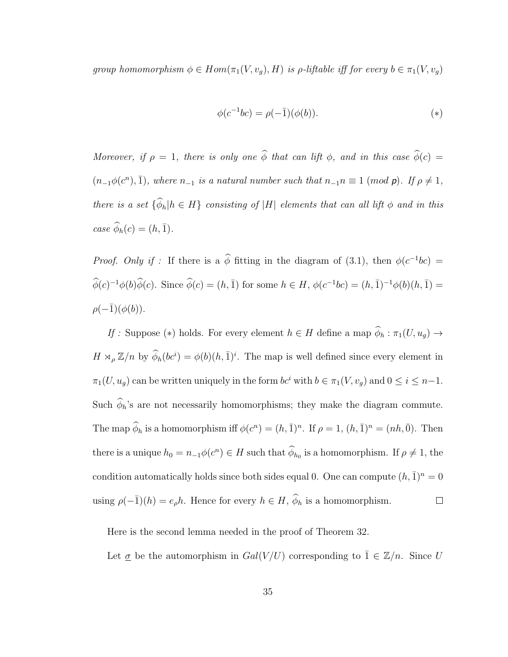group homomorphism  $\phi \in Hom(\pi_1(V, v_g), H)$  is  $\rho$ -liftable iff for every  $b \in \pi_1(V, v_g)$ 

$$
\phi(c^{-1}bc) = \rho(-\bar{1})(\phi(b)).
$$
\n<sup>(\*)</sup>

Moreover, if  $\rho = 1$ , there is only one  $\hat{\phi}$  that can lift  $\phi$ , and in this case  $\hat{\phi}(c) =$  $(n_{-1}\phi(c^n), \bar{1})$ , where  $n_{-1}$  is a natural number such that  $n_{-1}n \equiv 1 \pmod{p}$ . If  $\rho \neq 1$ , there is a set  $\{\widehat{\phi}_h | h \in H\}$  consisting of |H| elements that can all lift  $\phi$  and in this case  $\widehat{\phi}_h(c) = (h, \overline{1}).$ 

*Proof.* Only if : If there is a  $\hat{\phi}$  fitting in the diagram of (3.1), then  $\phi(c^{-1}bc)$  =  $\widehat{\phi}(c)^{-1}\phi(b)\widehat{\phi}(c)$ . Since  $\widehat{\phi}(c) = (h, \bar{1})$  for some  $h \in H$ ,  $\phi(c^{-1}bc) = (h, \bar{1})^{-1}\phi(b)(h, \bar{1}) =$  $\rho(-\overline{1})(\phi(b)).$ 

 $\mathit{If}$  : Suppose  $(*)$  holds. For every element  $h\in H$  define a map  $\widehat{\phi}_h:\pi_1(U,u_g)\to$  $H \rtimes_{\rho} \mathbb{Z}/n$  by  $\widehat{\phi}_h(bc^i) = \phi(b)(h, \bar{1})^i$ . The map is well defined since every element in  $\pi_1(U, u_g)$  can be written uniquely in the form  $bc^i$  with  $b \in \pi_1(V, v_g)$  and  $0 \le i \le n-1$ . Such  $\hat{\phi}_h$ 's are not necessarily homomorphisms; they make the diagram commute. The map  $\hat{\phi}_h$  is a homomorphism iff  $\phi(c^n) = (h, \bar{1})^n$ . If  $\rho = 1$ ,  $(h, \bar{1})^n = (nh, \bar{0})$ . Then there is a unique  $h_0 = n_{-1}\phi(c^n) \in H$  such that  $\phi_{h_0}$  is a homomorphism. If  $\rho \neq 1$ , the condition automatically holds since both sides equal 0. One can compute  $(h, \bar{1})^n = 0$ using  $\rho(-\bar{1})(h) = e_{\rho}h$ . Hence for every  $h \in H$ ,  $\widehat{\phi}_h$  is a homomorphism.  $\Box$ 

Here is the second lemma needed in the proof of Theorem 32.

Let  $\underline{\sigma}$  be the automorphism in  $Gal(V/U)$  corresponding to  $\overline{1} \in \mathbb{Z}/n$ . Since U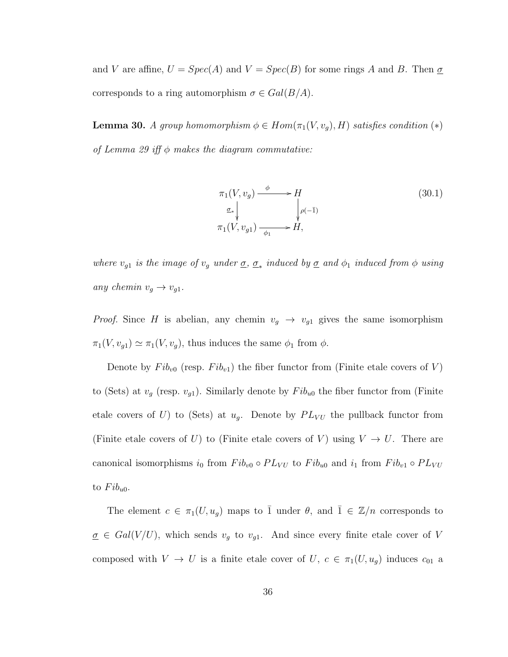and V are affine,  $U = Spec(A)$  and  $V = Spec(B)$  for some rings A and B. Then  $\sigma$ corresponds to a ring automorphism  $\sigma \in Gal(B/A)$ .

**Lemma 30.** A group homomorphism  $\phi \in Hom(\pi_1(V, v_g), H)$  satisfies condition  $(*)$ of Lemma 29 iff  $\phi$  makes the diagram commutative:

$$
\pi_1(V, v_g) \xrightarrow{\phi} H
$$
\n
$$
\sigma_* \downarrow \qquad \qquad \downarrow \rho(-\bar{1})
$$
\n
$$
\pi_1(V, v_{g1}) \xrightarrow{\phi_1} H,
$$
\n(30.1)

where  $v_{g1}$  is the image of  $v_g$  under  $\underline{\sigma}$ ,  $\underline{\sigma}_*$  induced by  $\underline{\sigma}$  and  $\phi_1$  induced from  $\phi$  using any chemin  $v_g \to v_{g1}$ .

*Proof.* Since H is abelian, any chemin  $v_g \rightarrow v_{g1}$  gives the same isomorphism  $\pi_1(V, v_{g1}) \simeq \pi_1(V, v_g)$ , thus induces the same  $\phi_1$  from  $\phi$ .

Denote by  $Fib_{v0}$  (resp.  $Fib_{v1}$ ) the fiber functor from (Finite etale covers of V) to (Sets) at  $v_g$  (resp.  $v_{g1}$ ). Similarly denote by  $Fib_{u0}$  the fiber functor from (Finite etale covers of U) to (Sets) at  $u_g$ . Denote by  $PL_{VU}$  the pullback functor from (Finite etale covers of U) to (Finite etale covers of V) using  $V \to U$ . There are canonical isomorphisms  $i_0$  from  $Fib_{v0} \circ PL_{VU}$  to  $Fib_{u0}$  and  $i_1$  from  $Fib_{v1} \circ PL_{VU}$ to  $Fib_{u0}$ .

The element  $c \in \pi_1(U, u_g)$  maps to  $\overline{1}$  under  $\theta$ , and  $\overline{1} \in \mathbb{Z}/n$  corresponds to  $\underline{\sigma} \in Gal(V/U)$ , which sends  $v_g$  to  $v_{g1}$ . And since every finite etale cover of V composed with  $V \to U$  is a finite etale cover of  $U, c \in \pi_1(U, u_g)$  induces  $c_{01}$  a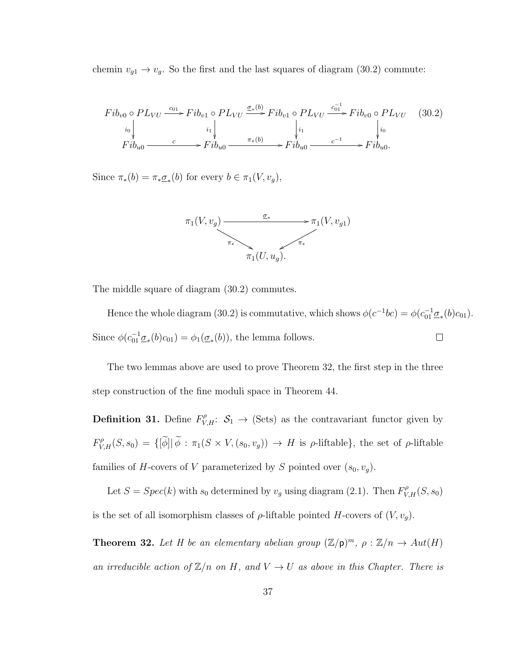chemin  $v_{g1} \rightarrow v_g$ . So the first and the last squares of diagram (30.2) commute:

$$
Fib_{v0} \circ PL_{VU} \xrightarrow{c_{01}} Fib_{v1} \circ PL_{VU} \xrightarrow{\sigma_{*}(b)} Fib_{v1} \circ PL_{VU} \xrightarrow{c_{01}^{-1}} Fib_{v0} \circ PL_{VU} \quad (30.2)
$$
  
\n
$$
\downarrow i_{0} \qquad \qquad i_{1} \qquad \qquad i_{1} \qquad \qquad i_{1} \qquad \qquad i_{0}
$$
  
\n
$$
Fib_{u0} \xrightarrow{c} Fib_{u0} \xrightarrow{\pi_{*}(b)} Fib_{u0} \xrightarrow{c^{-1}} Fib_{u0}.
$$

Since  $\pi_*(b) = \pi_* \underline{\sigma}_*(b)$  for every  $b \in \pi_1(V, v_g)$ ,



The middle square of diagram (30.2) commutes.

Hence the whole diagram (30.2) is commutative, which shows  $\phi(c^{-1}bc) = \phi(c_{01}^{-1}\underline{\sigma}_*(b)c_{01})$ . Since  $\phi(c_{01}^{-1}\underline{\sigma}_*(b)c_{01}) = \phi_1(\underline{\sigma}_*(b))$ , the lemma follows.  $\Box$ 

The two lemmas above are used to prove Theorem 32, the first step in the three step construction of the fine moduli space in Theorem 44.

**Definition 31.** Define  $F_{V,H}^{\rho}$ :  $S_1 \rightarrow$  (Sets) as the contravariant functor given by  $F_{V,H}^{\rho}(S,s_0) = \{ [\tilde{\phi}] | \tilde{\phi} : \pi_1(S \times V, (s_0, v_g)) \to H \text{ is } \rho\text{-liftable} \},\$ the set of  $\rho\text{-liftable}$ families of *H*-covers of *V* parameterized by *S* pointed over  $(s_0, v_g)$ .

Let  $S = Spec(k)$  with  $s_0$  determined by  $v_g$  using diagram (2.1). Then  $F_{V,H}^{\rho}(S, s_0)$ is the set of all isomorphism classes of  $\rho$ -liftable pointed H-covers of  $(V, v_g)$ .

**Theorem 32.** Let H be an elementary abelian group  $(\mathbb{Z}/p)^m$ ,  $\rho : \mathbb{Z}/n \to Aut(H)$ an irreducible action of  $\mathbb{Z}/n$  on H, and  $V \to U$  as above in this Chapter. There is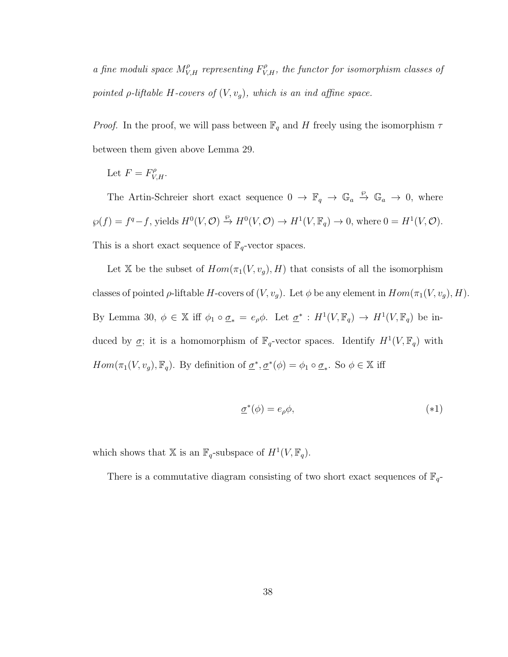a fine moduli space  $M_{V,H}^{\rho}$  representing  $F_{V,H}^{\rho}$ , the functor for isomorphism classes of pointed  $\rho$ -liftable H-covers of  $(V, v_g)$ , which is an ind affine space.

*Proof.* In the proof, we will pass between  $\mathbb{F}_q$  and H freely using the isomorphism  $\tau$ between them given above Lemma 29.

Let 
$$
F = F_{V,H}^{\rho}
$$
.

The Artin-Schreier short exact sequence  $0 \to \mathbb{F}_q \to \mathbb{G}_a \stackrel{\wp}{\to} \mathbb{G}_a \to 0$ , where  $\wp(f) = f^q - f$ , yields  $H^0(V, \mathcal{O}) \stackrel{\wp}{\to} H^0(V, \mathcal{O}) \to H^1(V, \mathbb{F}_q) \to 0$ , where  $0 = H^1(V, \mathcal{O})$ . This is a short exact sequence of  $\mathbb{F}_q$ -vector spaces.

Let X be the subset of  $Hom(\pi_1(V, v_g), H)$  that consists of all the isomorphism classes of pointed  $\rho$ -liftable H-covers of  $(V, v_g)$ . Let  $\phi$  be any element in  $Hom(\pi_1(V, v_g), H)$ . By Lemma 30,  $\phi \in \mathbb{X}$  iff  $\phi_1 \circ \sigma_* = e_{\rho} \phi$ . Let  $\underline{\sigma}^* : H^1(V, \mathbb{F}_q) \to H^1(V, \mathbb{F}_q)$  be induced by  $\underline{\sigma}$ ; it is a homomorphism of  $\mathbb{F}_q$ -vector spaces. Identify  $H^1(V, \mathbb{F}_q)$  with  $Hom(\pi_1(V, v_g), \mathbb{F}_q)$ . By definition of  $\underline{\sigma}^*, \underline{\sigma}^*(\phi) = \phi_1 \circ \underline{\sigma}_*$ . So  $\phi \in \mathbb{X}$  iff

$$
\underline{\sigma}^*(\phi) = e_{\rho}\phi,\tag{*1}
$$

which shows that X is an  $\mathbb{F}_q$ -subspace of  $H^1(V, \mathbb{F}_q)$ .

There is a commutative diagram consisting of two short exact sequences of  $\mathbb{F}_q$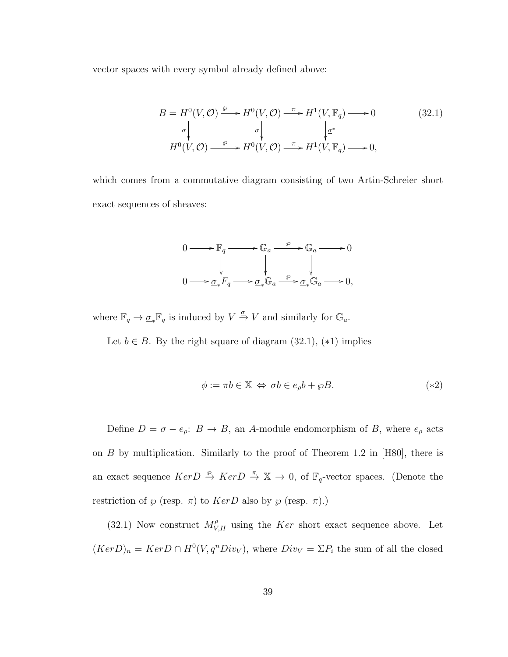vector spaces with every symbol already defined above:

$$
B = H^{0}(V, \mathcal{O}) \xrightarrow{\varphi} H^{0}(V, \mathcal{O}) \xrightarrow{\pi} H^{1}(V, \mathbb{F}_{q}) \longrightarrow 0
$$
\n
$$
\downarrow \sigma \qquad \qquad \downarrow \qquad \downarrow \mathcal{E}^{*}
$$
\n
$$
H^{0}(V, \mathcal{O}) \xrightarrow{\varphi} H^{0}(V, \mathcal{O}) \xrightarrow{\pi} H^{1}(V, \mathbb{F}_{q}) \longrightarrow 0,
$$
\n
$$
(32.1)
$$

which comes from a commutative diagram consisting of two Artin-Schreier short exact sequences of sheaves:

$$
0 \longrightarrow \mathbb{F}_q \longrightarrow \mathbb{G}_a \longrightarrow \mathbb{G}_a \longrightarrow 0
$$
  
\n
$$
\downarrow \qquad \qquad \downarrow \qquad \qquad \downarrow
$$
  
\n
$$
0 \longrightarrow \underline{\sigma}_* F_q \longrightarrow \underline{\sigma}_* \mathbb{G}_a \longrightarrow \underline{\sigma}_* \mathbb{G}_a \longrightarrow 0,
$$

where  $\mathbb{F}_q \to \underline{\sigma}_* \mathbb{F}_q$  is induced by  $V \stackrel{\sigma}{\to} V$  and similarly for  $\mathbb{G}_a$ .

Let  $b \in B$ . By the right square of diagram (32.1), (\*1) implies

$$
\phi := \pi b \in \mathbb{X} \iff \sigma b \in e_{\rho} b + \wp B. \tag{42}
$$

Define  $D = \sigma - e_{\rho}: B \to B$ , an A-module endomorphism of B, where  $e_{\rho}$  acts on B by multiplication. Similarly to the proof of Theorem 1.2 in [H80], there is an exact sequence  $Ker D \stackrel{\wp}{\to} Ker D \stackrel{\pi}{\to} \mathbb{X} \to 0$ , of  $\mathbb{F}_q$ -vector spaces. (Denote the restriction of  $\varphi$  (resp.  $\pi$ ) to  $KerD$  also by  $\varphi$  (resp.  $\pi$ ).)

(32.1) Now construct  $M_{V,H}^{\rho}$  using the Ker short exact sequence above. Let  $(KerD)<sub>n</sub> = KerD \cap H<sup>0</sup>(V, q<sup>n</sup>Div<sub>V</sub>)$ , where  $Div<sub>V</sub> = \Sigma P<sub>i</sub>$  the sum of all the closed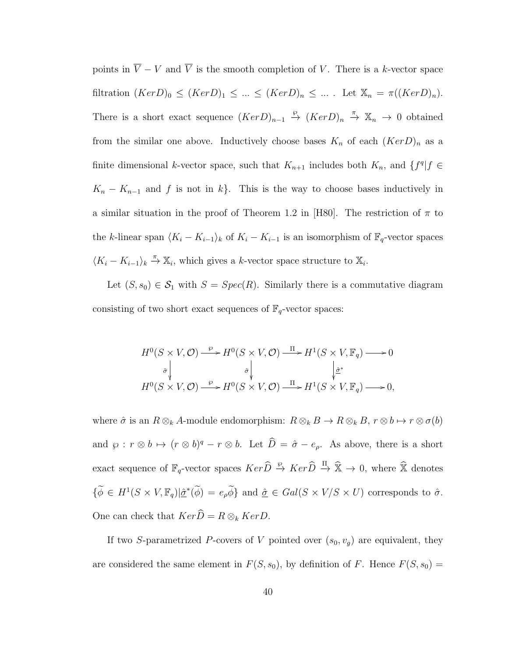points in  $\overline{V} - V$  and  $\overline{V}$  is the smooth completion of V. There is a k-vector space filtration  $(KerD)_0 \leq (KerD)_1 \leq ... \leq (KerD)_n \leq ...$  Let  $\mathbb{X}_n = \pi((KerD)_n)$ . There is a short exact sequence  $(KerD)_{n-1} \stackrel{\wp}{\to} (KerD)_n \stackrel{\pi}{\to} \mathbb{X}_n \to 0$  obtained from the similar one above. Inductively choose bases  $K_n$  of each  $(KerD)_n$  as a finite dimensional k-vector space, such that  $K_{n+1}$  includes both  $K_n$ , and  $\{f^q | f \in$  $K_n - K_{n-1}$  and f is not in k}. This is the way to choose bases inductively in a similar situation in the proof of Theorem 1.2 in [H80]. The restriction of  $\pi$  to the k-linear span  $\langle K_i - K_{i-1} \rangle_k$  of  $K_i - K_{i-1}$  is an isomorphism of  $\mathbb{F}_q$ -vector spaces  $\langle K_i - K_{i-1} \rangle_k \stackrel{\pi}{\rightarrow} \mathbb{X}_i$ , which gives a k-vector space structure to  $\mathbb{X}_i$ .

Let  $(S, s_0) \in S_1$  with  $S = Spec(R)$ . Similarly there is a commutative diagram consisting of two short exact sequences of  $\mathbb{F}_q$ -vector spaces:

$$
\begin{array}{c}\nH^0(S \times V, \mathcal{O}) \xrightarrow{\varphi} H^0(S \times V, \mathcal{O}) \xrightarrow{\Pi} H^1(S \times V, \mathbb{F}_q) \longrightarrow 0 \\
\uparrow \downarrow \qquad \qquad \downarrow \downarrow \downarrow \downarrow \\
H^0(S \times V, \mathcal{O}) \xrightarrow{\varphi} H^0(S \times V, \mathcal{O}) \xrightarrow{\Pi} H^1(S \times V, \mathbb{F}_q) \longrightarrow 0,\n\end{array}
$$

where  $\hat{\sigma}$  is an  $R \otimes_k A$ -module endomorphism:  $R \otimes_k B \to R \otimes_k B$ ,  $r \otimes b \mapsto r \otimes \sigma(b)$ and  $\wp : r \otimes b \mapsto (r \otimes b)^q - r \otimes b$ . Let  $\widehat{D} = \widehat{\sigma} - e_{\rho}$ . As above, there is a short exact sequence of  $\mathbb{F}_q$ -vector spaces  $Ker \hat{D} \stackrel{\wp}{\to} Ker \hat{D} \stackrel{\Pi}{\to} \hat{\mathbb{X}} \to 0$ , where  $\hat{\mathbb{X}}$  denotes  $\{\widetilde{\phi} \in H^1(S \times V, \mathbb{F}_q) | \underline{\hat{\sigma}}^*(\widetilde{\phi}) = e_{\rho} \widetilde{\phi}\}\$ and  $\underline{\hat{\sigma}} \in Gal(S \times V/S \times U)$  corresponds to  $\hat{\sigma}$ . One can check that  $Ker\widehat{D} = R \otimes_k KerD$ .

If two S-parametrized P-covers of V pointed over  $(s_0, v_g)$  are equivalent, they are considered the same element in  $F(S, s_0)$ , by definition of F. Hence  $F(S, s_0)$  =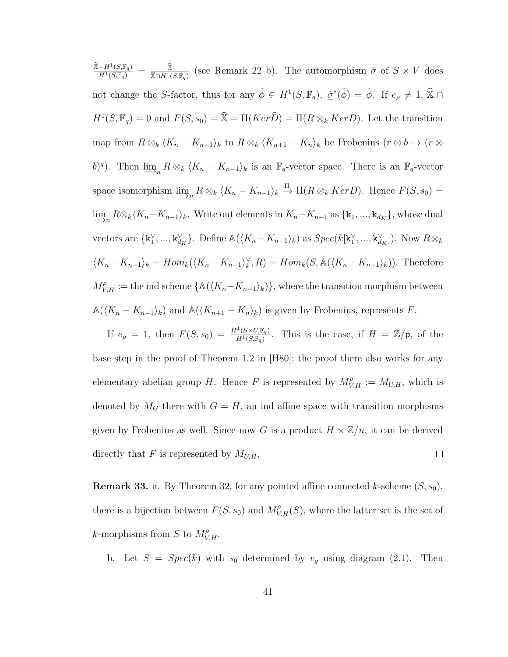$\frac{\widehat{\mathbb{X}}+H^1(S,\mathbb{F}_q)}{H^1(S,\mathbb{F}_q)}\,=\,\frac{\widehat{\mathbb{X}}}{\widehat{\mathbb{X}}\cap H^1(S)}$  $\frac{\mathbb{X}}{\mathbb{X}\cap H^1(S,\mathbb{F}_q)}$  (see Remark 22 b). The automorphism  $\hat{\underline{\sigma}}$  of  $S \times V$  does not change the S-factor, thus for any  $\tilde{\phi} \in H^1(S, \mathbb{F}_q)$ ,  $\hat{\underline{\sigma}}^*(\tilde{\phi}) = \tilde{\phi}$ . If  $e_{\rho} \neq 1$ ,  $\hat{\mathbb{X}} \cap$  $H^1(S, \mathbb{F}_q) = 0$  and  $F(S, s_0) = \hat{\mathbb{X}} = \Pi(Ker\widehat{D}) = \Pi(R \otimes_k KerD)$ . Let the transition map from  $R \otimes_k \langle K_n - K_{n-1} \rangle_k$  to  $R \otimes_k \langle K_{n+1} - K_n \rangle_k$  be Frobenius  $(r \otimes b \mapsto (r \otimes b))$ b)<sup>q</sup>). Then  $\varinjlim_n R \otimes_k \langle K_n - K_{n-1} \rangle_k$  is an  $\mathbb{F}_q$ -vector space. There is an  $\mathbb{F}_q$ -vector space isomorphism  $\varinjlim_n R \otimes_k \langle K_n - K_{n-1} \rangle_k \stackrel{\Pi}{\to} \Pi(R \otimes_k Ker D)$ . Hence  $F(S, s_0) =$  $\varinjlim_n R\otimes_k \langle K_n-K_{n-1}\rangle_k$ . Write out elements in  $K_n-K_{n-1}$  as  $\{k_1,...,k_{d_K}\}$ , whose dual vectors are  $\{\mathbf{k}_1^{\vee},...,\mathbf{k}_{d_K}^{\vee}\}$ . Define  $\mathbb{A}(\langle K_n - K_{n-1} \rangle_k)$  as  $Spec(k[\mathbf{k}_1^{\vee},..., \mathbf{k}_{d_K}^{\vee}])$ . Now  $R \otimes_k$  $\langle K_n - K_{n-1} \rangle_k = Hom_k(\langle K_n - K_{n-1} \rangle_k^{\vee}, R) = Hom_k(S, \mathbb{A}(\langle K_n - K_{n-1} \rangle_k)).$  Therefore  $M_{V,H}^{\rho} :=$  the ind scheme  $\{\mathbb{A}(\langle K_n - K_{n-1} \rangle_k)\}\$ , where the transition morphism between  $\mathbb{A}(\langle K_n - K_{n-1} \rangle_k)$  and  $\mathbb{A}(\langle K_{n+1} - K_n \rangle_k)$  is given by Frobenius, represents F.

If  $e_{\rho} = 1$ , then  $F(S, s_0) = \frac{H^1(S \times U, \mathbb{F}_q)}{H^1(S \times \mathbb{F}_q)}$  $\frac{H^1(S \times U, \mathbb{F}_q)}{H^1(S, \mathbb{F}_q)}$ . This is the case, if  $H = \mathbb{Z}/p$ , of the base step in the proof of Theorem 1.2 in [H80]; the proof there also works for any elementary abelian group H. Hence F is represented by  $M_{V,H}^{\rho} := M_{U,H}$ , which is denoted by  $M_G$  there with  $G = H$ , an ind affine space with transition morphisms given by Frobenius as well. Since now G is a product  $H \times \mathbb{Z}/n$ , it can be derived directly that F is represented by  $M_{U,H}$ ,  $\Box$ 

**Remark 33.** a. By Theorem 32, for any pointed affine connected k-scheme  $(S, s_0)$ , there is a bijection between  $F(S, s_0)$  and  $M_{V,H}^{\rho}(S)$ , where the latter set is the set of k-morphisms from S to  $M_{V,H}^{\rho}$ .

b. Let  $S = Spec(k)$  with  $s_0$  determined by  $v_g$  using diagram (2.1). Then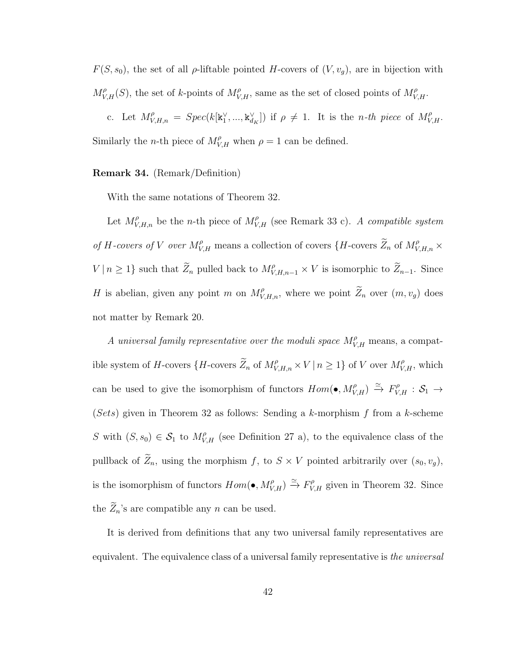$F(S, s_0)$ , the set of all  $\rho$ -liftable pointed H-covers of  $(V, v_g)$ , are in bijection with  $M_{V,H}^{\rho}(S)$ , the set of k-points of  $M_{V,H}^{\rho}$ , same as the set of closed points of  $M_{V,H}^{\rho}$ .

c. Let  $M_{V,H,n}^{\rho} = Spec(k[\mathbf{k}_1^{\vee},..., \mathbf{k}_{d_K}^{\vee}])$  if  $\rho \neq 1$ . It is the *n-th piece* of  $M_{V,H}^{\rho}$ . Similarly the *n*-th piece of  $M_{V,H}^{\rho}$  when  $\rho = 1$  can be defined.

## Remark 34. (Remark/Definition)

With the same notations of Theorem 32.

Let  $M_{V,H,n}^{\rho}$  be the *n*-th piece of  $M_{V,H}^{\rho}$  (see Remark 33 c). A compatible system of H-covers of V over  $M_{V,H}^{\rho}$  means a collection of covers  $\{H$ -covers  $\widetilde{Z}_n$  of  $M_{V,H,n}^{\rho} \times$  $V | n \geq 1$  such that  $\widetilde{Z}_n$  pulled back to  $M_{V,H,n-1}^{\rho} \times V$  is isomorphic to  $\widetilde{Z}_{n-1}$ . Since H is abelian, given any point m on  $M_{V,H,n}^{\rho}$ , where we point  $\widetilde{Z}_n$  over  $(m, v_g)$  does not matter by Remark 20.

A universal family representative over the moduli space  $M_{V,H}^{\rho}$  means, a compatible system of H-covers  $\{H$ -covers  $\widetilde{Z}_n$  of  $M_{V,H,n}^{\rho} \times V \mid n \geq 1\}$  of V over  $M_{V,H}^{\rho}$ , which can be used to give the isomorphism of functors  $Hom(\bullet, M_{V,H}^{\rho}) \xrightarrow{\simeq} F_{V,H}^{\rho}: \mathcal{S}_1 \to$ (Sets) given in Theorem 32 as follows: Sending a k-morphism  $f$  from a k-scheme S with  $(S, s_0) \in S_1$  to  $M_{V,H}^{\rho}$  (see Definition 27 a), to the equivalence class of the pullback of  $\widetilde{Z}_n$ , using the morphism f, to  $S \times V$  pointed arbitrarily over  $(s_0, v_g)$ , is the isomorphism of functors  $Hom(\bullet, M_{V,H}^{\rho}) \xrightarrow{\simeq} F_{V,H}^{\rho}$  given in Theorem 32. Since the  $\widetilde{Z}_n$ 's are compatible any n can be used.

It is derived from definitions that any two universal family representatives are equivalent. The equivalence class of a universal family representative is the universal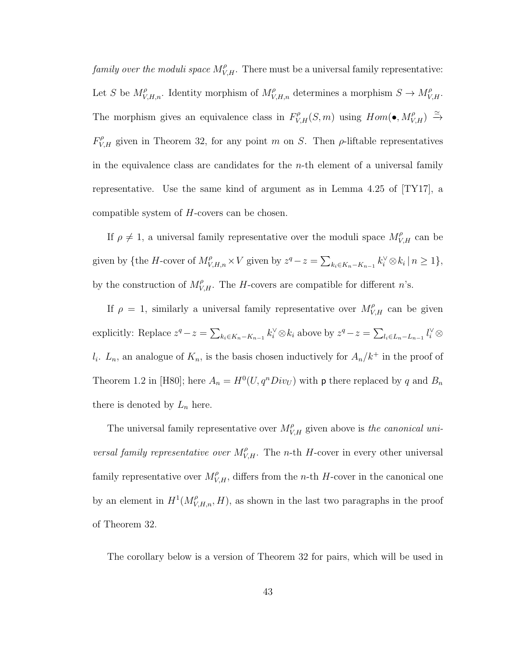family over the moduli space  $M_{V,H}^{\rho}$ . There must be a universal family representative: Let S be  $M_{V,H,n}^{\rho}$ . Identity morphism of  $M_{V,H,n}^{\rho}$  determines a morphism  $S \to M_{V,H}^{\rho}$ . The morphism gives an equivalence class in  $F_{V,H}^{\rho}(S,m)$  using  $Hom(\bullet, M_{V,H}^{\rho}) \stackrel{\simeq}{\rightarrow}$  $F_{V,H}^{\rho}$  given in Theorem 32, for any point m on S. Then  $\rho$ -liftable representatives in the equivalence class are candidates for the  $n$ -th element of a universal family representative. Use the same kind of argument as in Lemma 4.25 of [TY17], a compatible system of H-covers can be chosen.

If  $\rho \neq 1$ , a universal family representative over the moduli space  $M_{V,H}^{\rho}$  can be given by {the H-cover of  $M_{V,H,n}^{\rho} \times V$  given by  $z^q - z = \sum_{k_i \in K_n - K_{n-1}} k_i^{\vee} \otimes k_i \mid n \geq 1$ }, by the construction of  $M_{V,H}^{\rho}$ . The H-covers are compatible for different n's.

If  $\rho = 1$ , similarly a universal family representative over  $M_{V,H}^{\rho}$  can be given explicitly: Replace  $z^q - z = \sum_{k_i \in K_n - K_{n-1}} k_i^{\vee} \otimes k_i$  above by  $z^q - z = \sum_{l_i \in L_n - L_{n-1}} l_i^{\vee} \otimes k_i$  $l_i$ .  $L_n$ , an analogue of  $K_n$ , is the basis chosen inductively for  $A_n/k^+$  in the proof of Theorem 1.2 in [H80]; here  $A_n = H^0(U, q^n Div_U)$  with p there replaced by q and  $B_n$ there is denoted by  $L_n$  here.

The universal family representative over  $M_{V,H}^{\rho}$  given above is the canonical universal family representative over  $M_{V,H}^{\rho}$ . The n-th H-cover in every other universal family representative over  $M_{V,H}^{\rho}$ , differs from the n-th H-cover in the canonical one by an element in  $H^1(M_{V,H,n}^{\rho}, H)$ , as shown in the last two paragraphs in the proof of Theorem 32.

The corollary below is a version of Theorem 32 for pairs, which will be used in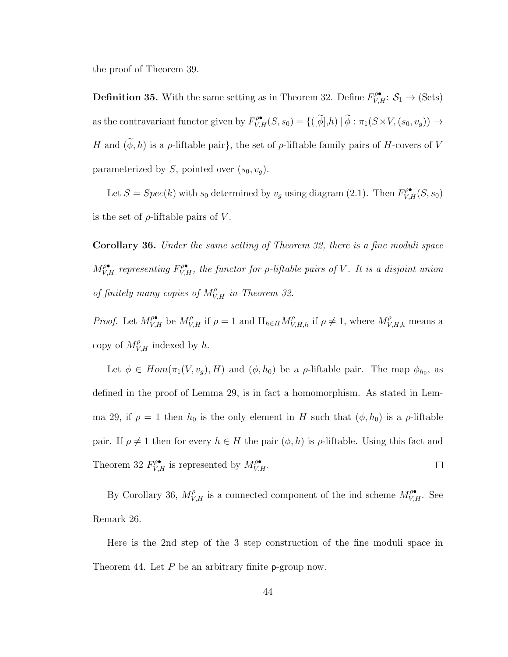the proof of Theorem 39.

**Definition 35.** With the same setting as in Theorem 32. Define  $F_{V,H}^{\rho\bullet}$ :  $S_1 \to (\text{Sets})$ as the contravariant functor given by  $F_{V,H}^{\rho\bullet}(S,s_0) = \{([\widetilde{\phi}],h) | \widetilde{\phi} : \pi_1(S \times V, (s_0, v_g)) \to$ H and  $(\widetilde{\phi}, h)$  is a  $\rho$ -liftable pair}, the set of  $\rho$ -liftable family pairs of H-covers of V parameterized by S, pointed over  $(s_0, v_q)$ .

Let  $S = Spec(k)$  with  $s_0$  determined by  $v_g$  using diagram (2.1). Then  $F^{\rho\bullet}_{V,H}(S, s_0)$ is the set of  $\rho$ -liftable pairs of V.

Corollary 36. Under the same setting of Theorem 32, there is a fine moduli space  $M_{V,H}^{\rho\bullet}$  representing  $F_{V,H}^{\rho\bullet}$ , the functor for  $\rho$ -liftable pairs of V. It is a disjoint union of finitely many copies of  $M_{V,H}^{\rho}$  in Theorem 32.

*Proof.* Let  $M_{V,H}^{\rho_{\bullet}}$  be  $M_{V,H}^{\rho}$  if  $\rho = 1$  and  $\prod_{h \in H} M_{V,H,h}^{\rho}$  if  $\rho \neq 1$ , where  $M_{V,H,h}^{\rho}$  means a copy of  $M_{V,H}^{\rho}$  indexed by h.

Let  $\phi \in Hom(\pi_1(V, v_g), H)$  and  $(\phi, h_0)$  be a  $\rho$ -liftable pair. The map  $\phi_{h_0}$ , as defined in the proof of Lemma 29, is in fact a homomorphism. As stated in Lemma 29, if  $\rho = 1$  then  $h_0$  is the only element in H such that  $(\phi, h_0)$  is a  $\rho$ -liftable pair. If  $\rho \neq 1$  then for every  $h \in H$  the pair  $(\phi, h)$  is  $\rho$ -liftable. Using this fact and Theorem 32  $F_{V,H}^{\rho \bullet}$  is represented by  $M_{V,H}^{\rho \bullet}$ .  $\Box$ 

By Corollary 36,  $M_{V,H}^{\rho}$  is a connected component of the ind scheme  $M_{V,H}^{\rho\bullet}$ . See Remark 26.

Here is the 2nd step of the 3 step construction of the fine moduli space in Theorem 44. Let  $P$  be an arbitrary finite p-group now.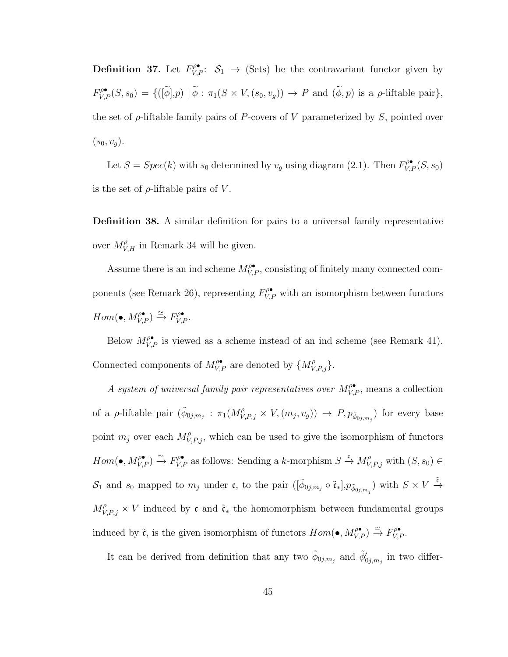**Definition 37.** Let  $F_{V,P}^{\rho\bullet}$ :  $S_1 \rightarrow$  (Sets) be the contravariant functor given by  $F_{V,P}^{\rho\bullet}(S,s_0) = \{([\widetilde{\phi}],p) | \widetilde{\phi} : \pi_1(S \times V, (s_0, v_g)) \to P \text{ and } (\widetilde{\phi},p) \text{ is a } \rho\text{-liftable pair} \},\$ the set of  $\rho$ -liftable family pairs of P-covers of V parameterized by S, pointed over  $(s_0, v_q).$ 

Let  $S = Spec(k)$  with  $s_0$  determined by  $v_g$  using diagram (2.1). Then  $F_{V,P}^{\rho\bullet}(S, s_0)$ is the set of  $\rho$ -liftable pairs of V.

Definition 38. A similar definition for pairs to a universal family representative over  $M_{V,H}^{\rho}$  in Remark 34 will be given.

Assume there is an ind scheme  $M_{V,P}^{\rho\bullet}$ , consisting of finitely many connected components (see Remark 26), representing  $F^{\rho\bullet}_{V,P}$  with an isomorphism between functors  $Hom(\bullet, M_{V,P}^{\rho\bullet}) \xrightarrow{\simeq} F_{V,P}^{\rho\bullet}.$ 

Below  $M_{V,P}^{\rho\bullet}$  is viewed as a scheme instead of an ind scheme (see Remark 41). Connected components of  $M_{V,P}^{\rho\bullet}$  are denoted by  $\{M_{V,P,j}^{\rho}\}.$ 

A system of universal family pair representatives over  $M_{V,P}^{\rho\bullet}$ , means a collection of a *ρ*-liftable pair  $(\tilde{\phi}_{0j,m_j}: \pi_1(M_{V,P,j}^{\rho}\times V,(m_j,v_g)) \to P, p_{\tilde{\phi}_{0j,m_j}})$  for every base point  $m_j$  over each  $M_{V,P,j}^{\rho}$ , which can be used to give the isomorphism of functors  $Hom(\bullet, M_{V,P}^{\rho\bullet}) \xrightarrow{\simeq} F_{V,P}^{\rho\bullet}$  as follows: Sending a k-morphism  $S \xrightarrow{\mathfrak{c}} M_{V,P,j}^{\rho}$  with  $(S, s_0) \in$  $\mathcal{S}_1$  and  $s_0$  mapped to  $m_j$  under c, to the pair  $([\tilde{\phi}_{0j,m_j} \circ \tilde{\mathfrak{c}}_*], p_{\tilde{\phi}_{0j,m_j}})$  with  $S \times V \stackrel{\tilde{\mathfrak{c}}}{\rightarrow}$  $M_{V,P,j}^{\rho} \times V$  induced by c and  $\tilde{\mathfrak{c}}_*$  the homomorphism between fundamental groups induced by  $\tilde{\mathfrak{c}}$ , is the given isomorphism of functors  $Hom(\bullet, M^{\rho\bullet}_{V,P}) \xrightarrow{\simeq} F^{\rho\bullet}_{V,P}$ .

It can be derived from definition that any two  $\tilde{\phi}_{0j,m_j}$  and  $\tilde{\phi}'_{0j,m_j}$  in two differ-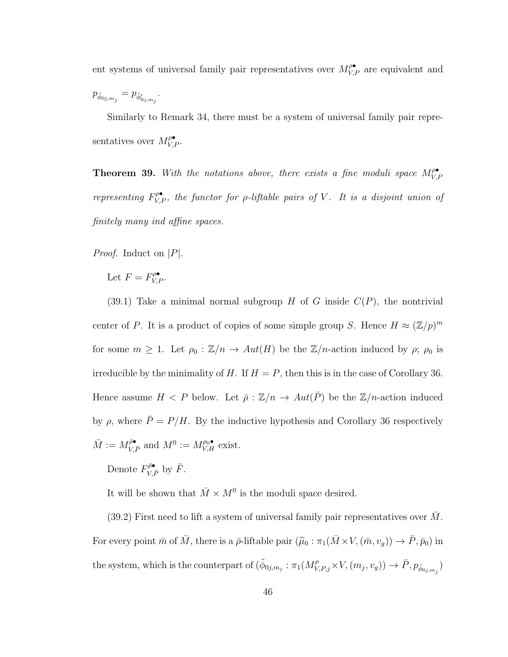ent systems of universal family pair representatives over  $M_{V,P}^{\rho\bullet}$  are equivalent and  $p_{\tilde{\phi}_{0j,m_j}} = p_{\tilde{\phi}'_{0j,m_j}}.$ 

Similarly to Remark 34, there must be a system of universal family pair representatives over  $M_{V,P}^{\rho\bullet}$ .

**Theorem 39.** With the notations above, there exists a fine moduli space  $M_V^{\rho\bullet}$ V,P representing  $F^{\rho\bullet}_{V,P}$ , the functor for  $\rho$ -liftable pairs of V. It is a disjoint union of finitely many ind affine spaces.

*Proof.* Induct on  $|P|$ .

Let  $F = F^{\rho \bullet}_{V,P}$ .

(39.1) Take a minimal normal subgroup H of G inside  $C(P)$ , the nontrivial center of P. It is a product of copies of some simple group S. Hence  $H \approx (\mathbb{Z}/p)^m$ for some  $m \geq 1$ . Let  $\rho_0 : \mathbb{Z}/n \to Aut(H)$  be the  $\mathbb{Z}/n$ -action induced by  $\rho$ ;  $\rho_0$  is irreducible by the minimality of H. If  $H = P$ , then this is in the case of Corollary 36. Hence assume  $H < P$  below. Let  $\bar{\rho}: \mathbb{Z}/n \to Aut(\bar{P})$  be the  $\mathbb{Z}/n$ -action induced by  $\rho$ , where  $\bar{P} = P/H$ . By the inductive hypothesis and Corollary 36 respectively  $\overline{M} := M_{V,\overline{P}}^{\overline{\rho} \bullet}$  and  $M^0 := M_{V,H}^{\rho_0 \bullet}$  exist.

Denote  $F_{V,\bar{P}}^{\bar{\rho}\bullet}$  by  $\bar{F}$ .

It will be shown that  $\bar{M} \times M^0$  is the moduli space desired.

 $(39.2)$  First need to lift a system of universal family pair representatives over M. For every point  $\bar{m}$  of  $\bar{M}$ , there is a  $\bar{\rho}$ -liftable pair  $(\tilde{\mu}_0 : \pi_1(\bar{M} \times V, (\bar{m}, v_g)) \to \bar{P}, \bar{p}_0)$  in the system, which is the counterpart of  $(\tilde{\phi}_{0j,m_j}:\pi_1(M_{V,P,j}^{\rho}\times V,(m_j,v_g))\to \bar{P},p_{\tilde{\phi}_{0j,m_j}})$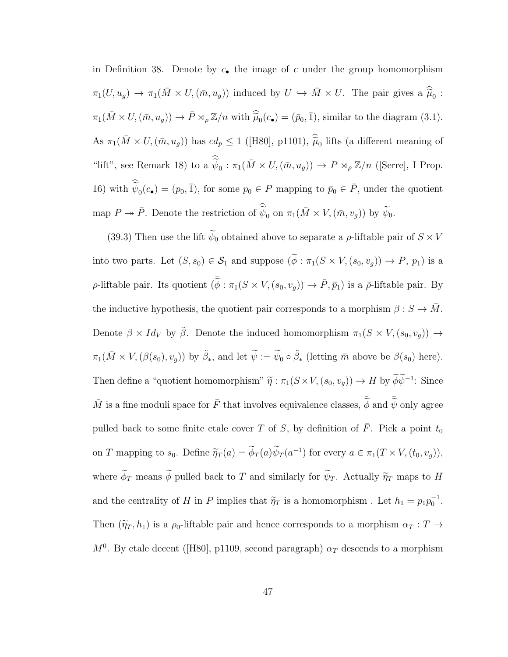in Definition 38. Denote by  $c_{\bullet}$  the image of c under the group homomorphism  $\pi_1(U, u_g) \to \pi_1(\bar{M} \times U, (\bar{m}, u_g))$  induced by  $U \hookrightarrow \bar{M} \times U$ . The pair gives a  $\widehat{\tilde{\mu}}_0$ :  $\pi_1(\bar{M}\times U, (\bar{m}, u_g)) \to \bar{P}\rtimes_{\bar{\rho}}\mathbb{Z}/n$  with  $\widehat{\tilde{\mu}}_0(c_{\bullet}) = (\bar{p}_0, \bar{1}),$  similar to the diagram (3.1). As  $\pi_1(\bar{M}\times U, (\bar{m}, u_g))$  has  $cd_p \leq 1$  ([H80], p1101),  $\hat{h}_{0}$  lifts (a different meaning of "lift", see Remark 18) to a  $\widetilde{\psi}_0 : \pi_1(\overline{M} \times U, (\overline{m}, u_g)) \to P \rtimes_{\rho} \mathbb{Z}/n$  ([Serre], I Prop. 16) with  $\widetilde{\psi}_0(c_{\bullet}) = (p_0, \bar{1})$ , for some  $p_0 \in P$  mapping to  $\bar{p}_0 \in \bar{P}$ , under the quotient map  $P \to \bar{P}$ . Denote the restriction of  $\widetilde{\psi}_0$  on  $\pi_1(\bar{M} \times V, (\bar{m}, v_g))$  by  $\widetilde{\psi}_0$ .

(39.3) Then use the lift  $\widetilde{\psi}_0$  obtained above to separate a  $\rho$ -liftable pair of  $S \times V$ into two parts. Let  $(S, s_0) \in S_1$  and suppose  $(\widetilde{\phi} : \pi_1(S \times V, (s_0, v_g)) \to P, p_1)$  is a p-liftable pair. Its quotient  $(\bar{\phi} : \pi_1(S \times V, (s_0, v_g)) \to \bar{P}, \bar{p}_1)$  is a  $\bar{\rho}$ -liftable pair. By the inductive hypothesis, the quotient pair corresponds to a morphism  $\beta : S \to \overline{M}$ . Denote  $\beta \times Id_V$  by  $\tilde{\beta}$ . Denote the induced homomorphism  $\pi_1(S \times V, (s_0, v_g)) \rightarrow$  $\pi_1(\bar{M}\times V,(\beta(s_0), v_g))$  by  $\tilde{\beta}_*$ , and let  $\tilde{\psi}:=\tilde{\psi}_0\circ\tilde{\beta}_*$  (letting  $\bar{m}$  above be  $\beta(s_0)$  here). Then define a "quotient homomorphism"  $\tilde{\eta}: \pi_1(S \times V, (s_0, v_g)) \to H$  by  $\phi \psi^{-1}$ : Since  $\bar{M}$  is a fine moduli space for  $\bar{F}$  that involves equivalence classes,  $\bar{\phi}$  and  $\bar{\tilde{\psi}}$  only agree pulled back to some finite etale cover T of S, by definition of  $\overline{F}$ . Pick a point  $t_0$ on T mapping to  $s_0$ . Define  $\tilde{\eta}_T(a) = \tilde{\phi}_T(a)\tilde{\psi}_T(a^{-1})$  for every  $a \in \pi_1(T \times V, (t_0, v_g)),$ where  $\widetilde{\phi}_T$  means  $\widetilde{\phi}$  pulled back to T and similarly for  $\widetilde{\psi}_T$ . Actually  $\widetilde{\eta}_T$  maps to H and the centrality of H in P implies that  $\tilde{\eta}_T$  is a homomorphism. Let  $h_1 = p_1 p_0^{-1}$ . Then  $(\tilde{\eta}_T, h_1)$  is a  $\rho_0$ -liftable pair and hence corresponds to a morphism  $\alpha_T : T \to$  $M<sup>0</sup>$ . By etale decent ([H80], p1109, second paragraph)  $\alpha_T$  descends to a morphism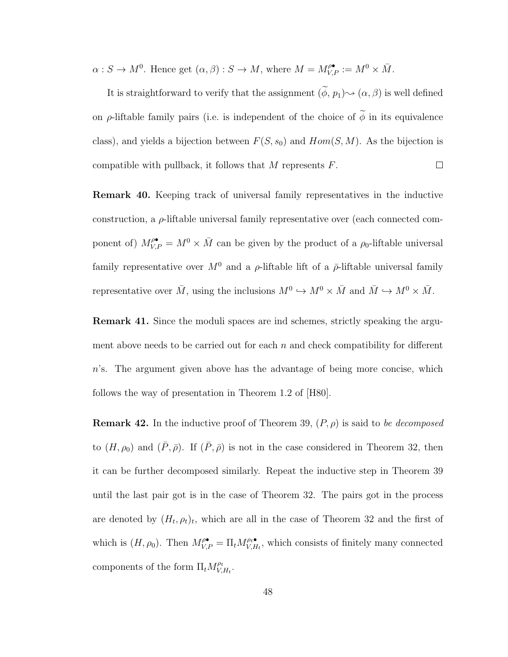$\alpha: S \to M^0$ . Hence get  $(\alpha, \beta): S \to M$ , where  $M = M_{V,P}^{\rho^{\bullet}} := M^0 \times \overline{M}$ .

It is straightforward to verify that the assignment  $(\phi, p_1) \leadsto (\alpha, \beta)$  is well defined on  $\rho$ -liftable family pairs (i.e. is independent of the choice of  $\phi$  in its equivalence class), and yields a bijection between  $F(S, s_0)$  and  $Hom(S, M)$ . As the bijection is compatible with pullback, it follows that  $M$  represents  $F$ .  $\Box$ 

Remark 40. Keeping track of universal family representatives in the inductive construction, a  $\rho$ -liftable universal family representative over (each connected component of)  $M_{V,P}^{\rho\bullet} = M^0 \times \bar{M}$  can be given by the product of a  $\rho_0$ -liftable universal family representative over  $M^0$  and a  $\rho$ -liftable lift of a  $\bar{\rho}$ -liftable universal family representative over  $\bar{M}$ , using the inclusions  $M^0 \hookrightarrow M^0 \times \bar{M}$  and  $\bar{M} \hookrightarrow M^0 \times \bar{M}$ .

**Remark 41.** Since the moduli spaces are ind schemes, strictly speaking the argument above needs to be carried out for each  $n$  and check compatibility for different  $n$ 's. The argument given above has the advantage of being more concise, which follows the way of presentation in Theorem 1.2 of [H80].

**Remark 42.** In the inductive proof of Theorem 39,  $(P, \rho)$  is said to be decomposed to  $(H, \rho_0)$  and  $(\bar{P}, \bar{\rho})$ . If  $(\bar{P}, \bar{\rho})$  is not in the case considered in Theorem 32, then it can be further decomposed similarly. Repeat the inductive step in Theorem 39 until the last pair got is in the case of Theorem 32. The pairs got in the process are denoted by  $(H_t, \rho_t)_t$ , which are all in the case of Theorem 32 and the first of which is  $(H, \rho_0)$ . Then  $M_{V,P}^{\rho \bullet} = \Pi_t M_{V,H}^{\rho \bullet \bullet}$  $V_{V,H_t}^{\rho_t \bullet}$ , which consists of finitely many connected components of the form  $\Pi_t M_{V}^{\rho_t}$  $\overset{\rho_t}{_{V,H_t}}.$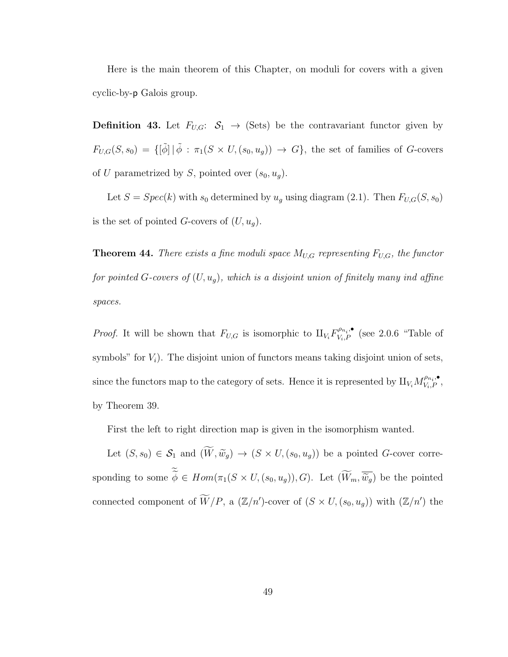Here is the main theorem of this Chapter, on moduli for covers with a given cyclic-by-p Galois group.

**Definition 43.** Let  $F_{U,G}:$   $\mathcal{S}_1 \rightarrow$  (Sets) be the contravariant functor given by  $F_{U,G}(S,s_0) = \{[\tilde{\phi}] \mid \tilde{\phi} : \pi_1(S \times U, (s_0, u_g)) \to G\}$ , the set of families of G-covers of U parametrized by S, pointed over  $(s_0, u_q)$ .

Let  $S = Spec(k)$  with  $s_0$  determined by  $u_g$  using diagram (2.1). Then  $F_{U,G}(S, s_0)$ is the set of pointed G-covers of  $(U, u_g)$ .

**Theorem 44.** There exists a fine moduli space  $M_{U,G}$  representing  $F_{U,G}$ , the functor for pointed G-covers of  $(U, u_g)$ , which is a disjoint union of finitely many ind affine spaces.

*Proof.* It will be shown that  $F_{U,G}$  is isomorphic to  $\prod_{V_i} F_{V_i,P}^{\rho_{n_i},\bullet}$  (see 2.0.6 "Table of symbols" for  $V_i$ ). The disjoint union of functors means taking disjoint union of sets, since the functors map to the category of sets. Hence it is represented by  $\amalg_{V_i} M_{V_i,P}^{\rho_{n_i},\bullet}$ , by Theorem 39.

First the left to right direction map is given in the isomorphism wanted.

Let  $(S, s_0) \in S_1$  and  $(\widetilde{W}, \widetilde{w}_g) \to (S \times U, (s_0, u_g))$  be a pointed G-cover corresponding to some  $\phi \in Hom(\pi_1(S \times U, (s_0, u_g)), G)$ . Let  $(W_m, \widetilde{w}_g)$  be the pointed connected component of  $\widetilde{W}/P$ , a  $(\mathbb{Z}/n')$ -cover of  $(S \times U, (s_0, u_g))$  with  $(\mathbb{Z}/n')$  the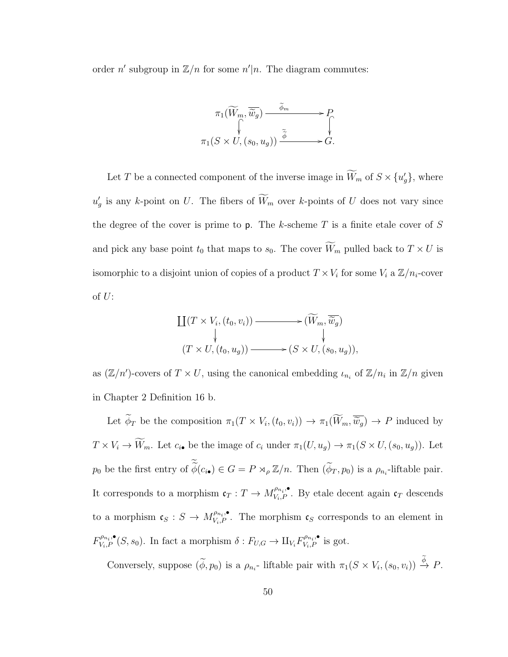order n' subgroup in  $\mathbb{Z}/n$  for some n'|n. The diagram commutes:



Let T be a connected component of the inverse image in  $\overline{W}_m$  of  $S \times \{u'_g\}$ , where  $u'_{g}$  is any k-point on U. The fibers of  $\overline{W}_{m}$  over k-points of U does not vary since the degree of the cover is prime to  $p$ . The k-scheme T is a finite etale cover of S and pick any base point  $t_0$  that maps to  $s_0$ . The cover  $\widetilde{W}_m$  pulled back to  $T \times U$  is isomorphic to a disjoint union of copies of a product  $T \times V_i$  for some  $V_i$  a  $\mathbb{Z}/n_i$ -cover of  $U$ :

$$
\coprod (T \times V_i, (t_0, v_i)) \longrightarrow (\widetilde{W}_m, \widetilde{\widetilde{w}_g})
$$
\n
$$
(T \times U, (t_0, u_g)) \longrightarrow (S \times U, (s_0, u_g)),
$$

as  $(\mathbb{Z}/n')$ -covers of  $T \times U$ , using the canonical embedding  $\iota_{n_i}$  of  $\mathbb{Z}/n_i$  in  $\mathbb{Z}/n$  given in Chapter 2 Definition 16 b.

Let  $\phi_T$  be the composition  $\pi_1(T \times V_i, (t_0, v_i)) \to \pi_1(W_m, \widetilde{w}_g) \to P$  induced by  $T \times V_i \to \widetilde{W}_m$ . Let  $c_{i\bullet}$  be the image of  $c_i$  under  $\pi_1(U, u_g) \to \pi_1(S \times U, (s_0, u_g))$ . Let  $p_0$  be the first entry of  $\widetilde{\phi}(c_{i\bullet}) \in G = P \rtimes_{\rho} \mathbb{Z}/n$ . Then  $(\widetilde{\phi}_T, p_0)$  is a  $\rho_{n_i}$ -liftable pair. It corresponds to a morphism  $\mathfrak{c}_T : T \to M_{V_i, P}^{\rho_{n_i}, \bullet}$ . By etale decent again  $\mathfrak{c}_T$  descends to a morphism  $\mathfrak{c}_S : S \to M_{V_i,P}^{\rho_{n_i},\bullet}$ . The morphism  $\mathfrak{c}_S$  corresponds to an element in  $F_{V_i,P}^{\rho_{n_i},\bullet}(S,s_0)$ . In fact a morphism  $\delta: F_{U,G} \to \amalg_{V_i} F_{V_i,P}^{\rho_{n_i},\bullet}$  is got.

Conversely, suppose  $(\widetilde{\phi}, p_0)$  is a  $\rho_{n_i}$ - liftable pair with  $\pi_1(S \times V_i, (s_0, v_i)) \stackrel{\phi}{\to} P$ .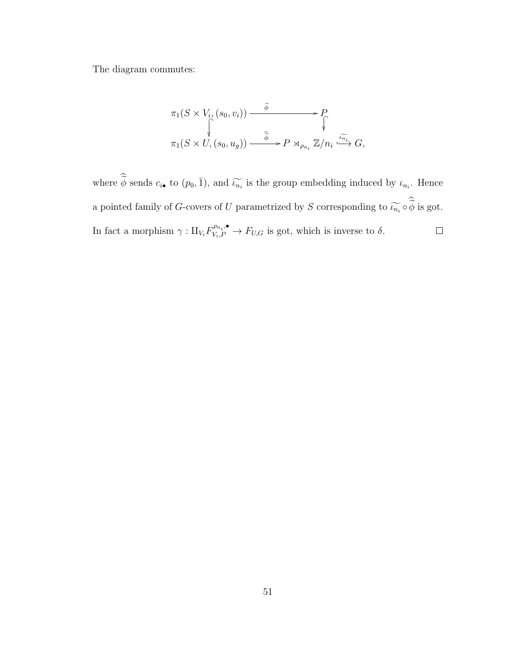The diagram commutes:

$$
\pi_1(S \times V_i, (s_0, v_i)) \xrightarrow{\widetilde{\phi}} P
$$
\n
$$
\uparrow \qquad \qquad \uparrow \qquad \qquad \uparrow
$$
\n
$$
\pi_1(S \times U, (s_0, u_g)) \xrightarrow{\widetilde{\phi}} P \rtimes_{\rho_{n_i}} \mathbb{Z}/n_i \xrightarrow{\widetilde{\iota_{n_i}}} G,
$$

where  $\widetilde{\phi}$  sends  $c_{i\bullet}$  to  $(p_0, \bar{1})$ , and  $\widetilde{\iota_{n_i}}$  is the group embedding induced by  $\iota_{n_i}$ . Hence a pointed family of G-covers of U parametrized by S corresponding to  $\widetilde{\iota_{n_i}} \circ \phi$  is got. In fact a morphism  $\gamma: \amalg_{V_i} F_{V_i,P}^{\rho_{n_i},\bullet} \to F_{U,G}$  is got, which is inverse to  $\delta$ .  $\Box$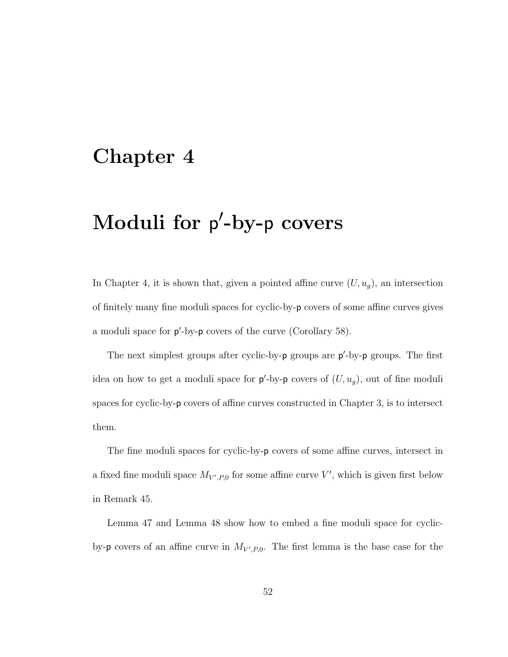## Chapter 4

## Moduli for p'-by-p covers

In Chapter 4, it is shown that, given a pointed affine curve  $(U, u_g)$ , an intersection of finitely many fine moduli spaces for cyclic-by-p covers of some affine curves gives a moduli space for  $p'$ -by- $p$  covers of the curve (Corollary 58).

The next simplest groups after cyclic-by-p groups are  $p'$ -by-p groups. The first idea on how to get a moduli space for  $p'$ -by-p covers of  $(U, u_g)$ , out of fine moduli spaces for cyclic-by-p covers of affine curves constructed in Chapter 3, is to intersect them.

The fine moduli spaces for cyclic-by-p covers of some affine curves, intersect in a fixed fine moduli space  $M_{V',P,0}$  for some affine curve V', which is given first below in Remark 45.

Lemma 47 and Lemma 48 show how to embed a fine moduli space for cyclicby- $p$  covers of an affine curve in  $M_{V',P,0}$ . The first lemma is the base case for the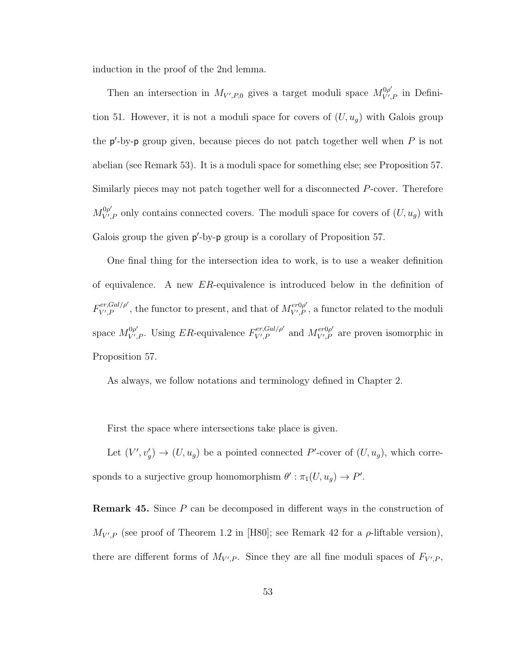induction in the proof of the 2nd lemma.

Then an intersection in  $M_{V',P,0}$  gives a target moduli space  $M_{V'}^{0\rho'}$  $V', P$  in Definition 51. However, it is not a moduli space for covers of  $(U, u_g)$  with Galois group the  $p'$ -by-p group given, because pieces do not patch together well when  $P$  is not abelian (see Remark 53). It is a moduli space for something else; see Proposition 57. Similarly pieces may not patch together well for a disconnected P-cover. Therefore  $M_{V'}^{0\rho'}$  $V'_{V,P}$  only contains connected covers. The moduli space for covers of  $(U, u_g)$  with Galois group the given  $p'$ -by-p group is a corollary of Proposition 57.

One final thing for the intersection idea to work, is to use a weaker definition of equivalence. A new ER-equivalence is introduced below in the definition of  $F_{V'}^{er,Gal/\rho'}$  $\mathbb{E}_{V',P}^{er,Gal/\rho'}$ , the functor to present, and that of  $M_{V',P}^{er0\rho'}$  $\mathcal{V}'_{V,P}$ , a functor related to the moduli space  $M_{V'}^{0\rho'}$  $V'_{V',P}$ . Using ER-equivalence  $F_{V',P}^{er,Gal/\rho'}$  $\chi_{V',P}^{er,Gal/\rho'}$  and  $M_{V',P}^{er0\rho'}$  $V^{\text{ev} \rho}_{V',P}$  are proven isomorphic in Proposition 57.

As always, we follow notations and terminology defined in Chapter 2.

First the space where intersections take place is given.

Let  $(V', v'_g) \to (U, u_g)$  be a pointed connected P'-cover of  $(U, u_g)$ , which corresponds to a surjective group homomorphism  $\theta' : \pi_1(U, u_g) \to P'$ .

**Remark 45.** Since P can be decomposed in different ways in the construction of  $M_{V',P}$  (see proof of Theorem 1.2 in [H80]; see Remark 42 for a  $\rho$ -liftable version), there are different forms of  $M_{V',P}$ . Since they are all fine moduli spaces of  $F_{V',P}$ ,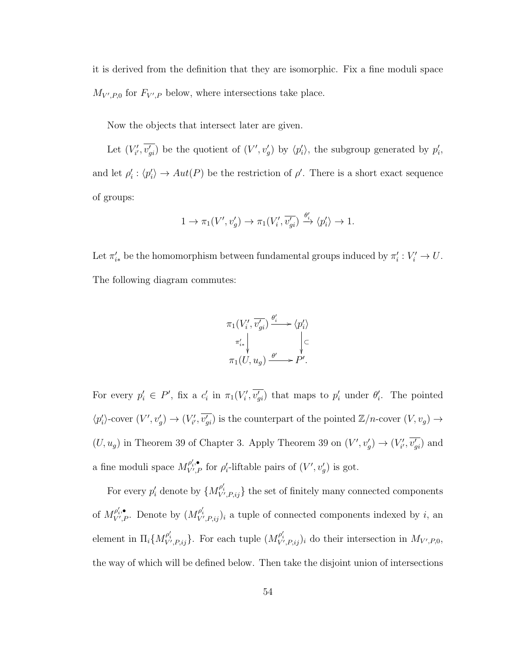it is derived from the definition that they are isomorphic. Fix a fine moduli space  $M_{V',P,0}$  for  $F_{V',P}$  below, where intersections take place.

Now the objects that intersect later are given.

Let  $(V'_{i}, \overline{v'_{gi}})$  be the quotient of  $(V', v'_{g})$  by  $\langle p'_{i} \rangle$ , the subgroup generated by  $p'_{i}$ , and let  $\rho_i : \langle p_i' \rangle \to Aut(P)$  be the restriction of  $\rho'$ . There is a short exact sequence of groups:

$$
1\to \pi_1(V',v'_g)\to \pi_1(V'_i,\overline{v'_{gi}})\xrightarrow{\theta'_i} \langle p'_i\rangle\to 1.
$$

Let  $\pi'_{i*}$  be the homomorphism between fundamental groups induced by  $\pi'_{i}: V'_{i} \to U$ . The following diagram commutes:



For every  $p'_i \in P'$ , fix a  $c'_i$  in  $\pi_1(V'_i, \overline{v'_{gi}})$  that maps to  $p'_i$  under  $\theta'_i$ . The pointed  $\langle p'_i \rangle$ -cover  $(V', v'_g) \to (V'_{i'}, \overline{v'_{gi}})$  is the counterpart of the pointed  $\mathbb{Z}/n$ -cover  $(V, v_g) \to$  $(U, u_g)$  in Theorem 39 of Chapter 3. Apply Theorem 39 on  $(V', v'_g) \to (V'_{i'}, \overline{v'_{gi}})$  and a fine moduli space  $M_{V',P}^{\rho'_i, \bullet}$  $\mathcal{P}_{V',P}^{\prime,\bullet}$  for  $\rho'_{i}$ -liftable pairs of  $(V',v'_{g})$  is got.

For every  $p'_i$  denote by  $\{M_{V',P,ij}^{\rho'_i}\}$  the set of finitely many connected components of  $M_{V^{\prime},P}^{\rho_{i}^{\prime},\bullet}$  $\mathcal{P}'_{V',P}$ . Denote by  $(M_{V',P,ij}^{\rho'_i})_i$  a tuple of connected components indexed by i, an element in  $\Pi_i \{ M_{V',P,ij}^{\rho'_i} \}$ . For each tuple  $(M_{V',P,ij}^{\rho'_i})_i$  do their intersection in  $M_{V',P,0}$ , the way of which will be defined below. Then take the disjoint union of intersections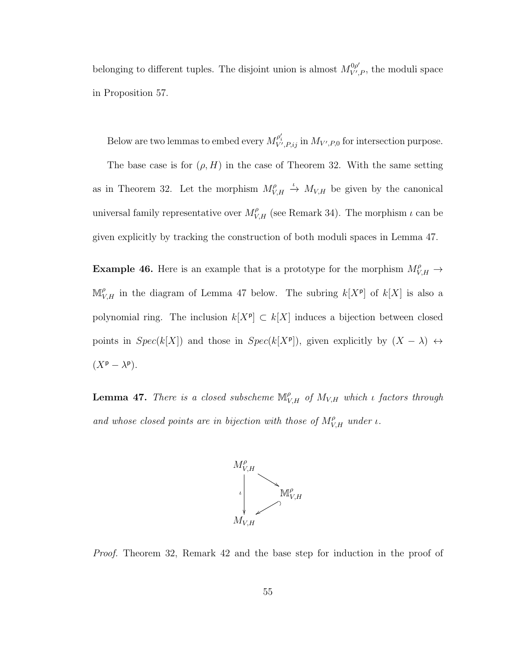belonging to different tuples. The disjoint union is almost  $M_{V'}^{\rho\rho'}$  $V', P$ , the moduli space in Proposition 57.

Below are two lemmas to embed every  $M_{V',P,ij}^{\rho'_i}$  in  $M_{V',P,0}$  for intersection purpose.

The base case is for  $(\rho, H)$  in the case of Theorem 32. With the same setting as in Theorem 32. Let the morphism  $M_V^{\rho}$  $V_{V,H}^{\rho} \stackrel{\iota}{\rightarrow} M_{V,H}$  be given by the canonical universal family representative over  $M_{V,H}^{\rho}$  (see Remark 34). The morphism  $\iota$  can be given explicitly by tracking the construction of both moduli spaces in Lemma 47.

**Example 46.** Here is an example that is a prototype for the morphism  $M_{V,H}^{\rho} \rightarrow$  $\mathbb{M}_{V,H}^{\rho}$  in the diagram of Lemma 47 below. The subring  $k[X^{\rho}]$  of  $k[X]$  is also a polynomial ring. The inclusion  $k[X^{\rho}] \subset k[X]$  induces a bijection between closed points in  $Spec(k[X])$  and those in  $Spec(k[X^p])$ , given explicitly by  $(X - \lambda) \leftrightarrow$  $(X^{\mathsf{p}} - \lambda^{\mathsf{p}}).$ 

**Lemma 47.** There is a closed subscheme  $\mathbb{M}_{V,H}^{\rho}$  of  $M_{V,H}$  which *i* factors through and whose closed points are in bijection with those of  $M_{V,H}^{\rho}$  under  $\iota$ .



Proof. Theorem 32, Remark 42 and the base step for induction in the proof of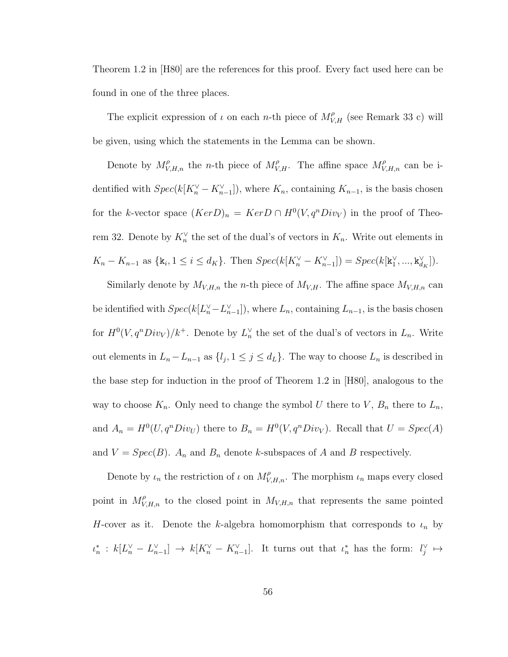Theorem 1.2 in [H80] are the references for this proof. Every fact used here can be found in one of the three places.

The explicit expression of  $\iota$  on each *n*-th piece of  $M_{V,H}^{\rho}$  (see Remark 33 c) will be given, using which the statements in the Lemma can be shown.

Denote by  $M_{V,H,n}^{\rho}$  the *n*-th piece of  $M_{V,H}^{\rho}$ . The affine space  $M_{V,H,n}^{\rho}$  can be identified with  $Spec(k[K_{n}^{\vee} - K_{n-1}^{\vee}])$ , where  $K_{n}$ , containing  $K_{n-1}$ , is the basis chosen for the k-vector space  $(Ker D)_n = Ker D \cap H^0(V, q^nDiv_V)$  in the proof of Theorem 32. Denote by  $K_n^{\vee}$  the set of the dual's of vectors in  $K_n$ . Write out elements in  $K_n - K_{n-1}$  as  $\{k_i, 1 \le i \le d_K\}$ . Then  $Spec(k[K_n^{\vee} - K_{n-1}^{\vee}]) = Spec(k[k_1^{\vee}, ..., k_{d_K}^{\vee}])$ .

Similarly denote by  $M_{V,H,n}$  the *n*-th piece of  $M_{V,H}$ . The affine space  $M_{V,H,n}$  can be identified with  $Spec(k[L_n^{\vee} - L_{n-1}^{\vee})$ , where  $L_n$ , containing  $L_{n-1}$ , is the basis chosen for  $H^0(V, q^n Div_V)/k^+$ . Denote by  $L_n^{\vee}$  the set of the dual's of vectors in  $L_n$ . Write out elements in  $L_n - L_{n-1}$  as  $\{l_j, 1 \le j \le d_L\}$ . The way to choose  $L_n$  is described in the base step for induction in the proof of Theorem 1.2 in [H80], analogous to the way to choose  $K_n$ . Only need to change the symbol U there to  $V$ ,  $B_n$  there to  $L_n$ , and  $A_n = H^0(U, q^n Div_U)$  there to  $B_n = H^0(V, q^n Div_V)$ . Recall that  $U = Spec(A)$ and  $V = Spec(B)$ .  $A_n$  and  $B_n$  denote k-subspaces of A and B respectively.

Denote by  $\iota_n$  the restriction of  $\iota$  on  $M_{V,H,n}^{\rho}$ . The morphism  $\iota_n$  maps every closed point in  $M_{V,H,n}^{\rho}$  to the closed point in  $M_{V,H,n}$  that represents the same pointed H-cover as it. Denote the k-algebra homomorphism that corresponds to  $\iota_n$  by  $\iota_n^*: k[L_n^{\vee} - L_{n-1}^{\vee}] \to k[K_n^{\vee} - K_{n-1}^{\vee}].$  It turns out that  $\iota_n^*$  has the form:  $l_j^{\vee} \mapsto$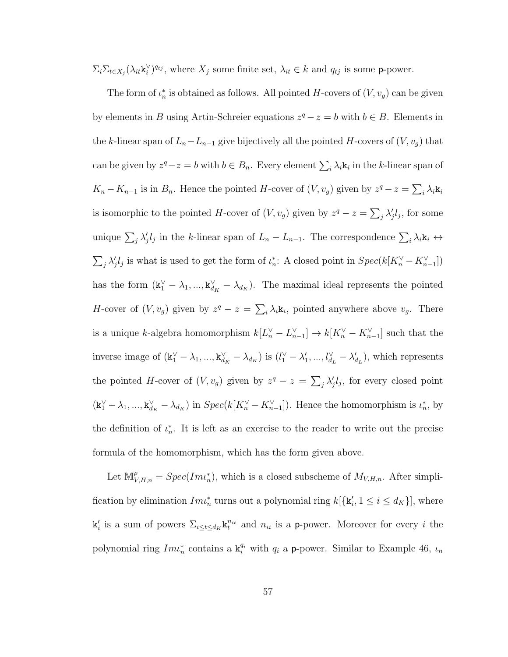$\Sigma_i \Sigma_{t \in X_j} (\lambda_{it} \mathbf{k}_i^{\vee})^{q_{tj}}$ , where  $X_j$  some finite set,  $\lambda_{it} \in k$  and  $q_{tj}$  is some p-power.

The form of  $\iota_n^*$  is obtained as follows. All pointed H-covers of  $(V, v_g)$  can be given by elements in B using Artin-Schreier equations  $z^q - z = b$  with  $b \in B$ . Elements in the k-linear span of  $L_n - L_{n-1}$  give bijectively all the pointed H-covers of  $(V, v_g)$  that can be given by  $z^q - z = b$  with  $b \in B_n$ . Every element  $\sum_i \lambda_i \mathbf{k}_i$  in the k-linear span of  $K_n - K_{n-1}$  is in  $B_n$ . Hence the pointed H-cover of  $(V, v_g)$  given by  $z^q - z = \sum_i \lambda_i \mathbf{k}_i$ is isomorphic to the pointed H-cover of  $(V, v_g)$  given by  $z^q - z = \sum_j \lambda'_j l_j$ , for some unique  $\sum_j \lambda'_j l_j$  in the k-linear span of  $L_n - L_{n-1}$ . The correspondence  $\sum_i \lambda_i \mathbf{k}_i \leftrightarrow$  $\sum_j \lambda'_j l_j$  is what is used to get the form of  $\iota_n^*$ : A closed point in  $Spec(k[K_n^{\vee} - K_{n-1}^{\vee})]$ has the form  $(\mathbf{k}_1^{\vee} - \lambda_1, ..., \mathbf{k}_{d_K}^{\vee} - \lambda_{d_K})$ . The maximal ideal represents the pointed H-cover of  $(V, v_g)$  given by  $z^q - z = \sum_i \lambda_i \mathbf{k}_i$ , pointed anywhere above  $v_g$ . There is a unique k-algebra homomorphism  $k[L_n^{\vee} - L_{n-1}^{\vee}] \to k[K_n^{\vee} - K_{n-1}^{\vee}]$  such that the inverse image of  $(\mathbf{k}_1^{\vee} - \lambda_1, ..., \mathbf{k}_{d_K}^{\vee} - \lambda_{d_K})$  is  $(l_1^{\vee} - \lambda_1', ..., l_{d_L}^{\vee} - \lambda_{d_L}'),$  which represents the pointed H-cover of  $(V, v_g)$  given by  $z^q - z = \sum_j \lambda'_j l_j$ , for every closed point  $(\mathbf{k}_1^{\vee} - \lambda_1, ..., \mathbf{k}_{d_K}^{\vee} - \lambda_{d_K})$  in  $Spec(k[K_n^{\vee} - K_{n-1}^{\vee}])$ . Hence the homomorphism is  $\iota_n^*$ , by the definition of  $\iota_n^*$ . It is left as an exercise to the reader to write out the precise formula of the homomorphism, which has the form given above.

Let  $\mathbb{M}^{\rho}_{V,H,n} = Spec(Im\iota_n^*)$ , which is a closed subscheme of  $M_{V,H,n}$ . After simplification by elimination  $Im_{n}^{*}$  turns out a polynomial ring  $k[\mathbf{k}'_i, 1 \leq i \leq d_K]$ , where  $\mathbf{k}'_i$  is a sum of powers  $\sum_{i \leq t \leq d_K} \mathbf{k}^{n_{it}}_t$  and  $n_{ii}$  is a p-power. Moreover for every i the polynomial ring  $Im_{n}^{*}$  contains a  $k_i^{q_i}$  with  $q_i$  a p-power. Similar to Example 46,  $\iota_n$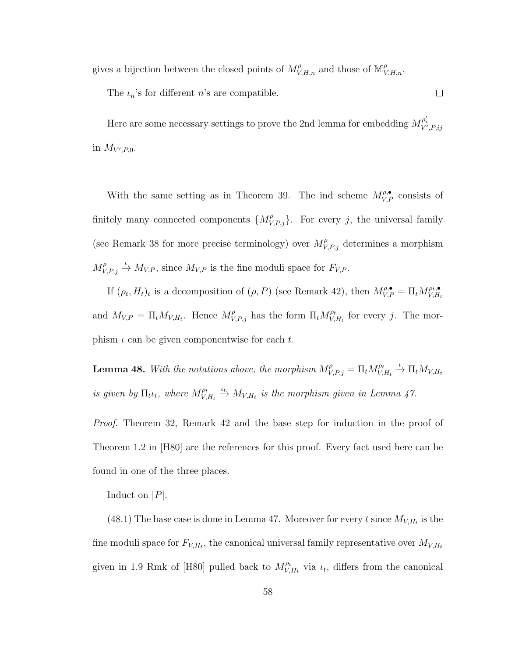gives a bijection between the closed points of  $M_{V,H,n}^{\rho}$  and those of  $\mathbb{M}_{V,H,n}^{\rho}$ .

The  $\iota_n$ 's for different *n*'s are compatible.

Here are some necessary settings to prove the 2nd lemma for embedding  $M_{V', P, ij}^{\rho'_i}$ in  $M_{V',P,0}$ .

 $\Box$ 

With the same setting as in Theorem 39. The ind scheme  $M_{V,P}^{\rho,\bullet}$  consists of finitely many connected components  $\{M_{V,P,j}^{\rho}\}$ . For every j, the universal family (see Remark 38 for more precise terminology) over  $M_{V,P,j}^{\rho}$  determines a morphism  $M_V^{\rho}$  $V_{V,P,j} \stackrel{\iota}{\rightarrow} M_{V,P}$ , since  $M_{V,P}$  is the fine moduli space for  $F_{V,P}$ .

If  $(\rho_t, H_t)_t$  is a decomposition of  $(\rho, P)$  (see Remark 42), then  $M_{V,P}^{\rho,\bullet} = \Pi_t M_{V,H}^{\rho,\bullet}$  $V, H_t$ and  $M_{V,P} = \prod_t M_{V,H_t}$ . Hence  $M_{V,P,j}^{\rho}$  has the form  $\prod_t M_{V,t}^{\rho_t}$  $V_{V,H_t}^{\rho_t}$  for every j. The morphism  $\iota$  can be given componentwise for each  $t$ .

**Lemma 48.** With the notations above, the morphism  $M_{V,P,j}^{\rho} = \prod_t M_{V,j}^{\rho_t}$  $V_{V,H_t}^{\rho_t} \stackrel{\iota}{\rightarrow} \Pi_t M_{V,H_t}$ is given by  $\Pi_t \iota_t$ , where  $M_V^{\rho_t}$  $V_{V, H_t}^{0t} \stackrel{\iota_t}{\rightarrow} M_{V, H_t}$  is the morphism given in Lemma 47.

Proof. Theorem 32, Remark 42 and the base step for induction in the proof of Theorem 1.2 in [H80] are the references for this proof. Every fact used here can be found in one of the three places.

Induct on  $|P|$ .

(48.1) The base case is done in Lemma 47. Moreover for every t since  $M_{V,H_t}$  is the fine moduli space for  $F_{V,H_t}$ , the canonical universal family representative over  $M_{V,H_t}$ given in 1.9 Rmk of [H80] pulled back to  $M_V^{\rho t}$  $V_{V,H_t}^{\rho_t}$  via  $\iota_t$ , differs from the canonical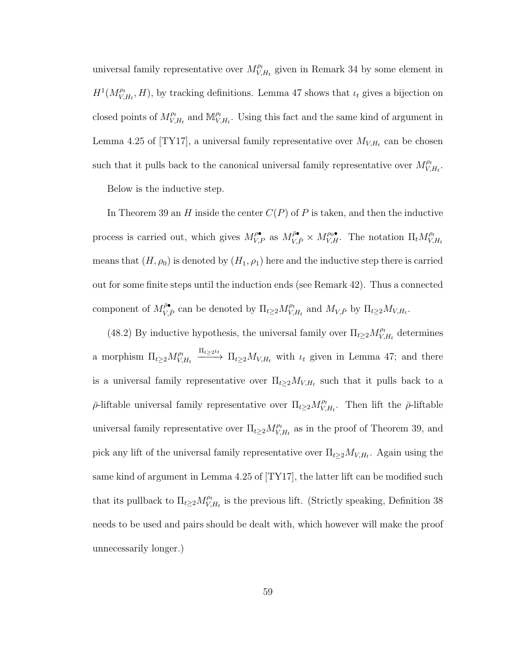universal family representative over  $M_V^{\rho_t}$  $V_{V,H_t}^{\rho_t}$  given in Remark 34 by some element in  $H^1(M_V^{\rho_t})$  $V_{V,H_t}^{(n)}$ , H), by tracking definitions. Lemma 47 shows that  $\iota_t$  gives a bijection on closed points of  $M_V^{\rho t}$  $\int_{V,H_t}^{\rho_t}$  and  $\mathbb{M}_{V_t}^{\rho_t}$  $V_{V,H_t}^{\rho_t}$ . Using this fact and the same kind of argument in Lemma 4.25 of [TY17], a universal family representative over  $M_{V,H_t}$  can be chosen such that it pulls back to the canonical universal family representative over  $M_V^{\rho_t}$  $\overset{\rho_t}{_{V,H_t}}.$ 

Below is the inductive step.

In Theorem 39 an H inside the center  $C(P)$  of P is taken, and then the inductive process is carried out, which gives  $M_{V,P}^{\rho\bullet}$  as  $M_{V,\bar{P}}^{\bar{\rho}\bullet} \times M_{V,H}^{\rho_0\bullet}$ . The notation  $\Pi_t M_{V,\rho}^{\rho_t}$  $V, H_t$ means that  $(H, \rho_0)$  is denoted by  $(H_1, \rho_1)$  here and the inductive step there is carried out for some finite steps until the induction ends (see Remark 42). Thus a connected component of  $M_{V,\bar{P}}^{\bar{\rho}\bullet}$  can be denoted by  $\Pi_{t\geq 2} M_{V,\bar{P}}^{\rho_t}$  $V_{V,H_t}^{\rho_t}$  and  $M_{V,\bar{P}}$  by  $\Pi_{t\geq 2}M_{V,H_t}$ .

(48.2) By inductive hypothesis, the universal family over  $\Pi_{t\geq 2} M_V^{\rho_t}$  $V_{V,H_t}^{\rho_t}$  determines a morphism  $\Pi_{t\geq 2} M_{V}^{\rho_t}$  $V, H_t$  $\frac{\Pi_{t\geq 2}\mu_t}{\Pi_{t\geq 2}M_{V,H_t}}$  with  $\iota_t$  given in Lemma 47; and there is a universal family representative over  $\Pi_{t\geq 2}M_{V,H_t}$  such that it pulls back to a  $\bar{\rho}$ -liftable universal family representative over  $\Pi_{t\geq 2} M_{V}^{\rho_t}$  $V_{V,H_t}^{\rho_t}$ . Then lift the  $\bar{\rho}$ -liftable universal family representative over  $\Pi_{t\geq 2} M_{V}^{\rho_t}$  $V_{V,H_t}^{\rho_t}$  as in the proof of Theorem 39, and pick any lift of the universal family representative over  $\Pi_{t\geq 2}M_{V,H_t}$ . Again using the same kind of argument in Lemma 4.25 of [TY17], the latter lift can be modified such that its pullback to  $\Pi_{t\geq 2} M_{V}^{\rho_t}$  $V_{V,H_t}^{\rho_t}$  is the previous lift. (Strictly speaking, Definition 38 needs to be used and pairs should be dealt with, which however will make the proof unnecessarily longer.)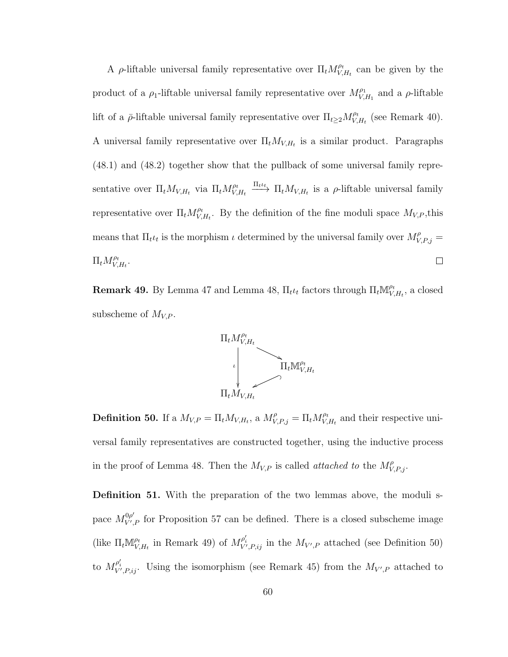A  $\rho$ -liftable universal family representative over  $\Pi_t M_V^{\rho_t}$  $V_{V,H_t}^{\rho_t}$  can be given by the product of a  $\rho_1$ -liftable universal family representative over  $M_{V}^{\rho_1}$  $V_{V,H_1}^{\rho_1}$  and a  $\rho$ -liftable lift of a  $\bar{\rho}$ -liftable universal family representative over  $\Pi_{t\geq 2} M_{V}^{\rho t}$  $V_{V,H_t}^{\rho_t}$  (see Remark 40). A universal family representative over  $\Pi_t M_{V,H_t}$  is a similar product. Paragraphs (48.1) and (48.2) together show that the pullback of some universal family repre- $V_{V,H_t} \xrightarrow{\Pi_t \iota_t} \Pi_t M_{V,H_t}$  is a  $\rho$ -liftable universal family sentative over  $\Pi_t M_{V,H_t}$  via  $\Pi_t M_{V,t}^{\rho_t}$ representative over  $\Pi_t M_{V_s}^{\rho_t}$  $V_{V,H_t}^{\rho_t}$ . By the definition of the fine moduli space  $M_{V,P}$ , this means that  $\Pi_t \iota_t$  is the morphism  $\iota$  determined by the universal family over  $M_{V,P,j}^{\rho} =$  $\Pi_t M_{V}^{\rho_t}$  $\overset{\rho_t}{_{V, H_t}}.$  $\Box$ 

**Remark 49.** By Lemma 47 and Lemma 48,  $\Pi_t \iota_t$  factors through  $\Pi_t \mathbb{M}_{V}^{\rho_t}$  $V_{V,H_t}^{\rho_t}$ , a closed subscheme of  $M_{V,P}$ .



**Definition 50.** If a  $M_{V,P} = \prod_t M_{V,H_t}$ , a  $M_{V,P,j}^{\rho} = \prod_t M_{V}^{\rho_t}$  $V_{V,H_t}^{\rho_t}$  and their respective universal family representatives are constructed together, using the inductive process in the proof of Lemma 48. Then the  $M_{V,P}$  is called *attached to* the  $M_{V,P,j}^{\rho}$ .

Definition 51. With the preparation of the two lemmas above, the moduli space  $M_{V'}^{0\rho'}$  $V_{V,P}^{0\rho}$  for Proposition 57 can be defined. There is a closed subscheme image (like  $\Pi_t \mathbb{M}_{V}^{\rho_t}$  $\mathcal{V}_{V,H_t}^{\rho_t}$  in Remark 49) of  $M_{V',P,ij}^{\rho'_i}$  in the  $M_{V',P}$  attached (see Definition 50) to  $M_{V',P,ij}^{\rho'_i}$ . Using the isomorphism (see Remark 45) from the  $M_{V',P}$  attached to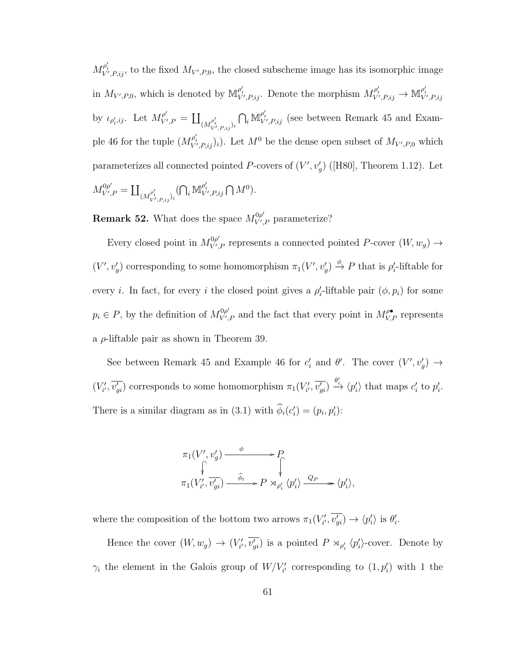$M_{V',P,ij}^{\rho'_i}$ , to the fixed  $M_{V',P,0}$ , the closed subscheme image has its isomorphic image in  $M_{V',P,0}$ , which is denoted by  $\mathbb{M}_{V',P,ij}^{\rho'_i}$ . Denote the morphism  $M_{V',P,ij}^{\rho'_i} \to \mathbb{M}_{V',P,ij}^{\rho'_i}$ by  $\iota_{\rho'_i,ij}$ . Let  $M_{V'}^{\rho'}$  $\sum_{(M^{\rho'_i}_{V',P,ij})_i}^{\rho'}$  $\bigcap_i \mathbb{M}_{V',P,ij}^{\rho'_i}$  (see between Remark 45 and Example 46 for the tuple  $(M_{V',P,ij}^{\rho'_i})_i$ . Let  $M^0$  be the dense open subset of  $M_{V',P,0}$  which parameterizes all connected pointed P-covers of  $(V', v'_g)$  ([H80], Theorem 1.12). Let  $M_{V'}^{0\rho'}$  ${}^{0\rho'}_{V',P}=\coprod_{(M^{\rho'_i}_{V',P,ij})_i}$  $(\bigcap_i \mathbb{M}_{V',P,ij}^{\rho_i'} \bigcap M^0).$ 

**Remark 52.** What does the space  $M_{V}^{0\rho'}$  $V'_{V,P}$  parameterize?

Every closed point in  $M_{V}^{0\rho'}$  $V'_{V',P}$  represents a connected pointed P-cover  $(W, w_g) \rightarrow$  $(V', v'_g)$  corresponding to some homomorphism  $\pi_1(V', v'_g) \stackrel{\phi}{\to} P$  that is  $\rho'_i$ -liftable for every *i*. In fact, for every *i* the closed point gives a  $\rho'_i$ -liftable pair  $(\phi, p_i)$  for some  $p_i \in P$ , by the definition of  $M_{V'}^{\rho\rho'}$  $V'_{V,P}$  and the fact that every point in  $M_{V,P}^{\rho\bullet}$  represents a  $\rho$ -liftable pair as shown in Theorem 39.

See between Remark 45 and Example 46 for  $c_i'$  and  $\theta'$ . The cover  $(V', v'_g) \to$  $(V'_{i'}, \overline{v'_{gi}})$  corresponds to some homomorphism  $\pi_1(V'_{i'}, \overline{v'_{gi}}) \stackrel{\theta'_i}{\rightarrow} \langle p'_i \rangle$  that maps  $c'_i$  to  $p'_i$ . There is a similar diagram as in (3.1) with  $\phi_i(c'_i) = (p_i, p'_i)$ :

$$
\pi_1(V', v'_g) \xrightarrow{\phi} P
$$
  
\n
$$
\uparrow \qquad \qquad \downarrow
$$
  
\n
$$
\pi_1(V'_{i'}, \overline{v'_{gi}}) \xrightarrow{\hat{\phi}_i} P \rtimes_{\rho'_i} \langle p'_i \rangle \xrightarrow{Q_P} \langle p'_i \rangle,
$$

where the composition of the bottom two arrows  $\pi_1(V'_{i'}, \overline{v'_{gi}}) \to \langle p'_i \rangle$  is  $\theta'_i$ .

Hence the cover  $(W, w_g) \to (V'_{i'}, \overline{v'_{gi}})$  is a pointed  $P \rtimes_{\rho'_i} \langle p'_i \rangle$ -cover. Denote by  $\gamma_i$  the element in the Galois group of  $W/V'_{i'}$  corresponding to  $(1, p'_i)$  with 1 the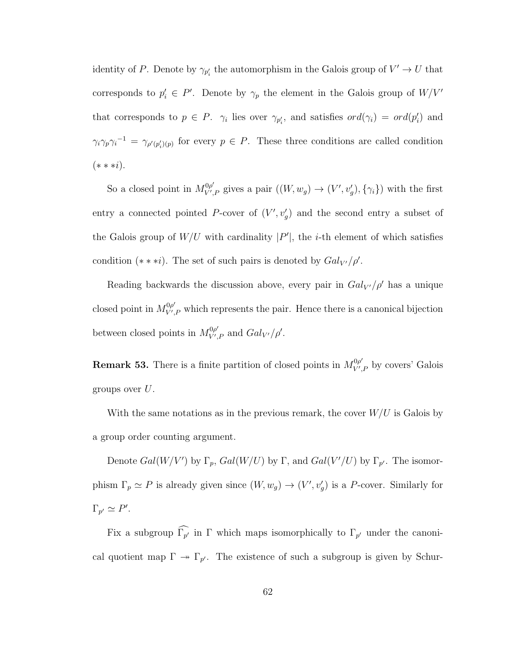identity of P. Denote by  $\gamma_{p'_i}$  the automorphism in the Galois group of  $V' \to U$  that corresponds to  $p'_i \in P'$ . Denote by  $\gamma_p$  the element in the Galois group of  $W/V'$ that corresponds to  $p \in P$ .  $\gamma_i$  lies over  $\gamma_{p'_i}$ , and satisfies  $ord(\gamma_i) = ord(p'_i)$  and  $\gamma_i \gamma_p \gamma_i^{-1} = \gamma_{\rho'(p'_i)(p)}$  for every  $p \in P$ . These three conditions are called condition  $(* * * i).$ 

So a closed point in  $M_{V'}^{0\rho'}$  $V'_{V,P}$  gives a pair  $((W,w_g) \to (V',v'_g), {\gamma_i})$  with the first entry a connected pointed P-cover of  $(V', v'_g)$  and the second entry a subset of the Galois group of  $W/U$  with cardinality  $|P'|$ , the *i*-th element of which satisfies condition (\* \* \**i*). The set of such pairs is denoted by  $Gal_{V'}/\rho'$ .

Reading backwards the discussion above, every pair in  $Gal_{V'}/\rho'$  has a unique closed point in  $M_{V'}^{0\rho'}$  $V'_{V,P}$  which represents the pair. Hence there is a canonical bijection between closed points in  $M_{V}^{0\rho'}$  $V'_{V',P}$  and  $Gal_{V'}/\rho'.$ 

**Remark 53.** There is a finite partition of closed points in  $M_{V'}^{\rho\rho}$  $V', P$  by covers' Galois groups over  $U$ .

With the same notations as in the previous remark, the cover  $W/U$  is Galois by a group order counting argument.

Denote  $Gal(W/V')$  by  $\Gamma_p$ ,  $Gal(W/U)$  by  $\Gamma$ , and  $Gal(V'/U)$  by  $\Gamma_{p'}$ . The isomorphism  $\Gamma_p \simeq P$  is already given since  $(W, w_g) \to (V', v'_g)$  is a P-cover. Similarly for  $\Gamma_{p'} \simeq P'.$ 

Fix a subgroup  $\Gamma_{p'}$  in  $\Gamma$  which maps isomorphically to  $\Gamma_{p'}$  under the canonical quotient map  $\Gamma \to \Gamma_{p'}$ . The existence of such a subgroup is given by Schur-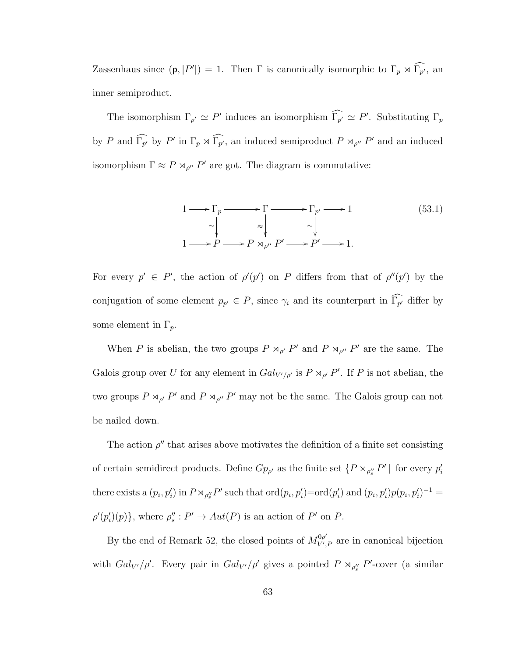Zassenhaus since  $(p, |P'|) = 1$ . Then  $\Gamma$  is canonically isomorphic to  $\Gamma_p \rtimes \widehat{\Gamma_{p'}}$ , an inner semiproduct.

The isomorphism  $\Gamma_{p'} \simeq P'$  induces an isomorphism  $\widehat{\Gamma}_{p'} \simeq P'$ . Substituting  $\Gamma_p$ by P and  $\widehat{\Gamma_{p'}}$  by P' in  $\Gamma_p \rtimes \widehat{\Gamma_{p'}}$ , an induced semiproduct  $P \rtimes_{\rho''} P'$  and an induced isomorphism  $\Gamma \approx P \rtimes_{\rho''} P'$  are got. The diagram is commutative:



For every  $p' \in P'$ , the action of  $\rho'(p')$  on P differs from that of  $\rho''(p')$  by the conjugation of some element  $p_{p'} \in P$ , since  $\gamma_i$  and its counterpart in  $\Gamma_{p'}$  differ by some element in  $\Gamma_p$ .

When P is abelian, the two groups  $P \rtimes_{\rho'} P'$  and  $P \rtimes_{\rho''} P'$  are the same. The Galois group over U for any element in  $Gal_{V'/\rho'}$  is  $P \rtimes_{\rho'} P'$ . If P is not abelian, the two groups  $P \rtimes_{\rho'} P'$  and  $P \rtimes_{\rho''} P'$  may not be the same. The Galois group can not be nailed down.

The action  $\rho''$  that arises above motivates the definition of a finite set consisting of certain semidirect products. Define  $Gp_{\rho'}$  as the finite set  $\{P \rtimes_{\rho''_s} P' \mid \text{ for every } p'_i\}$ there exists a  $(p_i, p'_i)$  in  $P \rtimes_{\rho''_s} P'$  such that  $\text{ord}(p_i, p'_i) = \text{ord}(p'_i)$  and  $(p_i, p'_i) p(p_i, p'_i)^{-1} =$  $\rho'(p'_i)(p)$ }, where  $\rho''_s : P' \to Aut(P)$  is an action of P' on P.

By the end of Remark 52, the closed points of  $M_{V'}^{\rho\rho}$  $V'_{V,P}$  are in canonical bijection with  $Gal_{V'}/\rho'$ . Every pair in  $Gal_{V'}/\rho'$  gives a pointed  $P \rtimes_{\rho''_s} P'$ -cover (a similar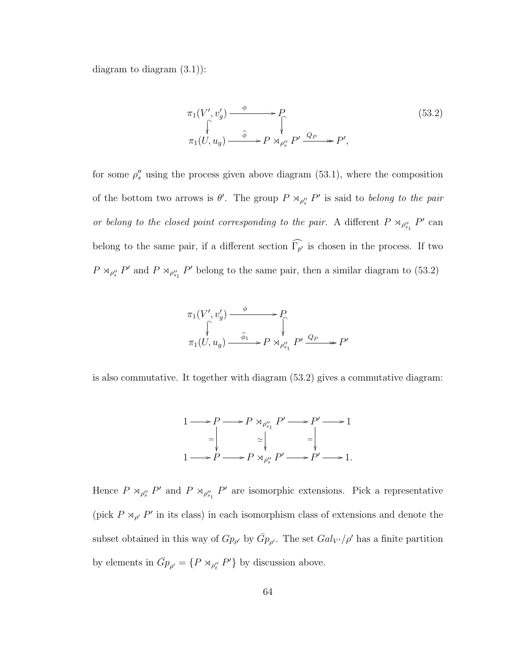diagram to diagram (3.1)):

$$
\pi_1(V', v'_g) \xrightarrow{\phi} P
$$
\n
$$
\uparrow \qquad \qquad \downarrow \qquad (53.2)
$$
\n
$$
\pi_1(U, u_g) \xrightarrow{\hat{\phi}} P \rtimes_{\rho_g''} P' \xrightarrow{Q_P} P',
$$
\n
$$
(53.2)
$$

for some  $\rho_s''$  using the process given above diagram (53.1), where the composition of the bottom two arrows is  $\theta'$ . The group  $P \rtimes_{\rho''_s} P'$  is said to belong to the pair or belong to the closed point corresponding to the pair. A different  $P \rtimes_{\rho''_{s_1}} P'$  can belong to the same pair, if a different section  $\Gamma_{p'}$  is chosen in the process. If two  $P \rtimes_{\rho''_s} P'$  and  $P \rtimes_{\rho''_{s_1}} P'$  belong to the same pair, then a similar diagram to (53.2)

$$
\pi_1(V', v'_g) \xrightarrow{\phi} P
$$
  
\n
$$
\uparrow \qquad \qquad \downarrow
$$
  
\n
$$
\pi_1(U, u_g) \xrightarrow{\hat{\phi}_1} P \rtimes_{\rho''_{s_1}} P' \xrightarrow{Q_P} P'
$$

is also commutative. It together with diagram (53.2) gives a commutative diagram:



Hence  $P \rtimes_{\rho''_{s}} P'$  and  $P \rtimes_{\rho''_{s_1}} P'$  are isomorphic extensions. Pick a representative (pick  $P \rtimes_{\rho'} P'$  in its class) in each isomorphism class of extensions and denote the subset obtained in this way of  $Gp_{\rho'}$  by  $\bar{G}p_{\rho'}$ . The set  $Gal_{V'}/\rho'$  has a finite partition by elements in  $\bar{G}_{p_{p'}} = \{P \rtimes_{\rho''_t} P'\}$  by discussion above.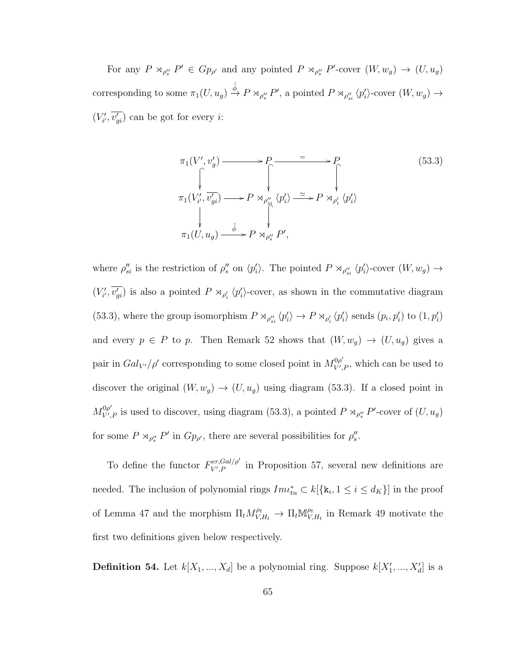For any  $P \rtimes_{\rho''_s} P' \in G_{p_{\rho'}}$  and any pointed  $P \rtimes_{\rho''_s} P'$ -cover  $(W, w_g) \to (U, u_g)$ corresponding to some  $\pi_1(U, u_g) \stackrel{\hat{\phi}}{\rightarrow} P \rtimes_{\rho''_s} P'$ , a pointed  $P \rtimes_{\rho''_{si}} \langle p'_i \rangle$ -cover  $(W, w_g) \rightarrow$  $(V'_{i'}, \overline{v'_{gi}})$  can be got for every *i*:

$$
\pi_1(V', v'_g) \longrightarrow P \longrightarrow P \longrightarrow P
$$
\n
$$
\uparrow \qquad \qquad P \longrightarrow P
$$
\n
$$
\uparrow \qquad \qquad P \longrightarrow P
$$
\n
$$
\uparrow \qquad \qquad \downarrow \qquad \qquad \downarrow
$$
\n
$$
\pi_1(V'_{i'}, v'_{gi}) \longrightarrow P \rtimes_{\rho''_{si}} \langle p'_i \rangle \longrightarrow P \rtimes_{\rho''_{i}} \langle p'_i \rangle
$$
\n
$$
\uparrow \qquad \qquad \downarrow \qquad \qquad \downarrow
$$
\n
$$
\pi_1(U, u_g) \longrightarrow P \rtimes_{\rho''_{s}} P',
$$
\n
$$
(53.3)
$$

where  $\rho''_{si}$  is the restriction of  $\rho''_s$  on  $\langle p'_i \rangle$ . The pointed  $P \rtimes_{\rho''_{si}} \langle p'_i \rangle$ -cover  $(W, w_g) \to$  $(V'_{i'}, \overline{v'_{gi}})$  is also a pointed  $P \rtimes_{\rho'_i} \langle p'_i \rangle$ -cover, as shown in the commutative diagram (53.3), where the group isomorphism  $P \rtimes_{\rho''_{si}} \langle p'_i \rangle \to P \rtimes_{\rho'_i} \langle p'_i \rangle$  sends  $(p_i, p'_i)$  to  $(1, p'_i)$ and every  $p \in P$  to p. Then Remark 52 shows that  $(W, w_g) \to (U, u_g)$  gives a pair in  $Gal_{V'}/\rho'$  corresponding to some closed point in  $M_{V'}^{\rho\rho'}$  $V', P$ , which can be used to discover the original  $(W, w_g) \rightarrow (U, u_g)$  using diagram (53.3). If a closed point in  $M_{V'}^{0\rho'}$  $\int_{V',P}^{\infty}$  is used to discover, using diagram (53.3), a pointed  $P \rtimes_{\rho''_s} P'$ -cover of  $(U,u_g)$ for some  $P \rtimes_{\rho_s} P'$  in  $Gp_{\rho'}$ , there are several possibilities for  $\rho_s''$ .

To define the functor  $F_{V,P}^{er,Gal/\rho'}$  $V'_{V,P}$  in Proposition 57, several new definitions are needed. The inclusion of polynomial rings  $Im\iota_{tn}^* \subset k[\{\mathbf{k}_i, 1 \leq i \leq d_K\}]$  in the proof of Lemma 47 and the morphism  $\Pi_t M_{V,H_t}^{\rho_t} \to \Pi_t M_{V,H_t}^{\rho_t}$  $\mathcal{V}_{V,H_t}^{\rho_t}$  in Remark 49 motivate the first two definitions given below respectively.

**Definition 54.** Let  $k[X_1, ..., X_d]$  be a polynomial ring. Suppose  $k[X'_1, ..., X'_d]$  is a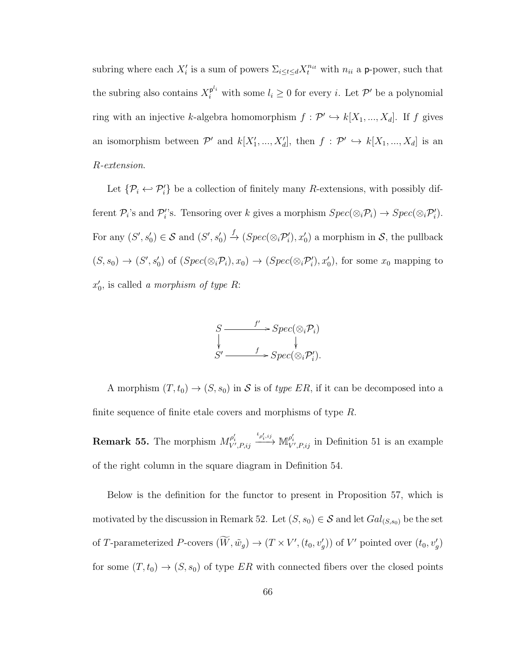subring where each  $X_i'$  is a sum of powers  $\sum_{i\leq t\leq d} X_t^{n_{it}}$  with  $n_{ii}$  a p-power, such that the subring also contains  $X_i^{p^{l_i}}$  with some  $l_i \geq 0$  for every *i*. Let  $\mathcal{P}'$  be a polynomial ring with an injective k-algebra homomorphism  $f: \mathcal{P}' \hookrightarrow k[X_1, ..., X_d]$ . If f gives an isomorphism between  $\mathcal{P}'$  and  $k[X'_1, ..., X'_d]$ , then  $f : \mathcal{P}' \hookrightarrow k[X_1, ..., X_d]$  is an R-extension.

Let  $\{\mathcal{P}_i \leftrightarrow \mathcal{P}'_i\}$  be a collection of finitely many R-extensions, with possibly different  $\mathcal{P}_i$ 's and  $\mathcal{P}'_i$ 's. Tensoring over k gives a morphism  $Spec(\otimes_i \mathcal{P}_i) \to Spec(\otimes_i \mathcal{P}'_i)$ . For any  $(S', s'_0) \in S$  and  $(S', s'_0) \stackrel{f}{\to} (Spec(\otimes_i \mathcal{P}'_i), x'_0)$  a morphism in S, the pullback  $(S, s_0) \to (S', s'_0)$  of  $(Spec(\otimes_i \mathcal{P}_i), x_0) \to (Spec(\otimes_i \mathcal{P}'_i), x'_0)$ , for some  $x_0$  mapping to  $x'_0$ , is called a morphism of type R:

$$
S \xrightarrow{f'} \text{Spec}(\otimes_i \mathcal{P}_i)
$$
  

$$
S' \xrightarrow{f} \text{Spec}(\otimes_i \mathcal{P}'_i).
$$

A morphism  $(T, t_0) \rightarrow (S, s_0)$  in S is of type ER, if it can be decomposed into a finite sequence of finite etale covers and morphisms of type  $R$ .

**Remark 55.** The morphism  $M^{\rho_i'}_{V', P, ij}$  $\stackrel{\iota_{\rho'_i,ij}}{\longrightarrow} \mathbb{M}^{\rho'_i}_{V',P,ij}$  in Definition 51 is an example of the right column in the square diagram in Definition 54.

Below is the definition for the functor to present in Proposition 57, which is motivated by the discussion in Remark 52. Let  $(S, s_0) \in S$  and let  $Gal_{(S, s_0)}$  be the set of T-parameterized P-covers  $(\tilde{W}, \tilde{w}_g) \to (T \times V', (t_0, v'_g))$  of V' pointed over  $(t_0, v'_g)$ for some  $(T, t_0) \rightarrow (S, s_0)$  of type ER with connected fibers over the closed points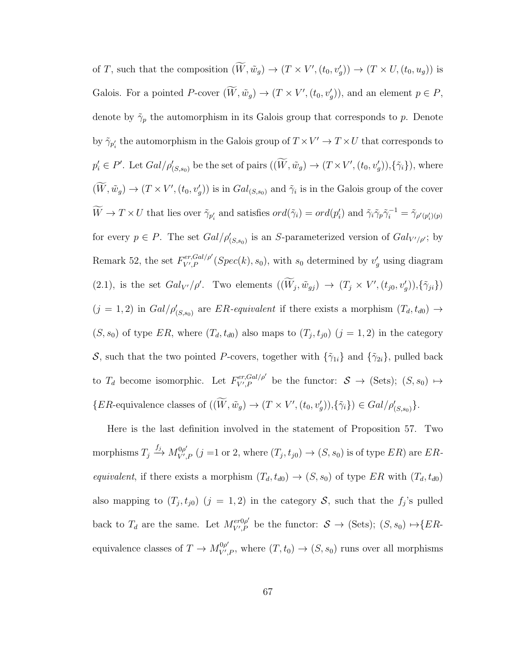of T, such that the composition  $(\tilde{W}, \tilde{w}_g) \to (T \times V', (t_0, v'_g)) \to (T \times U, (t_0, u_g))$  is Galois. For a pointed P-cover  $(\tilde{W}, \tilde{w}_g) \to (T \times V', (t_0, v'_g))$ , and an element  $p \in P$ , denote by  $\tilde{\gamma}_p$  the automorphism in its Galois group that corresponds to p. Denote by  $\tilde{\gamma}_{p'_i}$  the automorphism in the Galois group of  $T \times V' \to T \times U$  that corresponds to  $p'_i \in P'$ . Let  $Gal/\rho'_{(S,s_0)}$  be the set of pairs  $((\tilde{W}, \tilde{w}_g) \to (T \times V', (t_0, v'_g)), {\tilde{\gamma}}_i)$ , where  $(W, \tilde{w}_g) \to (T \times V', (t_0, v'_g))$  is in  $Gal_{(S, s_0)}$  and  $\tilde{\gamma}_i$  is in the Galois group of the cover  $\widetilde{W} \to T \times U$  that lies over  $\widetilde{\gamma}_{p'_i}$  and satisfies  $ord(\widetilde{\gamma}_i) = ord(p'_i)$  and  $\widetilde{\gamma}_i \widetilde{\gamma}_p \widetilde{\gamma}_i^{-1} = \widetilde{\gamma}_{p'(p'_i)(p)}$ for every  $p \in P$ . The set  $Gal/\rho'_{(S,s_0)}$  is an S-parameterized version of  $Gal_{V'/\rho'}$ ; by Remark 52, the set  $F_{V}^{er,Gal/\rho'}$  $V_{V,P}^{(er,Gal)/\rho'}$  (Spec $(k), s_0$ ), with  $s_0$  determined by  $v_g'$  using diagram (2.1), is the set  $Gal_{V'}/\rho'$ . Two elements  $((\tilde{W}_j, \tilde{w}_{gj}) \rightarrow (T_j \times V', (t_{j0}, v'_{g})), {\tilde{\gamma}}_{ji})$  $(j = 1, 2)$  in  $Gal/\rho'_{(S,s_0)}$  are ER-equivalent if there exists a morphism  $(T_d, t_{d0}) \rightarrow$  $(S, s_0)$  of type ER, where  $(T_d, t_{d0})$  also maps to  $(T_j, t_{j0})$   $(j = 1, 2)$  in the category S, such that the two pointed P-covers, together with  $\{\tilde{\gamma}_{1i}\}$  and  $\{\tilde{\gamma}_{2i}\}$ , pulled back to  $T_d$  become isomorphic. Let  $F_{V',P}^{er,Gal/\rho'}$  $V', P \atop V', P$  be the functor:  $S \to (\text{Sets})$ ;  $(S, s_0) \mapsto$ {ER-equivalence classes of  $((\tilde{W}, \tilde{w}_g) \to (T \times V', (t_0, v'_g)), {\tilde{\gamma}}_i) \in Gal/\rho'_{(S,s_0)}$  }.

Here is the last definition involved in the statement of Proposition 57. Two morphisms  $T_j \xrightarrow{f_j} M_{V'}^{0\rho'}$  $V'_{V,P}$   $(j = 1 \text{ or } 2, \text{ where } (T_j, t_{j0}) \rightarrow (S, s_0) \text{ is of type } ER) \text{ are } ER$ equivalent, if there exists a morphism  $(T_d, t_{d0}) \rightarrow (S, s_0)$  of type ER with  $(T_d, t_{d0})$ also mapping to  $(T_j, t_{j0})$   $(j = 1, 2)$  in the category S, such that the  $f_j$ 's pulled back to  $T_d$  are the same. Let  $M_{V,P}^{er0\rho'}$  $V', P$  be the functor:  $S \to (\text{Sets})$ ;  $(S, s_0) \mapsto \{ER - V', P\}$ equivalence classes of  $T \to M_{V'}^{\theta \rho'}$  $V_{V',P}^{0\rho}$ , where  $(T,t_0) \rightarrow (S,s_0)$  runs over all morphisms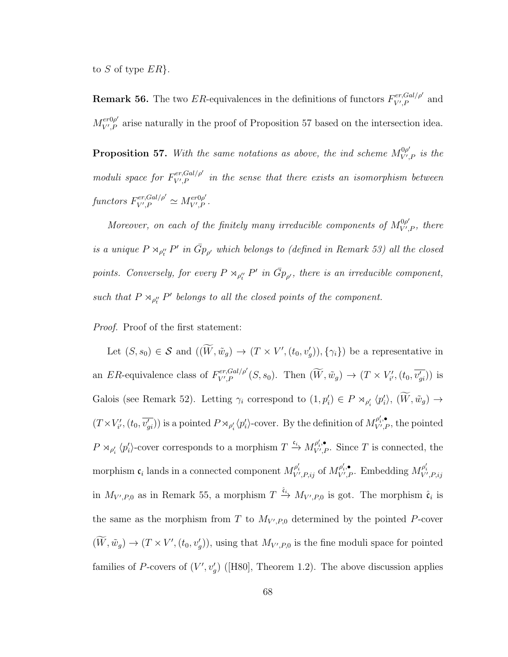to S of type  $ER$ .

**Remark 56.** The two ER-equivalences in the definitions of functors  $F_{V,P}^{er,Gal/\rho'}$  $V', P$  and  $M_{V^{\prime},P}^{er0\rho^{\prime}}$  $V_{V,P}^{ev0\rho}$  arise naturally in the proof of Proposition 57 based on the intersection idea.

**Proposition 57.** With the same notations as above, the ind scheme  $M_{V'}^{\rho\rho}$  $\begin{array}{c}\n\mathbb{P}^{0\rho}_{V',P}\n\end{array}$  is the moduli space for  $F_{V,P}^{er,Gal/\rho'}$  $V', P$  in the sense that there exists an isomorphism between functors  $F_{V^{\prime}P}^{er,Gal/\rho^{\prime}}$  $\chi_{V',P}^{er,Gal/\rho'} \simeq M_{V',P}^{er0\rho'}$  $\epsilon r$ v $\rho$ .<br>V',P

Moreover, on each of the finitely many irreducible components of  $M_{V}^{0\rho'}$  $V', P$ , there is a unique  $P \rtimes_{\rho''_t} P'$  in  $\bar{G}_{P_{\rho'}}$  which belongs to (defined in Remark 53) all the closed points. Conversely, for every  $P \rtimes_{\rho''_t} P'$  in  $\bar{G}_{P_{\rho'}}$ , there is an irreducible component, such that  $P \rtimes_{\rho''_t} P'$  belongs to all the closed points of the component.

Proof. Proof of the first statement:

Let  $(S, s_0) \in S$  and  $((\overline{W}, \tilde{w}_g) \to (T \times V', (t_0, v'_g)), {\gamma_i})$  be a representative in an ER-equivalence class of  $F_{V,P}^{er,Gal/\rho'}$  $V'_{V,P}(Sal/\rho'(S,s_0))$ . Then  $(W,\tilde{w}_g) \to (T \times V'_{i'}, (t_0, \overline{v'_{gi}}))$  is Galois (see Remark 52). Letting  $\gamma_i$  correspond to  $(1, p'_i) \in P \rtimes_{\rho'_i} \langle p'_i \rangle$ ,  $(\widetilde{W}, \widetilde{w}_g) \to$  $(T \times V'_{i'}, (t_0, \overline{v'_{gi}}))$  is a pointed  $P \rtimes_{\rho'_i} \langle p'_i \rangle$ -cover. By the definition of  $M_{V',P}^{\rho'_i, \bullet}$  $V', P$ , the pointed  $P \rtimes_{\rho'_i} \langle p'_i \rangle$ -cover corresponds to a morphism  $T \xrightarrow{\mathfrak{c}_i} M_{V',R}^{\rho'_i, \bullet}$  $V',P'$ . Since T is connected, the morphism  $\mathfrak{c}_i$  lands in a connected component  $M_{V',P,ij}^{\rho'_i}$  of  $M_{V',I}^{\rho'_i,\bullet}$  $\psi'_{V',P}$ . Embedding  $M_{V',P,ij}^{\rho'_i}$ in  $M_{V',P,0}$  as in Remark 55, a morphism  $T \stackrel{\hat{\mathfrak{e}}_i}{\rightarrow} M_{V',P,0}$  is got. The morphism  $\hat{\mathfrak{e}}_i$  is the same as the morphism from T to  $M_{V',P,0}$  determined by the pointed P-cover  $(W, \tilde{w}_g) \to (T \times V', (t_0, v'_g)),$  using that  $M_{V', P, 0}$  is the fine moduli space for pointed families of P-covers of  $(V', v'_g)$  ([H80], Theorem 1.2). The above discussion applies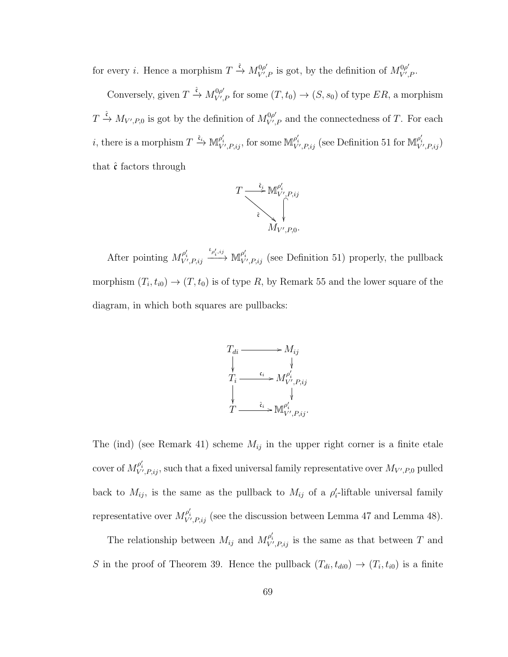for every *i*. Hence a morphism  $T \stackrel{\hat{\mathfrak{e}}}{\rightarrow} M_{V'}^{\mathfrak{0}\rho'}$  $\int_{V',P}^{\cdot 0\rho'}$  is got, by the definition of  $M_{V',P}^{0\rho'}$  $V' , P \cdot$ 

Conversely, given  $T \xrightarrow{\hat{\mathfrak{e}}} M_{V'}^{0\rho'}$  $V'_{V',P}$  for some  $(T,t_0) \to (S,s_0)$  of type  $ER$ , a morphism  $T \xrightarrow{\hat{\mathfrak{e}}} M_{V',P,0}$  is got by the definition of  $M_{V'}^{0\rho'}$  $V'_{V,P}$  and the connectedness of T. For each *i*, there is a morphism  $T \xrightarrow{\hat{\mathfrak{e}}_i} \mathbb{M}^{\rho'_i}_{V',P,ij}$ , for some  $\mathbb{M}^{\rho'_i}_{V',P,ij}$  (see Definition 51 for  $\mathbb{M}^{\rho'_i}_{V',P,ij}$ ) that  $\hat{\mathfrak{c}}$  factors through



After pointing  $M_{V',P,ij}^{\rho'_i}$  $\stackrel{\iota_{\rho'_i,ij}}{\longrightarrow} {\mathbb{M}}^{\rho'_i}_{V',P,ij}$  (see Definition 51) properly, the pullback morphism  $(T_i, t_{i0}) \to (T, t_0)$  is of type R, by Remark 55 and the lower square of the diagram, in which both squares are pullbacks:



The (ind) (see Remark 41) scheme  $M_{ij}$  in the upper right corner is a finite etale cover of  $M_{V',P,ij}^{\rho'_i}$ , such that a fixed universal family representative over  $M_{V',P,0}$  pulled back to  $M_{ij}$ , is the same as the pullback to  $M_{ij}$  of a  $\rho'_i$ -liftable universal family representative over  $M_{V',P,ij}^{\rho'_i}$  (see the discussion between Lemma 47 and Lemma 48).

The relationship between  $M_{ij}$  and  $M_{V',P;ij}^{\rho'_{i}}$  is the same as that between T and S in the proof of Theorem 39. Hence the pullback  $(T_{di}, t_{di0}) \rightarrow (T_i, t_{i0})$  is a finite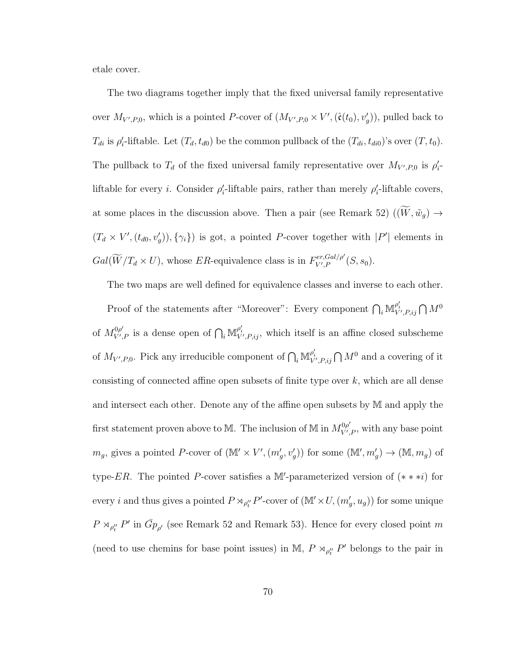etale cover.

The two diagrams together imply that the fixed universal family representative over  $M_{V',P,0}$ , which is a pointed P-cover of  $(M_{V',P,0} \times V', (\hat{\mathfrak{c}}(t_0), v'_g))$ , pulled back to  $T_{di}$  is  $\rho'_i$ -liftable. Let  $(T_d, t_{d0})$  be the common pullback of the  $(T_{di}, t_{di0})$ 's over  $(T, t_0)$ . The pullback to  $T_d$  of the fixed universal family representative over  $M_{V',P,0}$  is  $\rho'_i$ . liftable for every *i*. Consider  $\rho'_i$ -liftable pairs, rather than merely  $\rho'_i$ -liftable covers, at some places in the discussion above. Then a pair (see Remark 52)  $((\widetilde{W}, \widetilde{w}_g) \rightarrow$  $(T_d \times V', (t_{d0}, v'_g)), \{\gamma_i\})$  is got, a pointed P-cover together with  $|P'|$  elements in  $Gal(\widetilde{W}/T_d \times U)$ , whose ER-equivalence class is in  $F_{V',P}^{er,Gal/\rho'}$  $\chi_{V',P}^{er,Gal/\rho}$   $(S,s_0).$ 

The two maps are well defined for equivalence classes and inverse to each other.

Proof of the statements after "Moreover": Every component  $\bigcap_i \mathbb{M}_{V',P,ij}^{\rho'_i} \bigcap M^0$ of  $M_{V'}^{0\rho'}$  $V'_{V',P}$  is a dense open of  $\bigcap_i \mathbb{M}_{V',P,ij}^{\rho'_i}$ , which itself is an affine closed subscheme of  $M_{V',P,0}$ . Pick any irreducible component of  $\bigcap_i \mathbb{M}_{V',P,ij}^{p'_i} \bigcap M^0$  and a covering of it consisting of connected affine open subsets of finite type over  $k$ , which are all dense and intersect each other. Denote any of the affine open subsets by M and apply the first statement proven above to M. The inclusion of M in  $M_{V}^{0\rho'}$  $V', P$ , with any base point  $m_g$ , gives a pointed P-cover of  $(\mathbb{M}' \times V', (m'_g, v'_g))$  for some  $(\mathbb{M}', m'_g) \to (\mathbb{M}, m_g)$  of type-ER. The pointed P-cover satisfies a M'-parameterized version of  $(* * *i)$  for every *i* and thus gives a pointed  $P \rtimes_{\rho''_t} P'$ -cover of  $(\mathbb{M}' \times U, (m'_g, u_g))$  for some unique  $P \rtimes_{\rho''_t} P'$  in  $\bar{G}_{p_{\rho'}}$  (see Remark 52 and Remark 53). Hence for every closed point m (need to use chemins for base point issues) in M,  $P \rtimes_{\rho''_t} P'$  belongs to the pair in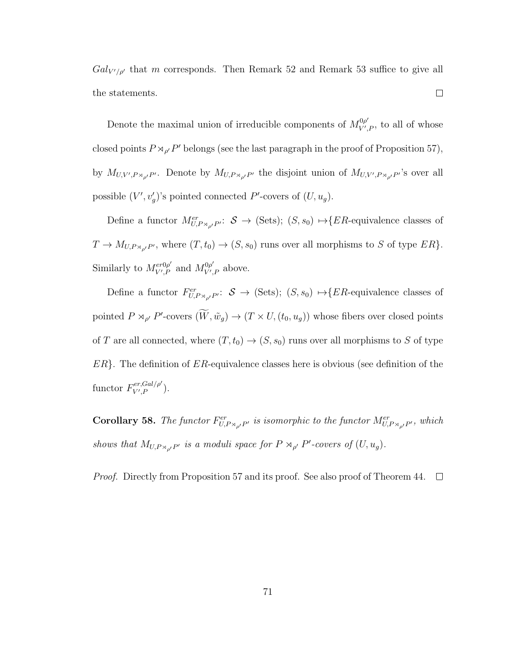$Gal_{V'/\rho'}$  that m corresponds. Then Remark 52 and Remark 53 suffice to give all  $\Box$ the statements.

Denote the maximal union of irreducible components of  $M_{V'}^{\rho\rho}$  $V', P$ , to all of whose closed points  $P \rtimes_{\rho'} P'$  belongs (see the last paragraph in the proof of Proposition 57), by  $M_{U,V',P\rtimes_{\rho'}P'}$ . Denote by  $M_{U,P\rtimes_{\rho'}P'}$  the disjoint union of  $M_{U,V',P\rtimes_{\rho'}P'}$ 's over all possible  $(V', v'_g)'$ s pointed connected P'-covers of  $(U, u_g)$ .

Define a functor  $M^{er}_{U,P\rtimes_{\rho'}P'}\colon\thinspace \mathcal{S}\to (\mathrm{Sets}); \ (S,s_0)\mapsto \{ER\text{-equivalence classes of }$  $T \to M_{U,P\rtimes_{\rho'}P'}$ , where  $(T,t_0) \to (S,s_0)$  runs over all morphisms to S of type  $ER$ . Similarly to  $M_{V}^{er0\rho'}$  $\frac{\partial^{\alpha} P}{\partial V'} P$  and  $M_{V'}^{0\rho'}$  $V', P$  above.

Define a functor  $F_{U,P\rtimes_{\rho'}P'}^{er}: \mathcal{S} \to (\text{Sets}); (S, s_0) \mapsto \{ER\text{-equivalence classes of }$ pointed  $P \rtimes_{\rho'} P'$ -covers  $(\widetilde{W}, \widetilde{w}_g) \to (T \times U, (t_0, u_g))$  whose fibers over closed points of  $T$  are all connected, where  $(T, t_0) \rightarrow (S, s_0)$  runs over all morphisms to  $S$  of type  $ER$ . The definition of  $ER$ -equivalence classes here is obvious (see definition of the functor  $F_{V,P}^{er,Gal/\rho'}$  $v^{er,\text{Gal}/\rho}_{V',P}$ ).

**Corollary 58.** The functor  $F_{U,P\rtimes_{\rho'}P'}^{er}$  is isomorphic to the functor  $M_{U,P\rtimes_{\rho'}P'}^{er}$ , which shows that  $M_{U,P\rtimes_{\rho'}P'}$  is a moduli space for  $P\rtimes_{\rho'}P'$ -covers of  $(U,u_g)$ .

*Proof.* Directly from Proposition 57 and its proof. See also proof of Theorem 44.  $\Box$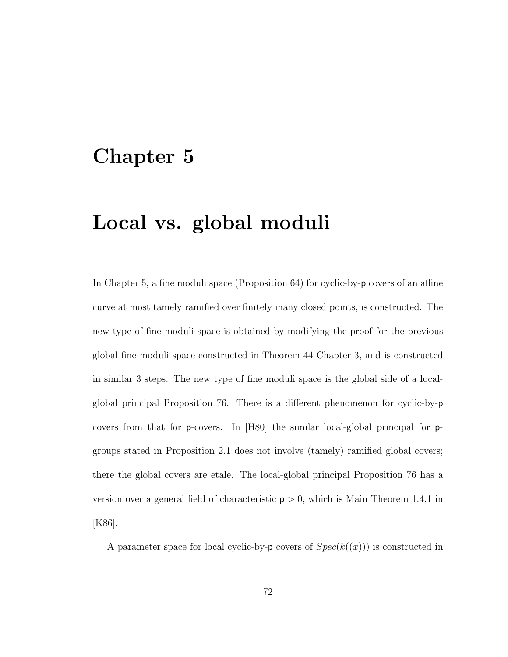## Chapter 5

## Local vs. global moduli

In Chapter 5, a fine moduli space (Proposition 64) for cyclic-by-p covers of an affine curve at most tamely ramified over finitely many closed points, is constructed. The new type of fine moduli space is obtained by modifying the proof for the previous global fine moduli space constructed in Theorem 44 Chapter 3, and is constructed in similar 3 steps. The new type of fine moduli space is the global side of a localglobal principal Proposition 76. There is a different phenomenon for cyclic-by-p covers from that for p-covers. In [H80] the similar local-global principal for pgroups stated in Proposition 2.1 does not involve (tamely) ramified global covers; there the global covers are etale. The local-global principal Proposition 76 has a version over a general field of characteristic  $p > 0$ , which is Main Theorem 1.4.1 in [K86].

A parameter space for local cyclic-by-p covers of  $Spec(k((x)))$  is constructed in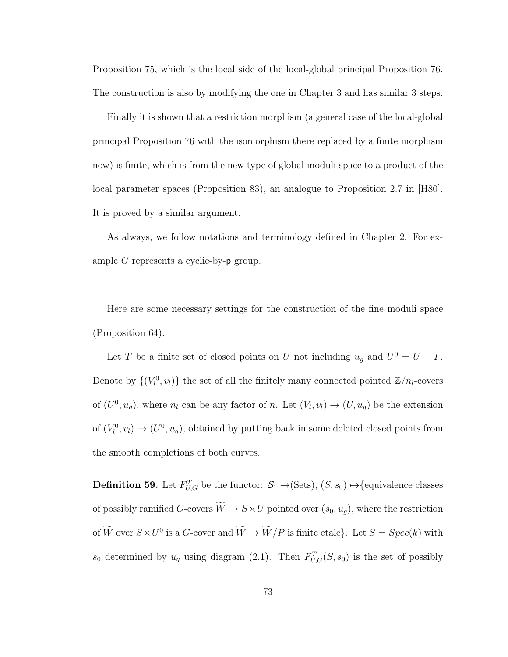Proposition 75, which is the local side of the local-global principal Proposition 76. The construction is also by modifying the one in Chapter 3 and has similar 3 steps.

Finally it is shown that a restriction morphism (a general case of the local-global principal Proposition 76 with the isomorphism there replaced by a finite morphism now) is finite, which is from the new type of global moduli space to a product of the local parameter spaces (Proposition 83), an analogue to Proposition 2.7 in [H80]. It is proved by a similar argument.

As always, we follow notations and terminology defined in Chapter 2. For example G represents a cyclic-by-p group.

Here are some necessary settings for the construction of the fine moduli space (Proposition 64).

Let T be a finite set of closed points on U not including  $u_g$  and  $U^0 = U - T$ . Denote by  $\{(V_l^0, v_l)\}\)$  the set of all the finitely many connected pointed  $\mathbb{Z}/n_l$ -covers of  $(U^0, u_g)$ , where  $n_l$  can be any factor of n. Let  $(V_l, v_l) \rightarrow (U, u_g)$  be the extension of  $(V_l^0, v_l) \to (U^0, u_g)$ , obtained by putting back in some deleted closed points from the smooth completions of both curves.

**Definition 59.** Let  $F_{U,G}^T$  be the functor:  $S_1 \rightarrow$  (Sets),  $(S, s_0) \rightarrow$  {equivalence classes of possibly ramified  $G$ -covers  $\widetilde{W} \to S \times U$  pointed over  $(s_0, u_g)$ , where the restriction of  $\overline{W}$  over  $S \times U^0$  is a G-cover and  $\overline{W} \to \overline{W}/P$  is finite etale}. Let  $S = Spec(k)$  with  $s_0$  determined by  $u_g$  using diagram (2.1). Then  $F_{U,G}^T(S, s_0)$  is the set of possibly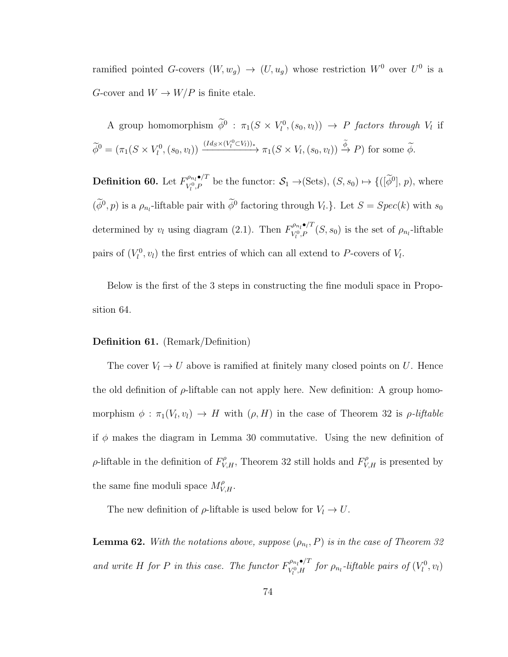ramified pointed G-covers  $(W, w_g) \rightarrow (U, u_g)$  whose restriction  $W^0$  over  $U^0$  is a G-cover and  $W \to W/P$  is finite etale.

A group homomorphism  $\phi^0$  :  $\pi_1(S \times V_l^0, (s_0, v_l)) \to P$  factors through  $V_l$  if  $\widetilde{\phi}^0 = (\pi_1(S \times V_l^0, (s_0, v_l)) \xrightarrow{(Id_S \times (V_l^0 \subset V_l))_*} \pi_1(S \times V_l, (s_0, v_l)) \overset{\widetilde{\phi}}{\to} P)$  for some  $\widetilde{\phi}$ .

Definition 60. Let  $F^{\rho_{n_l}\bullet/T}_{V^0P}$  $\mathcal{S}_1, \mathcal{S}_2, \mathcal{S}_3 \mapsto \{([\phi^0], p), \text{where }$ <br>  $V_l^0, P$  be the functor:  $\mathcal{S}_1 \to (\text{Sets}), (S, s_0) \mapsto \{([\phi^0], p), \text{where }$  $(\phi^0, p)$  is a  $\rho_{n_l}$ -liftable pair with  $\phi^0$  factoring through  $V_l$ . Let  $S = Spec(k)$  with  $s_0$ determined by  $v_l$  using diagram (2.1). Then  $F^{\rho_{n_l}\bullet/T}_{V^0 p}$  $V_l^{p_{n_l}\bullet P}$   $(S, s_0)$  is the set of  $\rho_{n_l}$ -liftable pairs of  $(V_l^0, v_l)$  the first entries of which can all extend to P-covers of  $V_l$ .

Below is the first of the 3 steps in constructing the fine moduli space in Proposition 64.

## Definition 61. (Remark/Definition)

The cover  $V_l \to U$  above is ramified at finitely many closed points on U. Hence the old definition of  $\rho$ -liftable can not apply here. New definition: A group homomorphism  $\phi : \pi_1(V_l, v_l) \to H$  with  $(\rho, H)$  in the case of Theorem 32 is  $\rho$ -liftable if  $\phi$  makes the diagram in Lemma 30 commutative. Using the new definition of  $\rho$ -liftable in the definition of  $F_{V,H}^{\rho}$ , Theorem 32 still holds and  $F_{V,H}^{\rho}$  is presented by the same fine moduli space  $M_{V,H}^{\rho}$ .

The new definition of  $\rho$ -liftable is used below for  $V_l \to U$ .

**Lemma 62.** With the notations above, suppose  $(\rho_{n_l}, P)$  is in the case of Theorem 32 and write H for P in this case. The functor  $F_{V^0H}^{\rho_{n_l}\bullet/T}$  $\int_{V_l^0,H}^{\rho_{n_l} \bullet/1}$  for  $\rho_{n_l}$ -liftable pairs of  $(V_l^0,v_l)$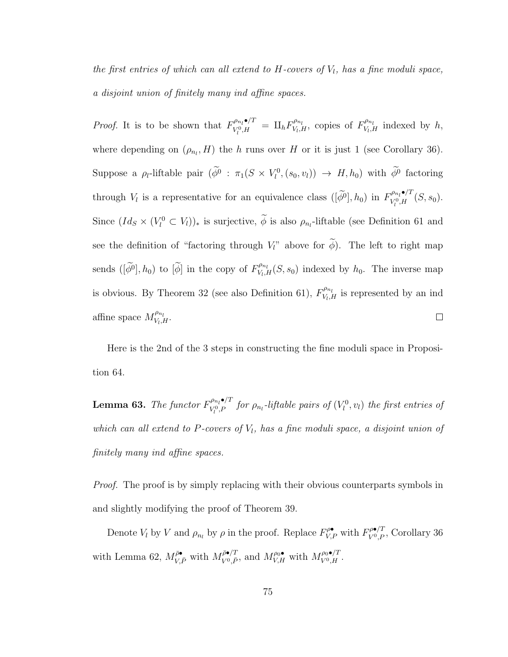the first entries of which can all extend to  $H$ -covers of  $V_l$ , has a fine moduli space, a disjoint union of finitely many ind affine spaces.

*Proof.* It is to be shown that  $F_{V^0H}^{\rho_{n_l}\bullet/T}$  $\frac{\partial \rho_{n_l} \bullet/T}{V_l^0,H} \;=\; \amalg_h F_{V_l,I}^{\rho_{n_l}}$  $V_{V_l,H}^{\rho_{n_l}}$ , copies of  $F_{V_l,I}^{\rho_{n_l}}$  $V_{l,H}^{\nu n_l}$  indexed by  $h$ , where depending on  $(\rho_{n_l}, H)$  the h runs over H or it is just 1 (see Corollary 36). Suppose a  $\rho_l$ -liftable pair  $(\phi^0 : \pi_1(S \times V_l^0, (s_0, v_l)) \to H, h_0)$  with  $\phi^0$  factoring through  $V_l$  is a representative for an equivalence class  $([\tilde{\phi}^0], h_0)$  in  $F_{V_l^0, H}^{\rho_{n_l} \bullet / T}$  $V_l^{p_{n_l}\bullet f}$   $(S, s_0)$ . Since  $(Id_S \times (V_l^0 \subset V_l))_*$  is surjective,  $\phi$  is also  $\rho_{n_l}$ -liftable (see Definition 61 and see the definition of "factoring through  $V_l$ " above for  $\widetilde{\phi}$ ). The left to right map sends  $([\widetilde{\phi}^0], h_0)$  to  $[\widetilde{\phi}]$  in the copy of  $F_{V_l, l}^{\rho_{n_l}}$  $V_{V_l,H}^{P_{n_l}}(S, s_0)$  indexed by  $h_0$ . The inverse map is obvious. By Theorem 32 (see also Definition 61),  $F_{V,1}^{\rho_{n_l}}$  $V_{V_l,H}^{\nu_{n_l}}$  is represented by an ind affine space  $M_{V_L}^{\rho_{n_l}}$  $\overset{\rho_{n_l}}{V_l,H}.$  $\Box$ 

Here is the 2nd of the 3 steps in constructing the fine moduli space in Proposition 64.

**Lemma 63.** The functor  $F_{V^0 P}^{\rho_{n_l} \bullet /T}$  $\mathcal{V}^{p_{n_l}\bullet/1}_{V^0_l,P}$  for  $\rho_{n_l}$ -liftable pairs of  $(V^0_l,v_l)$  the first entries of which can all extend to  $P$ -covers of  $V_l$ , has a fine moduli space, a disjoint union of finitely many ind affine spaces.

Proof. The proof is by simply replacing with their obvious counterparts symbols in and slightly modifying the proof of Theorem 39.

Denote  $V_l$  by  $V$  and  $\rho_{n_l}$  by  $\rho$  in the proof. Replace  $F_{V,P}^{\rho \bullet}$  with  $F_{V^0,P}^{\rho \bullet/T}$ , Corollary 36 with Lemma 62,  $M_{V,\bar{P}}^{\bar{\rho}\bullet}$  with  $M_{V^0,\bar{P}}^{\bar{\rho}\bullet/T}$  $W^{p\bullet}_{V^0,\bar{P}}$ , and  $M_{V,H}^{p_0\bullet}$  with  $M_{V^0,H}^{p_0\bullet/T}$ .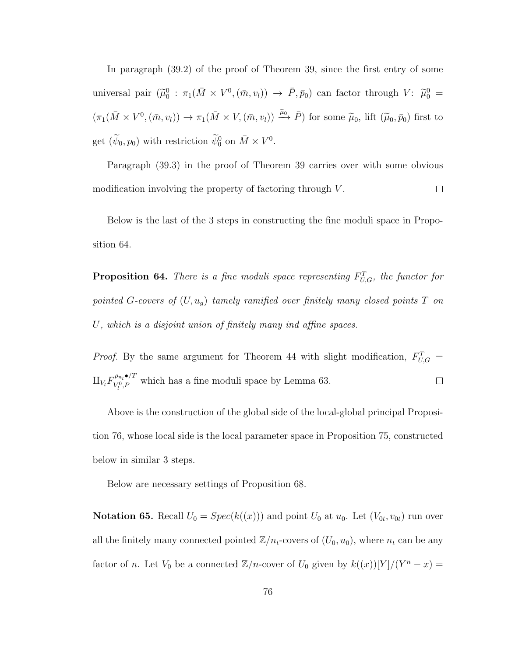In paragraph (39.2) of the proof of Theorem 39, since the first entry of some universal pair  $(\tilde{\mu}_0^0 : \pi_1(\bar{M} \times V^0, (\bar{m}, v_l)) \to \bar{P}, \bar{p}_0)$  can factor through  $V: \tilde{\mu}_0^0 =$  $(\pi_1(\bar{M}\times V^0,(\bar{m},v_l))\to \pi_1(\bar{M}\times V,(\bar{m},v_l))\stackrel{\tilde{\mu}_0}{\longrightarrow}\bar{P})$  for some  $\tilde{\mu}_0$ , lift  $(\tilde{\mu}_0,\bar{p}_0)$  first to get  $(\widetilde{\psi}_0, p_0)$  with restriction  $\widetilde{\psi}_0^0$  on  $\overline{M} \times V^0$ .

Paragraph (39.3) in the proof of Theorem 39 carries over with some obvious modification involving the property of factoring through V.  $\Box$ 

Below is the last of the 3 steps in constructing the fine moduli space in Proposition 64.

**Proposition 64.** There is a fine moduli space representing  $F_{U,G}^T$ , the functor for pointed G-covers of  $(U, u_g)$  tamely ramified over finitely many closed points T on U, which is a disjoint union of finitely many ind affine spaces.

*Proof.* By the same argument for Theorem 44 with slight modification,  $F_{U,G}^T$  =  $\Pi_{V_l} F^{\rho_{n_l}\bullet/T}_{V^0_\cdot P}$  $V_{l}^{\rho_{n_l} \bullet}$  which has a fine moduli space by Lemma 63.  $\Box$ 

Above is the construction of the global side of the local-global principal Proposition 76, whose local side is the local parameter space in Proposition 75, constructed below in similar 3 steps.

Below are necessary settings of Proposition 68.

**Notation 65.** Recall  $U_0 = Spec(k((x)))$  and point  $U_0$  at  $u_0$ . Let  $(V_{0t}, v_{0t})$  run over all the finitely many connected pointed  $\mathbb{Z}/n_t$ -covers of  $(U_0, u_0)$ , where  $n_t$  can be any factor of n. Let  $V_0$  be a connected  $\mathbb{Z}/n$ -cover of  $U_0$  given by  $k((x))[Y]/(Y^n-x)$  =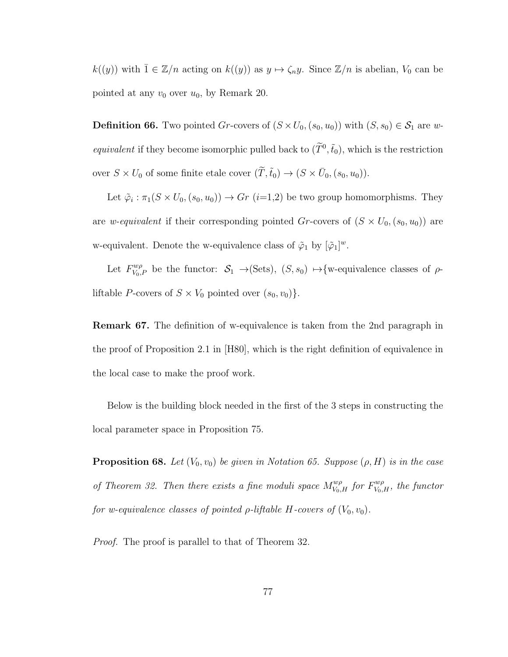$k((y))$  with  $\overline{1} \in \mathbb{Z}/n$  acting on  $k((y))$  as  $y \mapsto \zeta_n y$ . Since  $\mathbb{Z}/n$  is abelian,  $V_0$  can be pointed at any  $v_0$  over  $u_0$ , by Remark 20.

**Definition 66.** Two pointed Gr-covers of  $(S \times U_0, (s_0, u_0))$  with  $(S, s_0) \in S_1$  are w*equivalent* if they become isomorphic pulled back to  $(\tilde{T}^0, \tilde{t}_0)$ , which is the restriction over  $S \times U_0$  of some finite etale cover  $(\tilde{T}, \tilde{t}_0) \to (S \times \bar{U}_0, (s_0, u_0))$ .

Let  $\tilde{\varphi}_i : \pi_1(S \times U_0, (s_0, u_0)) \to Gr$   $(i=1,2)$  be two group homomorphisms. They are *w-equivalent* if their corresponding pointed Gr-covers of  $(S \times U_0, (s_0, u_0))$  are w-equivalent. Denote the w-equivalence class of  $\tilde{\varphi}_1$  by  $[\tilde{\varphi}_1]^w$ .

Let  $F_{V_0,P}^{w\rho}$  be the functor:  $S_1 \rightarrow (Sets), (S, s_0) \rightarrow \{w\text{-equivalence classes of }\rho\text{-}$ liftable *P*-covers of  $S \times V_0$  pointed over  $(s_0, v_0)$ .

Remark 67. The definition of w-equivalence is taken from the 2nd paragraph in the proof of Proposition 2.1 in [H80], which is the right definition of equivalence in the local case to make the proof work.

Below is the building block needed in the first of the 3 steps in constructing the local parameter space in Proposition 75.

**Proposition 68.** Let  $(V_0, v_0)$  be given in Notation 65. Suppose  $(\rho, H)$  is in the case of Theorem 32. Then there exists a fine moduli space  $M_{V_0,H}^{w\rho}$  for  $F_{V_0,H}^{w\rho}$ , the functor for w-equivalence classes of pointed  $\rho$ -liftable H-covers of  $(V_0, v_0)$ .

*Proof.* The proof is parallel to that of Theorem 32.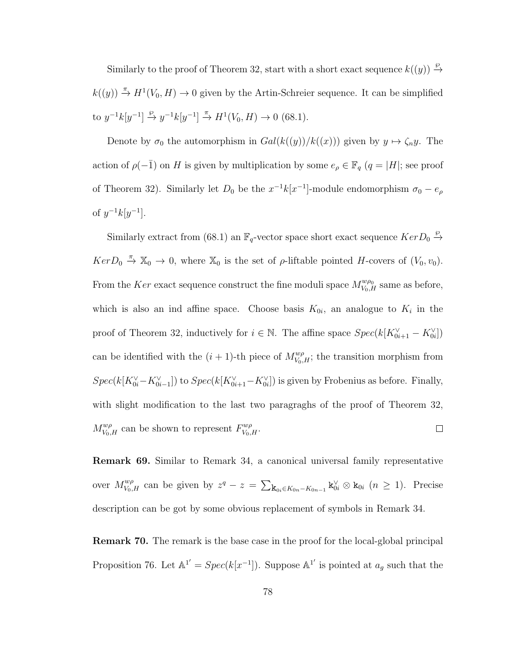Similarly to the proof of Theorem 32, start with a short exact sequence  $k((y)) \stackrel{\wp}{\rightarrow}$  $k((y)) \stackrel{\pi}{\to} H^1(V_0, H) \to 0$  given by the Artin-Schreier sequence. It can be simplified to  $y^{-1}k[y^{-1}] \xrightarrow{\varphi} y^{-1}k[y^{-1}] \xrightarrow{\pi} H^1(V_0, H) \to 0$  (68.1).

Denote by  $\sigma_0$  the automorphism in  $Gal(k((y))/k((x)))$  given by  $y \mapsto \zeta_n y$ . The action of  $\rho(-\bar{1})$  on H is given by multiplication by some  $e_{\rho} \in \mathbb{F}_q$  ( $q = |H|$ ; see proof of Theorem 32). Similarly let  $D_0$  be the  $x^{-1}k[x^{-1}]$ -module endomorphism  $\sigma_0 - e_\rho$ of  $y^{-1}k[y^{-1}]$ .

Similarly extract from (68.1) an  $\mathbb{F}_q$ -vector space short exact sequence  $KerD_0 \stackrel{\wp}{\rightarrow}$  $Ker D_0 \stackrel{\pi}{\rightarrow} \mathbb{X}_0 \rightarrow 0$ , where  $\mathbb{X}_0$  is the set of  $\rho$ -liftable pointed H-covers of  $(V_0, v_0)$ . From the Ker exact sequence construct the fine moduli space  $M_{V_0,H}^{w\rho_0}$  same as before, which is also an ind affine space. Choose basis  $K_{0i}$ , an analogue to  $K_i$  in the proof of Theorem 32, inductively for  $i \in \mathbb{N}$ . The affine space  $Spec(k[K_{0i+1}^{\vee} - K_{0i}^{\vee}])$ can be identified with the  $(i + 1)$ -th piece of  $M_{V_0,H}^{w\rho}$ ; the transition morphism from  $Spec(k[K_{0i}^{\vee} - K_{0i-1}^{\vee}])$  to  $Spec(k[K_{0i+1}^{\vee} - K_{0i}^{\vee}])$  is given by Frobenius as before. Finally, with slight modification to the last two paragraghs of the proof of Theorem 32,  $M_{V_0,H}^{w\rho}$  can be shown to represent  $F_{V_0,H}^{w\rho}$ .  $\Box$ 

Remark 69. Similar to Remark 34, a canonical universal family representative over  $M_{V_0,H}^{w\rho}$  can be given by  $z^q - z = \sum_{\mathbf{k}_{0i}\in K_{0n}-K_{0n-1}} \mathbf{k}_{0i}^{\vee} \otimes \mathbf{k}_{0i}$   $(n \geq 1)$ . Precise description can be got by some obvious replacement of symbols in Remark 34.

**Remark 70.** The remark is the base case in the proof for the local-global principal Proposition 76. Let  $\mathbb{A}^{1'} = Spec(k[x^{-1}])$ . Suppose  $\mathbb{A}^{1'}$  is pointed at  $a_g$  such that the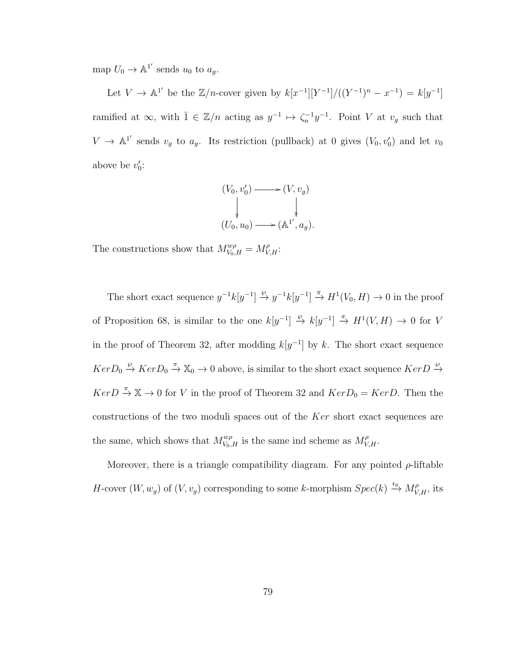map  $U_0 \to \mathbb{A}^{1'}$  sends  $u_0$  to  $a_g$ .

Let  $V \to \mathbb{A}^{1'}$  be the  $\mathbb{Z}/n$ -cover given by  $k[x^{-1}][Y^{-1}]/((Y^{-1})^n - x^{-1}) = k[y^{-1}]$ ramified at  $\infty$ , with  $\overline{1} \in \mathbb{Z}/n$  acting as  $y^{-1} \mapsto \zeta_n^{-1}y^{-1}$ . Point V at  $v_g$  such that  $V \to \mathbb{A}^{1'}$  sends  $v_g$  to  $a_g$ . Its restriction (pullback) at 0 gives  $(V_0, v'_0)$  and let  $v_0$ above be  $v'_0$ :

$$
(V_0, v'_0) \longrightarrow (V, v_g)
$$
  
\n
$$
\downarrow \qquad \qquad \downarrow
$$
  
\n
$$
(U_0, u_0) \longrightarrow (\mathbb{A}^{1'}, a_g).
$$

The constructions show that  $M_{V_0,H}^{w\rho} = M_{V,H}^{\rho}$ :

The short exact sequence  $y^{-1}k[y^{-1}] \stackrel{\wp}{\to} y^{-1}k[y^{-1}] \stackrel{\pi}{\to} H^1(V_0, H) \to 0$  in the proof of Proposition 68, is similar to the one  $k[y^{-1}] \stackrel{\wp}{\to} k[y^{-1}] \stackrel{\pi}{\to} H^1(V, H) \to 0$  for V in the proof of Theorem 32, after modding  $k[y^{-1}]$  by k. The short exact sequence  $Ker D_0 \stackrel{\wp}{\to} Ker D_0 \stackrel{\pi}{\to} \mathbb{X}_0 \to 0$  above, is similar to the short exact sequence  $Ker D \stackrel{\wp}{\to}$  $Ker D \stackrel{\pi}{\rightarrow} \mathbb{X} \rightarrow 0$  for V in the proof of Theorem 32 and  $Ker D_0 = Ker D$ . Then the constructions of the two moduli spaces out of the Ker short exact sequences are the same, which shows that  $M_{V_0,H}^{w\rho}$  is the same ind scheme as  $M_{V,H}^{\rho}$ .

Moreover, there is a triangle compatibility diagram. For any pointed  $\rho$ -liftable H-cover  $(W, w_g)$  of  $(V, v_g)$  corresponding to some k-morphism  $Spec(k) \stackrel{\epsilon_g}{\rightarrow} M_{V,H}^{\rho}$ , its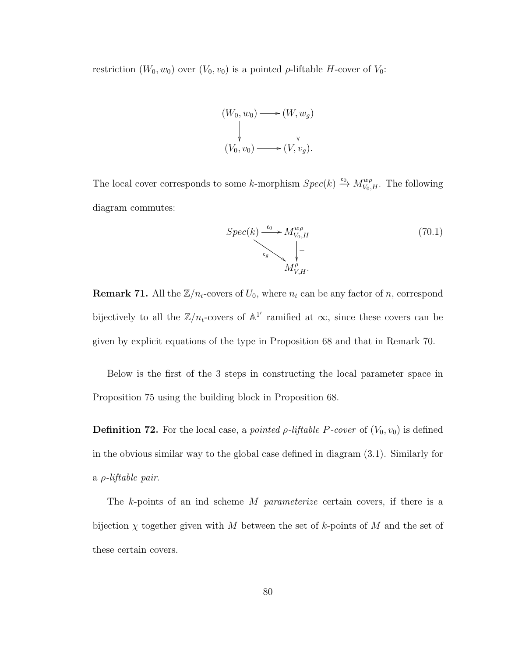restriction  $(W_0, w_0)$  over  $(V_0, v_0)$  is a pointed  $\rho$ -liftable H-cover of  $V_0$ :



The local cover corresponds to some k-morphism  $Spec(k) \xrightarrow{c_0} M_{V_0,H}^{w\rho}$ . The following diagram commutes:

$$
Spec(k) \xrightarrow{\epsilon_0} M_{V_0,H}^{w\rho}
$$
  
\n
$$
\downarrow_{\epsilon_g} \searrow \searrow_{M_{V,H}^{\rho}}^{w\rho}.
$$
\n(70.1)

**Remark 71.** All the  $\mathbb{Z}/n_t$ -covers of  $U_0$ , where  $n_t$  can be any factor of n, correspond bijectively to all the  $\mathbb{Z}/n_t$ -covers of  $\mathbb{A}^{1'}$  ramified at  $\infty$ , since these covers can be given by explicit equations of the type in Proposition 68 and that in Remark 70.

Below is the first of the 3 steps in constructing the local parameter space in Proposition 75 using the building block in Proposition 68.

**Definition 72.** For the local case, a *pointed*  $\rho$ *-liftable P-cover* of  $(V_0, v_0)$  is defined in the obvious similar way to the global case defined in diagram (3.1). Similarly for a ρ-liftable pair.

The k-points of an ind scheme M parameterize certain covers, if there is a bijection  $\chi$  together given with M between the set of k-points of M and the set of these certain covers.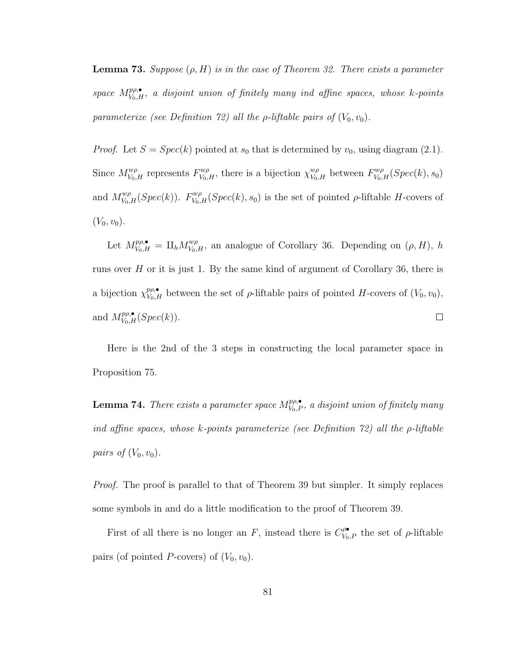**Lemma 73.** Suppose  $(\rho, H)$  is in the case of Theorem 32. There exists a parameter space  $M_{V_0,H}^{p\rho,\bullet}$ , a disjoint union of finitely many ind affine spaces, whose k-points parameterize (see Definition 72) all the  $\rho$ -liftable pairs of  $(V_0, v_0)$ .

*Proof.* Let  $S = Spec(k)$  pointed at  $s_0$  that is determined by  $v_0$ , using diagram (2.1). Since  $M_{V_0,H}^{w\rho}$  represents  $F_{V_0,H}^{w\rho}$ , there is a bijection  $\chi_{V_0,H}^{w\rho}$  between  $F_{V_0,H}^{w\rho}(Spec(k), s_0)$ and  $M_{V_0,H}^{w\rho}(Spec(k))$ .  $F_{V_0,H}^{w\rho}(Spec(k), s_0)$  is the set of pointed  $\rho$ -liftable H-covers of  $(V_0, v_0)$ .

Let  $M_{V_0,H}^{p\rho,\bullet} = \amalg_h M_{V_0,H}^{w\rho}$ , an analogue of Corollary 36. Depending on  $(\rho, H)$ , h runs over  $H$  or it is just 1. By the same kind of argument of Corollary 36, there is a bijection  $\chi_{V_0,H}^{p\rho,\bullet}$  between the set of  $\rho$ -liftable pairs of pointed H-covers of  $(V_0, v_0)$ , and  $M_{V_0,H}^{p\rho,\bullet}(Spec(k)).$  $\Box$ 

Here is the 2nd of the 3 steps in constructing the local parameter space in Proposition 75.

**Lemma 74.** There exists a parameter space  $M_{V_0,P}^{p\rho,\bullet}$ , a disjoint union of finitely many ind affine spaces, whose k-points parameterize (see Definition  $72$ ) all the  $\rho$ -liftable pairs of  $(V_0, v_0)$ .

Proof. The proof is parallel to that of Theorem 39 but simpler. It simply replaces some symbols in and do a little modification to the proof of Theorem 39.

First of all there is no longer an F, instead there is  $C_{V_0,P}^{\rho\bullet}$  the set of  $\rho$ -liftable pairs (of pointed P-covers) of  $(V_0, v_0)$ .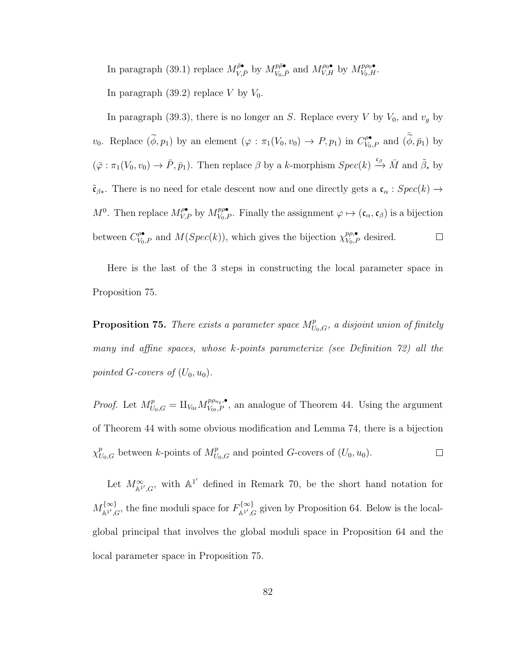In paragraph (39.1) replace  $M_{V,\bar{P}}^{\bar{\rho}\bullet}$  by  $M_{V_0,\bar{P}}^{p\bar{\rho}\bullet}$  and  $M_{V,H}^{\rho_0\bullet}$  by  $M_{V_0,H}^{p\rho_0\bullet}$ .

In paragraph  $(39.2)$  replace V by  $V_0$ .

In paragraph (39.3), there is no longer an S. Replace every  $V$  by  $V_0$ , and  $v_g$  by  $v_0$ . Replace  $(\widetilde{\phi}, p_1)$  by an element  $(\varphi : \pi_1(V_0, v_0) \to P, p_1)$  in  $C_{V_0, P}^{\rho \bullet}$  and  $(\widetilde{\widetilde{\phi}}, \overline{p}_1)$  by  $(\bar{\varphi} : \pi_1(V_0, v_0) \to \bar{P}, \bar{p}_1)$ . Then replace  $\beta$  by a k-morphism  $Spec(k) \xrightarrow{\mathfrak{e}_{\beta}} \bar{M}$  and  $\tilde{\beta}_*$  by  $\tilde{\mathfrak{c}}_{\beta*}$ . There is no need for etale descent now and one directly gets a  $\mathfrak{c}_{\alpha}$  :  $Spec(k) \rightarrow$  $M^0$ . Then replace  $M_{V,P}^{\rho\bullet}$  by  $M_{V_0,P}^{p\rho\bullet}$ . Finally the assignment  $\varphi \mapsto (\mathfrak{c}_{\alpha}, \mathfrak{c}_{\beta})$  is a bijection between  $C_{V_0,P}^{\rho\bullet}$  and  $M(Spec(k))$ , which gives the bijection  $\chi_{V_0,P}^{p\rho,\bullet}$  desired.  $\Box$ 

Here is the last of the 3 steps in constructing the local parameter space in Proposition 75.

**Proposition 75.** There exists a parameter space  $M_{U_0,G}^p$ , a disjoint union of finitely many ind affine spaces, whose k-points parameterize (see Definition 72) all the pointed G-covers of  $(U_0, u_0)$ .

*Proof.* Let  $M_{U_0,G}^p = \amalg_{V_{0t}} M_{V_{0t},P}^{p_{\rho_{n_t},\bullet}},$  an analogue of Theorem 44. Using the argument of Theorem 44 with some obvious modification and Lemma 74, there is a bijection  $\chi^p_{U_0,G}$  between k-points of  $M^p_{U_0,G}$  and pointed G-covers of  $(U_0, u_0)$ .  $\Box$ 

Let  $M^{\infty}_{\mathbb{A}^{1'},G}$ , with  $\mathbb{A}^{1'}$  defined in Remark 70, be the short hand notation for  $M^{\{\infty\}}_{\ast\,1}$  $H^{\{\infty\}}_{\mathbb{A}^1',G}$ , the fine moduli space for  $F^{\{\infty\}}_{\mathbb{A}^1',G}$  $\mathbb{A}^{1\setminus\mathcal{S}}_{\mathbb{A}^{1\mathcal{I}},G}$  given by Proposition 64. Below is the localglobal principal that involves the global moduli space in Proposition 64 and the local parameter space in Proposition 75.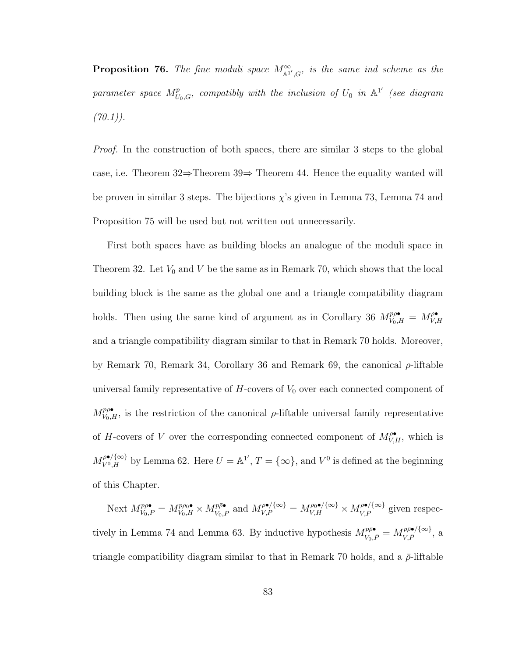**Proposition 76.** The fine moduli space  $M^{\infty}_{\mathbb{A}^1/G}$ , is the same ind scheme as the parameter space  $M_{U_0,G}^p$ , compatibly with the inclusion of  $U_0$  in  $\mathbb{A}^{1'}$  (see diagram  $(70.1)$ .

Proof. In the construction of both spaces, there are similar 3 steps to the global case, i.e. Theorem 32⇒Theorem 39⇒ Theorem 44. Hence the equality wanted will be proven in similar 3 steps. The bijections  $\chi$ 's given in Lemma 73, Lemma 74 and Proposition 75 will be used but not written out unnecessarily.

First both spaces have as building blocks an analogue of the moduli space in Theorem 32. Let  $V_0$  and V be the same as in Remark 70, which shows that the local building block is the same as the global one and a triangle compatibility diagram holds. Then using the same kind of argument as in Corollary 36  $M_{V_0,H}^{p\rho\bullet} = M_{V,\mathcal{I}}^{\rho\bullet}$  $V, H$ and a triangle compatibility diagram similar to that in Remark 70 holds. Moreover, by Remark 70, Remark 34, Corollary 36 and Remark 69, the canonical  $\rho$ -liftable universal family representative of  $H$ -covers of  $V_0$  over each connected component of  $M_{V_0,H}^{p\rho\bullet}$ , is the restriction of the canonical  $\rho$ -liftable universal family representative of H-covers of V over the corresponding connected component of  $M_{V,H}^{\rho\bullet}$ , which is  $M_{V^0,H}^{\rho\bullet/\{\infty\}}$  by Lemma 62. Here  $U = \mathbb{A}^{1'}$ ,  $T = \{\infty\}$ , and  $V^0$  is defined at the beginning of this Chapter.

Next  $M_{V_0,P}^{p\rho\bullet} = M_{V_0,H}^{p\rho\bullet} \times M_{V_0,\bar{P}}^{p\bar{\rho}\bullet}$  and  $M_{V,P}^{\rho\bullet/\{\infty\}} = M_{V,H}^{\rho\bullet/\{\infty\}} \times M_{V,\bar{P}}^{\bar{\rho}\bullet/\{\infty\}}$  given respectively in Lemma 74 and Lemma 63. By inductive hypothesis  $M_{V_0,\bar{P}}^{p\bar{p}\bullet} = M_{V,\bar{P}}^{p\bar{p}\bullet/\{\infty\}}$  $\frac{p\rho\bullet}{V,\bar{P}}$ , a triangle compatibility diagram similar to that in Remark 70 holds, and a  $\bar{\rho}$ -liftable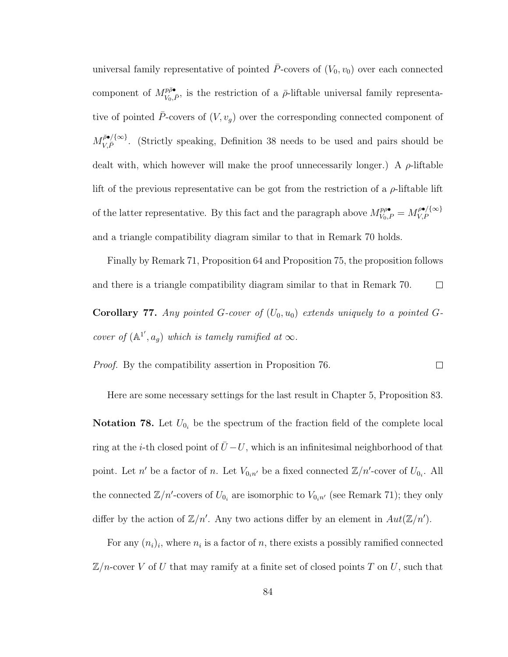universal family representative of pointed  $\bar{P}$ -covers of  $(V_0, v_0)$  over each connected component of  $M_{V_0}^{p\bar{\rho}\bullet}$  $\overline{V}_{V_0,\bar{P}}$ , is the restriction of a  $\bar{\rho}$ -liftable universal family representative of pointed  $\bar{P}$ -covers of  $(V, v_g)$  over the corresponding connected component of  $M_{V\bar P}^{\bar\rho\bullet/\{\infty\}}$  $V_{V,\bar{P}}^{\mathcal{P}\bullet/\{\infty\}}$ . (Strictly speaking, Definition 38 needs to be used and pairs should be dealt with, which however will make the proof unnecessarily longer.) A  $\rho$ -liftable lift of the previous representative can be got from the restriction of a  $\rho$ -liftable lift of the latter representative. By this fact and the paragraph above  $M_{V_0,P}^{p\rho\bullet} = M_{V,P}^{\rho\bullet/\{\infty\}}$ V,P and a triangle compatibility diagram similar to that in Remark 70 holds.

Finally by Remark 71, Proposition 64 and Proposition 75, the proposition follows and there is a triangle compatibility diagram similar to that in Remark 70.  $\Box$ **Corollary 77.** Any pointed G-cover of  $(U_0, u_0)$  extends uniquely to a pointed Gcover of  $(\mathbb{A}^{1'}, a_g)$  which is tamely ramified at  $\infty$ .

Proof. By the compatibility assertion in Proposition 76.  $\Box$ 

Here are some necessary settings for the last result in Chapter 5, Proposition 83.

**Notation 78.** Let  $U_{0_i}$  be the spectrum of the fraction field of the complete local ring at the *i*-th closed point of  $\bar{U}$  − U, which is an infinitesimal neighborhood of that point. Let n' be a factor of n. Let  $V_{0,n'}$  be a fixed connected  $\mathbb{Z}/n'$ -cover of  $U_{0,i}$ . All the connected  $\mathbb{Z}/n'$ -covers of  $U_{0_i}$  are isomorphic to  $V_{0_i n'}$  (see Remark 71); they only differ by the action of  $\mathbb{Z}/n'$ . Any two actions differ by an element in  $Aut(\mathbb{Z}/n')$ .

For any  $(n_i)_i$ , where  $n_i$  is a factor of n, there exists a possibly ramified connected  $\mathbb{Z}/n$ -cover V of U that may ramify at a finite set of closed points T on U, such that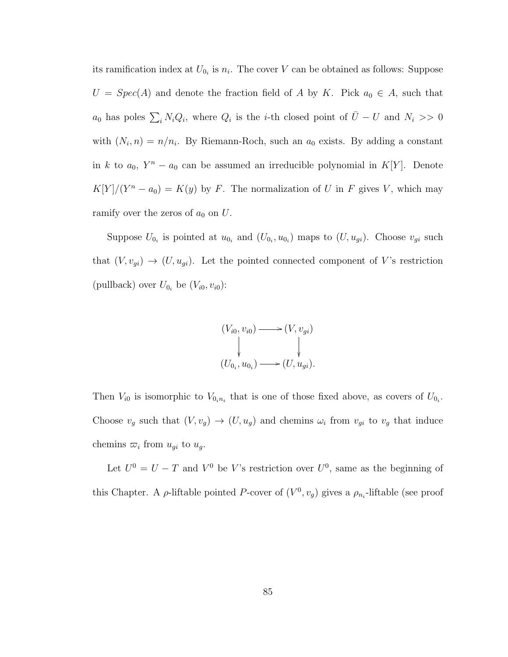its ramification index at  $U_{0_i}$  is  $n_i$ . The cover V can be obtained as follows: Suppose  $U = Spec(A)$  and denote the fraction field of A by K. Pick  $a_0 \in A$ , such that  $a_0$  has poles  $\sum_i N_i Q_i$ , where  $Q_i$  is the *i*-th closed point of  $\overline{U}-U$  and  $N_i >> 0$ with  $(N_i, n) = n/n_i$ . By Riemann-Roch, such an  $a_0$  exists. By adding a constant in k to  $a_0$ ,  $Y^n - a_0$  can be assumed an irreducible polynomial in K[Y]. Denote  $K[Y]/(Y^n - a_0) = K(y)$  by F. The normalization of U in F gives V, which may ramify over the zeros of  $a_0$  on U.

Suppose  $U_{0_i}$  is pointed at  $u_{0_i}$  and  $(U_{0_i}, u_{0_i})$  maps to  $(U, u_{gi})$ . Choose  $v_{gi}$  such that  $(V, v_{gi}) \rightarrow (U, u_{gi})$ . Let the pointed connected component of V's restriction (pullback) over  $U_{0_i}$  be  $(V_{i0}, v_{i0})$ :

$$
(V_{i0}, v_{i0}) \longrightarrow (V, v_{gi})
$$
  
\n
$$
\downarrow \qquad \qquad \downarrow
$$
  
\n
$$
(U_{0_i}, u_{0_i}) \longrightarrow (U, u_{gi}).
$$

Then  $V_{i0}$  is isomorphic to  $V_{0_i n_i}$  that is one of those fixed above, as covers of  $U_{0_i}$ . Choose  $v_g$  such that  $(V, v_g) \to (U, u_g)$  and chemins  $\omega_i$  from  $v_{gi}$  to  $v_g$  that induce chemins  $\overline{\omega}_i$  from  $u_{gi}$  to  $u_g$ .

Let  $U^0 = U - T$  and  $V^0$  be V's restriction over  $U^0$ , same as the beginning of this Chapter. A  $\rho$ -liftable pointed P-cover of  $(V^0, v_g)$  gives a  $\rho_{n_i}$ -liftable (see proof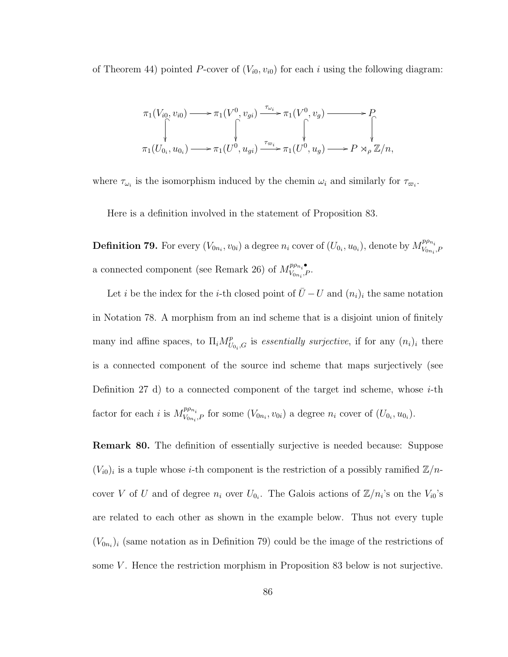of Theorem 44) pointed P-cover of  $(V_{i0}, v_{i0})$  for each i using the following diagram:

$$
\pi_1(V_{i0}, v_{i0}) \longrightarrow \pi_1(V^0, v_{gi}) \xrightarrow{\tau_{\omega_i}} \pi_1(V^0, v_g) \longrightarrow P
$$
  

$$
\uparrow \qquad \qquad \downarrow \qquad \qquad \downarrow
$$
  

$$
\pi_1(U_{0_i}, u_{0_i}) \longrightarrow \pi_1(U^0, u_{gi}) \xrightarrow{\tau_{\varpi_i}} \pi_1(U^0, u_g) \longrightarrow P \rtimes_{\rho} \mathbb{Z}/n,
$$

where  $\tau_{\omega_i}$  is the isomorphism induced by the chemin  $\omega_i$  and similarly for  $\tau_{\varpi_i}$ .

Here is a definition involved in the statement of Proposition 83.

**Definition 79.** For every  $(V_{0n_i}, v_{0i})$  a degree  $n_i$  cover of  $(U_{0i}, u_{0i})$ , denote by  $M_{V_{0n_i}}^{p\rho_{n_i}}$  $V_{0n_i}, F$ a connected component (see Remark 26) of  $M_{V_{0}}^{p\rho_{n_i}}$  $V_{0n_i}P$ .

Let *i* be the index for the *i*-th closed point of  $\bar{U} - U$  and  $(n_i)_i$  the same notation in Notation 78. A morphism from an ind scheme that is a disjoint union of finitely many ind affine spaces, to  $\Pi_i M_U^p$  $U_{U_{0_i},G}$  is essentially surjective, if for any  $(n_i)_i$  there is a connected component of the source ind scheme that maps surjectively (see Definition 27 d) to a connected component of the target ind scheme, whose  $i$ -th factor for each i is  $M_{V_{\text{on}}}^{p\rho_{n_i}}$  $V_{V_{0n_i},P}$  for some  $(V_{0n_i}, v_{0i})$  a degree  $n_i$  cover of  $(U_{0_i}, u_{0_i})$ .

Remark 80. The definition of essentially surjective is needed because: Suppose  $(V_{i0})_i$  is a tuple whose *i*-th component is the restriction of a possibly ramified  $\mathbb{Z}/n$ cover V of U and of degree  $n_i$  over  $U_{0_i}$ . The Galois actions of  $\mathbb{Z}/n_i$ 's on the  $V_{i0}$ 's are related to each other as shown in the example below. Thus not every tuple  $(V_{0n_i})_i$  (same notation as in Definition 79) could be the image of the restrictions of some  $V$ . Hence the restriction morphism in Proposition 83 below is not surjective.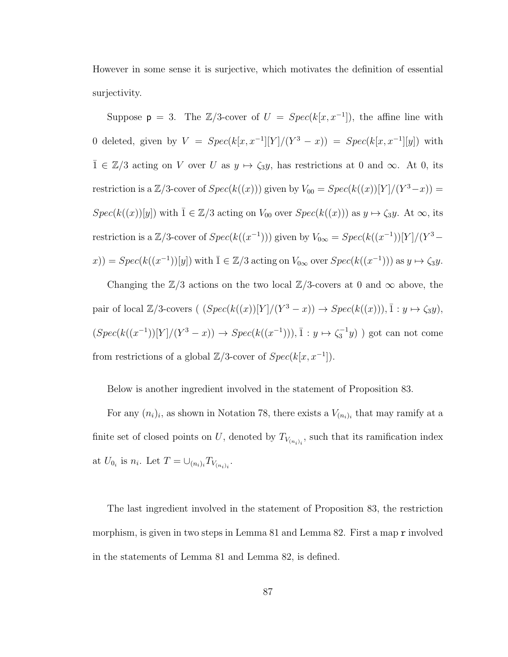However in some sense it is surjective, which motivates the definition of essential surjectivity.

Suppose  $p = 3$ . The  $\mathbb{Z}/3$ -cover of  $U = Spec(k[x, x^{-1}])$ , the affine line with 0 deleted, given by  $V = Spec(k[x, x^{-1}][Y]/(Y^3 - x)) = Spec(k[x, x^{-1}][y])$  with  $\overline{1} \in \mathbb{Z}/3$  acting on V over U as  $y \mapsto \zeta_3 y$ , has restrictions at 0 and  $\infty$ . At 0, its restriction is a  $\mathbb{Z}/3$ -cover of  $Spec(k((x)))$  given by  $V_{00} = Spec(k((x))[Y]/(Y^3-x)) =$  $Spec(k((x))[y])$  with  $\overline{1} \in \mathbb{Z}/3$  acting on  $V_{00}$  over  $Spec(k((x)))$  as  $y \mapsto \zeta_3y$ . At  $\infty$ , its restriction is a  $\mathbb{Z}/3$ -cover of  $Spec(k((x^{-1})))$  given by  $V_{0\infty} = Spec(k((x^{-1}))[Y]/(Y^3 (x) = Spec(k((x^{-1}))[y])$  with  $\overline{1} \in \mathbb{Z}/3$  acting on  $V_{0\infty}$  over  $Spec(k((x^{-1})))$  as  $y \mapsto \zeta_3y$ .

Changing the  $\mathbb{Z}/3$  actions on the two local  $\mathbb{Z}/3$ -covers at 0 and  $\infty$  above, the pair of local  $\mathbb{Z}/3$ -covers  $((Spec(k((x))[Y]/(Y^3-x)) \rightarrow Spec(k((x))), \overline{1}: y \mapsto \zeta_3y),$  $(Spec(k((x^{-1}))[Y]/(Y^3-x)) \to Spec(k((x^{-1}))), \bar{1}: y \mapsto \zeta_3^{-1}y)$  ) got can not come from restrictions of a global  $\mathbb{Z}/3$ -cover of  $Spec(k[x, x^{-1}])$ .

Below is another ingredient involved in the statement of Proposition 83.

For any  $(n_i)_i$ , as shown in Notation 78, there exists a  $V_{(n_i)_i}$  that may ramify at a finite set of closed points on U, denoted by  $T_{V_{(n_i)_i}}$ , such that its ramification index at  $U_{0_i}$  is  $n_i$ . Let  $T = \bigcup_{(n_i)_i} T_{V_{(n_i)_i}}$ .

The last ingredient involved in the statement of Proposition 83, the restriction morphism, is given in two steps in Lemma 81 and Lemma 82. First a map r involved in the statements of Lemma 81 and Lemma 82, is defined.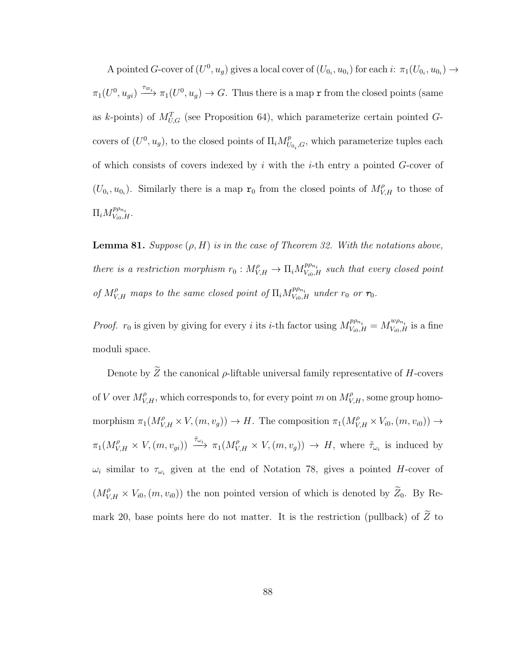A pointed G-cover of  $(U^0, u_g)$  gives a local cover of  $(U_{0_i}, u_{0_i})$  for each  $i: \pi_1(U_{0_i}, u_{0_i}) \to$  $\pi_1(U^0, u_{gi}) \xrightarrow{\tau_{\varpi_i}} \pi_1(U^0, u_g) \to G$ . Thus there is a map r from the closed points (same as k-points) of  $M_{U,G}^T$  (see Proposition 64), which parameterize certain pointed Gcovers of  $(U^0, u_g)$ , to the closed points of  $\Pi_i M_U^p$  $U_{U_{0_i},G}$ , which parameterize tuples each of which consists of covers indexed by i with the i-th entry a pointed  $G$ -cover of  $(U_{0_i}, u_{0_i})$ . Similarly there is a map  $\mathbf{r}_0$  from the closed points of  $M_{V,H}^{\rho}$  to those of  $\Pi_i M_{V_{i0},H}^{p\rho_{n_i}}$ .

**Lemma 81.** Suppose  $(\rho, H)$  is in the case of Theorem 32. With the notations above, there is a restriction morphism  $r_0: M_{V,H}^{\rho} \to \Pi_i M_{V_{i0},H}^{p\rho_{n_i}}$  such that every closed point of  $M_{V,H}^{\rho}$  maps to the same closed point of  $\Pi_i M_{V_{i0},H}^{p\rho_{n_i}}$  under  $r_0$  or  $r_0$ .

*Proof.*  $r_0$  is given by giving for every i its i-th factor using  $M_{V_{i0},H}^{p\rho_{n_i}} = M_{V_{i0},H}^{w\rho_{n_i}}$  is a fine moduli space.

Denote by  $\widetilde{Z}$  the canonical  $\rho\text{-liftable universal family representative of }H\text{-}{\rm covers}$ of V over  $M_{V,H}^{\rho}$ , which corresponds to, for every point m on  $M_{V,H}^{\rho}$ , some group homomorphism  $\pi_1(M_{V,H}^{\rho} \times V,(m,v_g)) \to H$ . The composition  $\pi_1(M_{V,H}^{\rho} \times V_{i0},(m,v_{i0})) \to$  $\pi_1(M_{V,H}^{\rho} \times V, (m, v_{gi})) \xrightarrow{\tilde{\tau}_{\omega_i}} \pi_1(M_{V,H}^{\rho} \times V, (m, v_g)) \rightarrow H$ , where  $\tilde{\tau}_{\omega_i}$  is induced by  $\omega_i$  similar to  $\tau_{\omega_i}$  given at the end of Notation 78, gives a pointed H-cover of  $(M_{V,H}^{\rho} \times V_{i0}, (m, v_{i0}))$  the non pointed version of which is denoted by  $\widetilde{Z}_0$ . By Remark 20, base points here do not matter. It is the restriction (pullback) of  $\widetilde{Z}$  to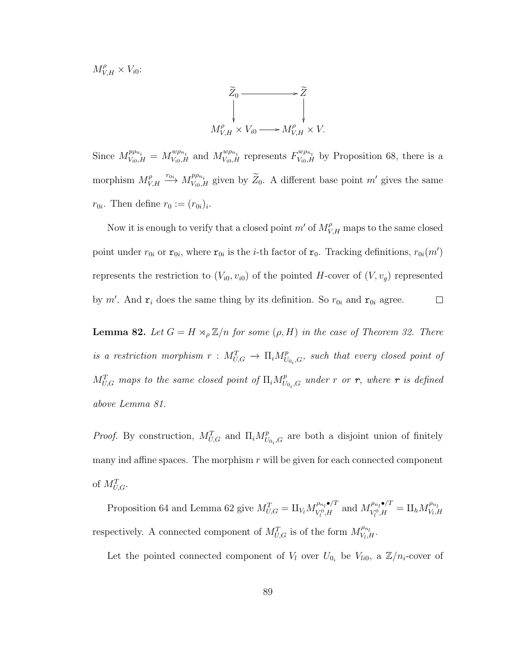$M_{V,H}^{\rho} \times V_{i0}$ :



Since  $M_{V_{i0},H}^{p\rho_{n_i}} = M_{V_{i0},H}^{w\rho_{n_i}}$  and  $M_{V_{i0},H}^{w\rho_{n_i}}$  represents  $F_{V_{i0},H}^{w\rho_{n_i}}$  by Proposition 68, there is a morphism  $M_V^{\rho}$  $V_{V,H} \stackrel{r_{0i}}{\longrightarrow} M_{V_{i0},H}^{p\rho_{n_i}}$  given by  $\widetilde{Z}_0$ . A different base point m' gives the same  $r_{0i}$ . Then define  $r_0 := (r_{0i})_i$ .

Now it is enough to verify that a closed point  $m'$  of  $M_{V,H}^{\rho}$  maps to the same closed point under  $r_{0i}$  or  $\mathbf{r}_{0i}$ , where  $\mathbf{r}_{0i}$  is the *i*-th factor of  $\mathbf{r}_0$ . Tracking definitions,  $r_{0i}(m')$ represents the restriction to  $(V_{i0}, v_{i0})$  of the pointed H-cover of  $(V, v_g)$  represented by m'. And  $r_i$  does the same thing by its definition. So  $r_{0i}$  and  $r_{0i}$  agree.  $\Box$ 

**Lemma 82.** Let  $G = H \rtimes_{\rho} \mathbb{Z}/n$  for some  $(\rho, H)$  in the case of Theorem 32. There is a restriction morphism  $r: M_{U,G}^T \to \Pi_i M_U^p$  $\begin{array}{c} p \ v_{0_i}, G, \end{array}$  such that every closed point of  $M_{U,G}^T$  maps to the same closed point of  $\Pi_i M_U^p$  $\overset{p}{U_0}_i$ g under  $r$  or  $r,$  where  $r$  is defined above Lemma 81.

*Proof.* By construction,  $M_{U,G}^T$  and  $\Pi_i M_U^p$  $U_{U_{0}}$ , *G* are both a disjoint union of finitely many ind affine spaces. The morphism  $r$  will be given for each connected component of  $M_{U,G}^T$ .

Proposition 64 and Lemma 62 give  $M_{U,G}^T = \amalg_{V_l} M_{V_l^0,H}^{\rho_{n_l} \bullet/T}$  $W_{V_0}^{0,\bullet/T}$  and  $M_{V_0^0,H}^{\rho_{n_l}\bullet/T}$  $\frac{\rho_{n_l}\bullet}{V_l^0,H}=\amalg_h M_{V_l,\hat{I}}^{\rho_{n_l}}$  $V_l$ , $H$ respectively. A connected component of  $M_{U,G}^T$  is of the form  $M_{V_l,i}^{\rho_{n_l}}$  $\overset{\cdot \, \rho_{n_l}}{V_l,H}.$ 

Let the pointed connected component of  $V_l$  over  $U_{0_i}$  be  $V_{li0}$ , a  $\mathbb{Z}/n_i$ -cover of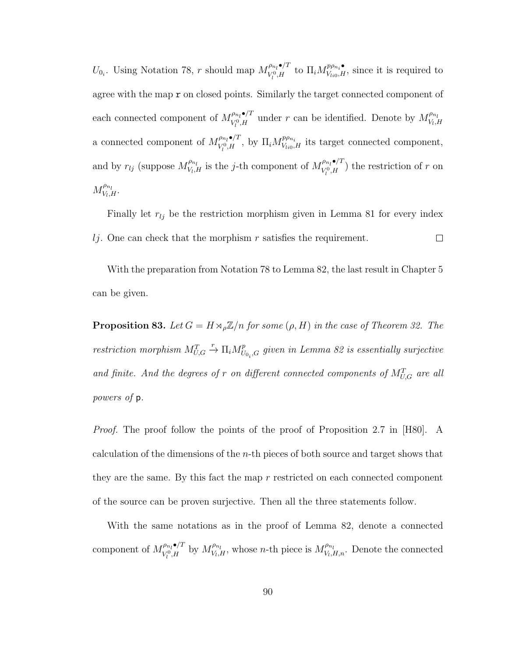$U_{0_i}$ . Using Notation 78, r should map  $M_{V^0,H}^{\rho_{n_i} \bullet/T}$  $\int_{V_l^0, H}^{\rho_{n_l} \bullet}$  to  $\Pi_i M_{V_{li0}, H}^{p_{\rho_{n_i}} \bullet}$ , since it is required to agree with the map r on closed points. Similarly the target connected component of each connected component of  $M_{V^0H}^{\rho_{n_l}\bullet/T}$  $\mathcal{P}_{V_l^0, H}^{\rho_{n_l} \bullet / T}$  under r can be identified. Denote by  $M_{V_l, L}^{\rho_{n_l}}$  $V_l, H$ a connected component of  $M_{V^0H}^{\rho_{n_l}\bullet/T}$  $\int_{V_l^0, H}^{\rho_{n_l}}$ , by  $\Pi_i M_{V_{li0}, H}^{p_{\rho_{n_i}}}$  its target connected component, and by  $r_{lj}$  (suppose  $M_{V_l,j}^{\rho_{n_l}}$  $\int_{V_l,H}^{\rho_{n_l}}$  is the *j*-th component of  $M_{V_l^0,H}^{\rho_{n_l}\bullet/T}$  $V_{l}^{p_{n_l}\bullet/1}$  the restriction of r on  $M_{V_L}^{\rho_{n_l}}$  $\frac{\rho n_l}{V_l,H}.$ 

Finally let  $r_{lj}$  be the restriction morphism given in Lemma 81 for every index  $\Box$  $l_i$ . One can check that the morphism r satisfies the requirement.

With the preparation from Notation 78 to Lemma 82, the last result in Chapter 5 can be given.

**Proposition 83.** Let  $G = H \rtimes_{\rho} \mathbb{Z}/n$  for some  $(\rho, H)$  in the case of Theorem 32. The restriction morphism  $M_{U,G}^T \stackrel{r}{\rightarrow} \Pi_i M_U^p$  $\overset{p}{U_0}_i$ given in Lemma 82 is essentially surjective and finite. And the degrees of r on different connected components of  $M_{U,G}^T$  are all powers of p.

Proof. The proof follow the points of the proof of Proposition 2.7 in [H80]. A calculation of the dimensions of the n-th pieces of both source and target shows that they are the same. By this fact the map  $r$  restricted on each connected component of the source can be proven surjective. Then all the three statements follow.

With the same notations as in the proof of Lemma 82, denote a connected component of  $M_{V^0 H}^{\rho_{n_l} \bullet /T}$  $\frac{\rho_{n_l} \bullet}{V_l^0, H}$  by  $M_{V_l, I}^{\rho_{n_l}}$  $V_{V_l,H}^{\rho_{n_l}}$ , whose *n*-th piece is  $M_{V_l,i}^{\rho_{n_l}}$  $V_{V_l,H,n}$ . Denote the connected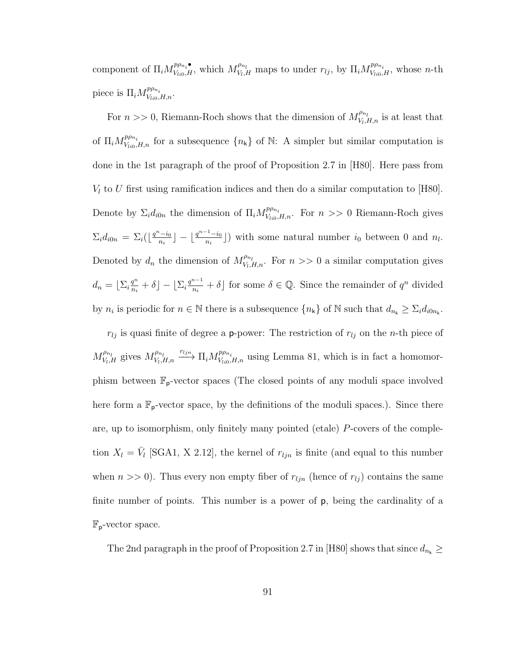component of  $\Pi_i M_{V_{li0},H}^{p\rho_{n_i}}$ , which  $M_{V_l,i}^{\rho_{n_l}}$  $V_{V_i,H}$  maps to under  $r_{lj}$ , by  $\Pi_i M_{V_{li0},H}^{p_{\rho_{n_i}}}$ , whose *n*-th piece is  $\Pi_i M_{V_{li0},H,n}^{p\rho_{n_i}}$ .

For  $n \gg 0$ , Riemann-Roch shows that the dimension of  $M_{V_L}^{\rho_{n_l}}$  $V_{l,H,n}^{\rho_{n_l}}$  is at least that of  $\Pi_i M_{V_{i}i\sigma,H,n}^{p\rho_{n_i}}$  for a subsequence  $\{n_k\}$  of N: A simpler but similar computation is done in the 1st paragraph of the proof of Proposition 2.7 in [H80]. Here pass from  $V_l$  to U first using ramification indices and then do a similar computation to [H80]. Denote by  $\Sigma_i d_{i0n}$  the dimension of  $\Pi_i M_{V_{li0},H,n}^{p\rho_{n_i}}$ . For  $n >> 0$  Riemann-Roch gives  $\Sigma_i d_{i0n} = \Sigma_i \left( \left\lfloor \frac{q^n - i_0}{n_i} \right\rfloor \right)$  $\left\lfloor \frac{a_i-i_0}{n_i} \right\rfloor - \left\lfloor \frac{q^{n-1}-i_0}{n_i} \right\rfloor$  $\left(\frac{n_{i-1}}{n_i}\right)$  with some natural number  $i_0$  between 0 and  $n_l$ . Denoted by  $d_n$  the dimension of  $M_{V_1}^{\rho_{n_l}}$  $V_{V_i,H,n}^{\mu_{n_i}}$ . For  $n >> 0$  a similar computation gives  $d_n = \left[ \sum_i \frac{q^n}{n_i} \right]$  $\frac{q^n}{n_i}+\delta\rfloor-\lfloor \Sigma_i\frac{q^{n-1}}{n_i}\rfloor$  $\frac{n-1}{n_i} + \delta$  for some  $\delta \in \mathbb{Q}$ . Since the remainder of  $q^n$  divided by  $n_i$  is periodic for  $n \in \mathbb{N}$  there is a subsequence  $\{n_k\}$  of  $\mathbb{N}$  such that  $d_{n_k} \geq \sum_i d_{i0n_k}$ .

 $r_{lj}$  is quasi finite of degree a **p**-power: The restriction of  $r_{lj}$  on the *n*-th piece of  $M_{V_L}^{\rho_{n_l}}$  $\chi_{V_l,H}^{\rho_{n_l}}$  gives  $M_{V_l,i}^{\rho_{n_l}}$  $\mu_{V_i,H,n}$   $\stackrel{r_{ljn}}{\longrightarrow} \Pi_i M_{V_{li0},H,n}^{p\rho_{n_i}}$  using Lemma 81, which is in fact a homomorphism between  $\mathbb{F}_{p}$ -vector spaces (The closed points of any moduli space involved here form a  $\mathbb{F}_{p}$ -vector space, by the definitions of the moduli spaces.). Since there are, up to isomorphism, only finitely many pointed (etale) P-covers of the completion  $X_l = \bar{V}_l$  [SGA1, X 2.12], the kernel of  $r_{ljn}$  is finite (and equal to this number when  $n \gg 0$ . Thus every non empty fiber of  $r_{ijn}$  (hence of  $r_{lj}$ ) contains the same finite number of points. This number is a power of p, being the cardinality of a  $\mathbb{F}_{p}$ -vector space.

The 2nd paragraph in the proof of Proposition 2.7 in [H80] shows that since  $d_{n_{\mathsf{k}}}\geq$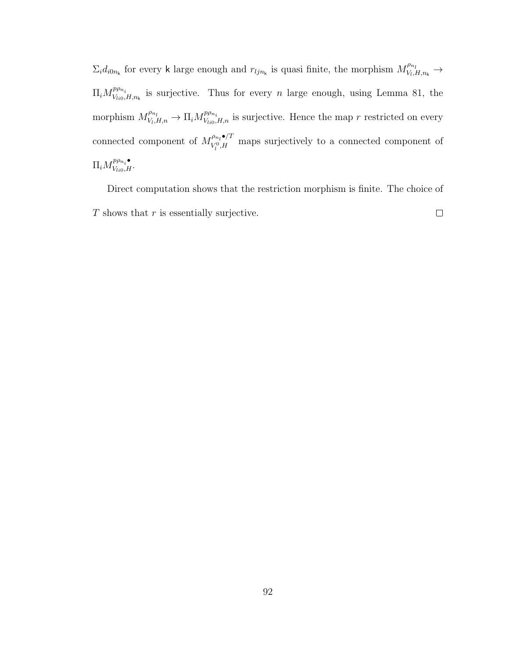$\Sigma_i d_{i0n_k}$  for every k large enough and  $r_{ijn_k}$  is quasi finite, the morphism  $M_{V_i}^{\rho_{n_i}}$  $V_{l}$ ,  $H$ ,  $n_{k}$   $\rightarrow$  $\Pi_i M_{V_{Ii0}}^{p\rho_{n_i}}$  $V_{V_{l0},H,n_k}$  is surjective. Thus for every *n* large enough, using Lemma 81, the morphism  $M_{V_{1}}^{\rho_{n_l}}$  $V_{V_l,H,n}^{\rho_{n_l}} \to \Pi_i M_{V_{li0},H,n}^{p_{\rho_{n_i}}}$  is surjective. Hence the map r restricted on every connected component of  $M_{V^0 H}^{\rho_{n_l} \bullet /T}$  $V_{l}^{p_{n_l}\bullet/1}$  maps surjectively to a connected component of  $\Pi_i M_{V_{li0},H}^{p\rho_{n_i}\bullet}.$ 

Direct computation shows that the restriction morphism is finite. The choice of  $\Box$  $T$  shows that  $r$  is essentially surjective.